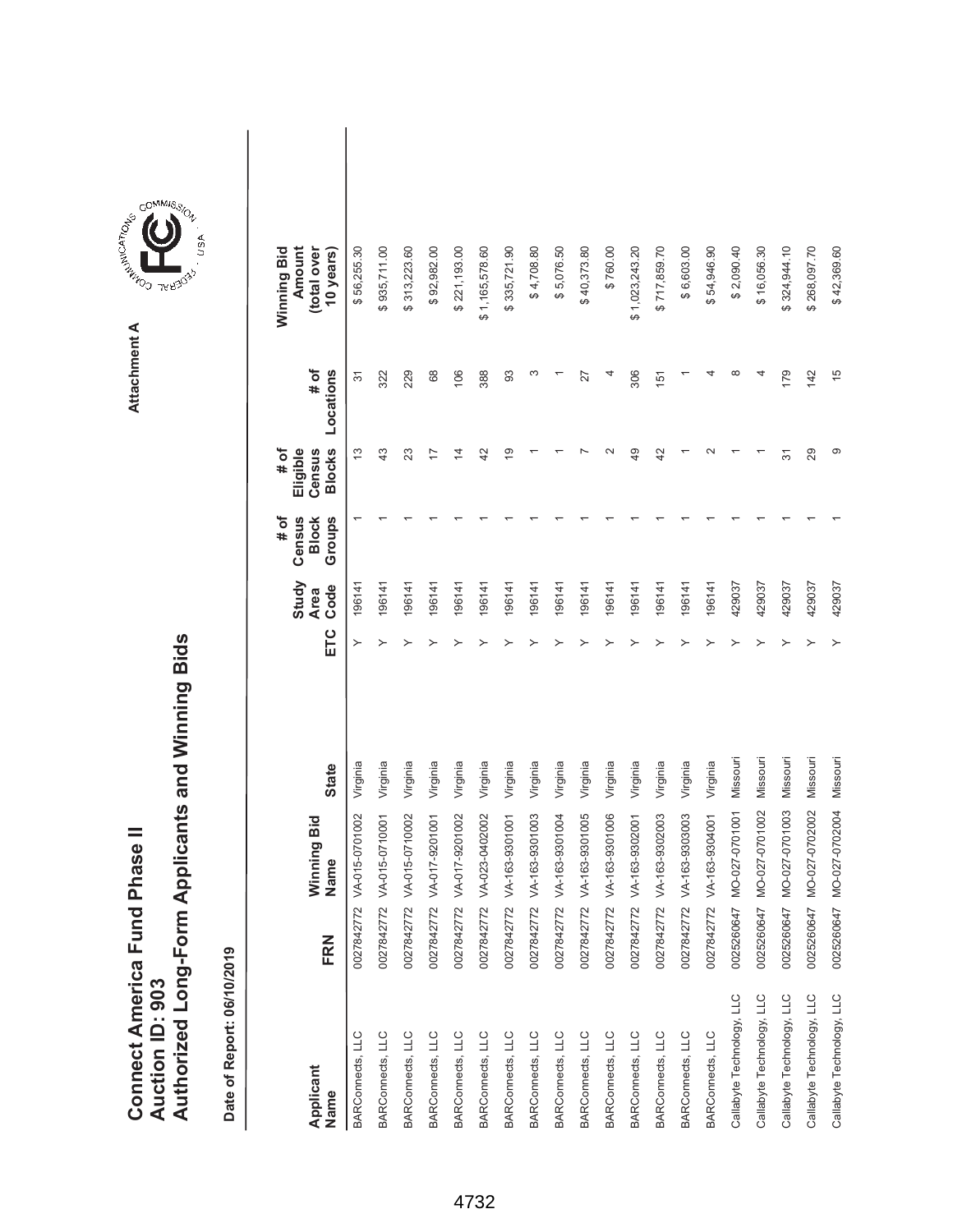|                               |                 | Authorized Long-Form Applicants and Winning Bids |
|-------------------------------|-----------------|--------------------------------------------------|
| Connect America Fund Phase II |                 |                                                  |
|                               |                 |                                                  |
|                               |                 |                                                  |
|                               |                 |                                                  |
|                               | Auction ID: 903 |                                                  |



| Applicant<br>Name         | FRN        | Winning Bid<br>Name | <b>State</b> | ETC | Study<br>Code<br><b>Area</b> | Census<br># of<br><b>Block</b><br>Groups | <b>Blocks</b><br># of<br>Eligible<br>Census | # of<br>Locations | Winning Bid<br>Amount<br>(total over<br>10 years) |  |
|---------------------------|------------|---------------------|--------------|-----|------------------------------|------------------------------------------|---------------------------------------------|-------------------|---------------------------------------------------|--|
| BARConnects, LLC          | 0027842772 | VA-015-0701002      | Virginia     |     | 196141                       |                                          | 13                                          | 57                | \$56,255.30                                       |  |
| BARConnects, LLC          | 0027842772 | VA-015-0710001      | Virginia     |     | 196141                       |                                          | 43                                          | 322               | \$935,711.00                                      |  |
| BARConnects, LLC          | 0027842772 | VA-015-0710002      | Virginia     |     | 196141                       |                                          | 23                                          | 229               | \$313,223.60                                      |  |
| BARConnects, LLC          | 0027842772 | VA-017-9201001      | Virginia     |     | 196141                       |                                          | 17                                          | 68                | \$92,982.00                                       |  |
| BARConnects, LLC          | 0027842772 | VA-017-9201002      | Virginia     |     | 196141                       |                                          | 4                                           | 106               | \$221,193.00                                      |  |
| BARConnects, LLC          | 0027842772 | VA-023-0402002      | Virginia     |     | 196141                       |                                          | 42                                          | 388               | \$1,165,578.60                                    |  |
| BARConnects, LLC          | 0027842772 | VA-163-9301001      | Virginia     |     | 196141                       |                                          | $\overline{9}$                              | 93                | \$335,721.90                                      |  |
| BARConnects, LLC          | 0027842772 | VA-163-9301003      | Virginia     |     | 196141                       |                                          |                                             | ω                 | \$4,708.80                                        |  |
| BARConnects, LLC          | 0027842772 | VA-163-9301004      | Virginia     |     | 196141                       |                                          |                                             |                   | \$5,076.50                                        |  |
| BARConnects, LLC          | 0027842772 | VA-163-9301005      | Virginia     |     | 196141                       |                                          |                                             | 27                | \$40,373.80                                       |  |
| BARConnects, LLC          | 0027842772 | VA-163-9301006      | Virginia     |     | 196141                       |                                          |                                             |                   | \$760.00                                          |  |
| BARConnects, LLC          | 0027842772 | VA-163-9302001      | Virginia     |     | 196141                       |                                          | 49                                          | 306               | \$1,023,243.20                                    |  |
| BARConnects, LLC          | 0027842772 | VA-163-9302003      | Virginia     |     | 196141                       |                                          | 42                                          | 151               | \$717,859.70                                      |  |
| BARConnects, LLC          | 0027842772 | VA-163-9303003      | Virginia     |     | 196141                       |                                          |                                             |                   | \$6,603.00                                        |  |
| BARConnects, LLC          | 0027842772 | VA-163-9304001      | Virginia     |     | 196141                       |                                          | $\sim$                                      |                   | \$54,946.90                                       |  |
| Callabyte Technology, LLC | 0025260647 | MO-027-0701001      | Missouri     |     | 429037                       |                                          |                                             | $\infty$          | \$2,090.40                                        |  |
| Callabyte Technology, LLC | 0025260647 | MO-027-0701002      | Missouri     |     | 429037                       |                                          |                                             |                   | \$16,056.30                                       |  |
| Callabyte Technology, LLC | 0025260647 | MO-027-0701003      | Missouri     |     | 429037                       |                                          | 57                                          | 179               | \$324,944.10                                      |  |
| Callabyte Technology, LLC | 0025260647 | MO-027-0702002      | Missouri     |     | 429037                       |                                          | 29                                          | 142               | \$268,097.70                                      |  |
| Callabyte Technology, LLC | 0025260647 | MO-027-0702004      | Missouri     |     | 429037                       |                                          | တ                                           | 15                | \$42,369.60                                       |  |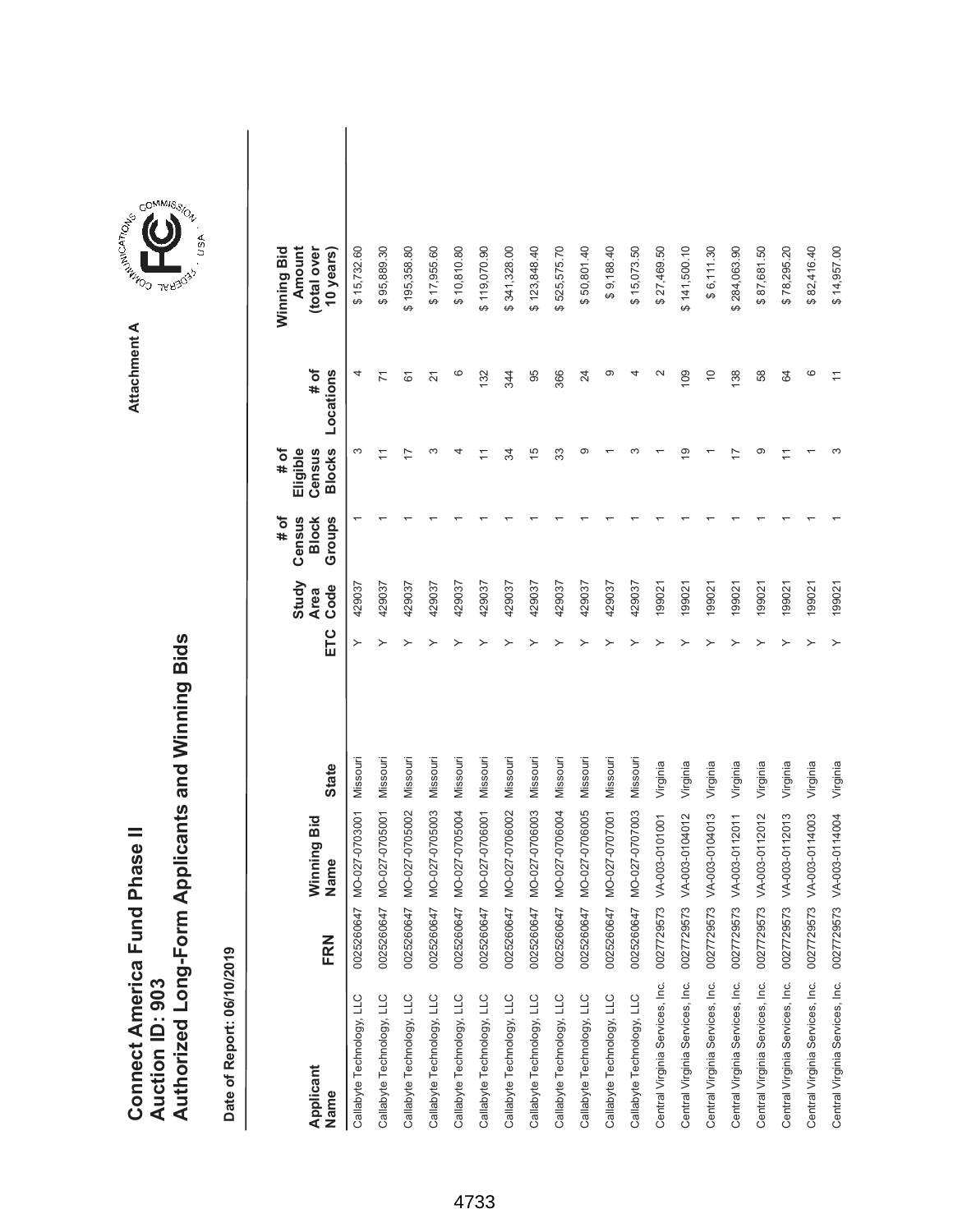|                               |                 | Authorized Long-Form Applicants and Winning Bids |
|-------------------------------|-----------------|--------------------------------------------------|
| Connect America Fund Phase II |                 |                                                  |
|                               |                 |                                                  |
|                               |                 |                                                  |
|                               |                 |                                                  |
|                               | Auction ID: 903 |                                                  |



| Applicant<br>Name                          | FRN        | Winning Bid<br>Name | <b>State</b> | ETC | Study<br>Code<br><b>Area</b> | # of<br>Census<br>Groups<br><b>Block</b> | <b>Blocks</b><br># of<br>Eligible<br>Census | # of<br>Locations  | Winning Bid<br>Amount<br>(total over<br>10 years) |  |
|--------------------------------------------|------------|---------------------|--------------|-----|------------------------------|------------------------------------------|---------------------------------------------|--------------------|---------------------------------------------------|--|
| Callabyte Technology, LLC                  | 0025260647 | MO-027-0703001      | Missouri     |     | 429037                       |                                          | ω                                           | 4                  | \$15,732.60                                       |  |
| Callabyte Technology, LLC                  | 0025260647 | MO-027-0705001      | Missouri     |     | 429037                       |                                          | $\tilde{\phantom{0}}$                       | $\overline{z}$     | \$95,889.30                                       |  |
| Callabyte Technology, LLC                  | 0025260647 | MO-027-0705002      | Missouri     |     | 429037                       |                                          | 17                                          | 61                 | \$195,358.80                                      |  |
| Callabyte Technology, LLC                  | 0025260647 | MO-027-0705003      | Missouri     |     | 429037                       |                                          | S                                           | $\overline{2}$     | \$17,955.60                                       |  |
| Callabyte Technology, LLC                  | 0025260647 | MO-027-0705004      | Missouri     |     | 429037                       |                                          | 4                                           | ဖ                  | \$10,810.80                                       |  |
| Callabyte Technology, LLC                  | 0025260647 | MO-027-0706001      | Missouri     |     | 429037                       |                                          |                                             | 132                | \$119,070.90                                      |  |
| Callabyte Technology, LLC                  | 0025260647 | MO-027-0706002      | Missouri     |     | 429037                       |                                          | R                                           | 344                | \$341,328.00                                      |  |
| Callabyte Technology, LLC                  | 0025260647 | MO-027-0706003      | Missouri     |     | 429037                       |                                          | $\frac{5}{1}$                               | 95                 | \$123,848.40                                      |  |
| Callabyte Technology, LLC                  | 0025260647 | MO-027-0706004      | Missouri     |     | 429037                       |                                          | 33                                          | 366                | \$525,575.70                                      |  |
| Callabyte Technology, LLC                  | 0025260647 | MO-027-0706005      | Missouri     |     | 429037                       |                                          | တ                                           | $^{24}$            | \$50,801.40                                       |  |
| Callabyte Technology, LLC                  | 0025260647 | MO-027-0707001      | Missouri     |     | 429037                       |                                          |                                             | တ                  | \$9,188.40                                        |  |
| Callabyte Technology, LLC                  | 0025260647 | MO-027-0707003      | Missouri     |     | 429037                       |                                          |                                             |                    | \$15,073.50                                       |  |
| Central Virginia Services, Inc.            | 0027729573 | VA-003-0101001      | Virginia     |     | 199021                       |                                          |                                             | $\scriptstyle\sim$ | \$27,469.50                                       |  |
| Central Virginia Services, Inc.            | 0027729573 | VA-003-0104012      | Virginia     |     | 199021                       |                                          | ₽                                           | 109                | \$141,500.10                                      |  |
| Central Virginia Services, Inc.            | 0027729573 | VA-003-0104013      | Virginia     |     | 199021                       |                                          |                                             | $\overline{0}$     | \$6,111.30                                        |  |
| Central Virginia Services, Inc. 0027729573 |            | VA-003-0112011      | Virginia     |     | 199021                       |                                          |                                             | 138                | \$284,063.90                                      |  |
| Central Virginia Services, Inc.            | 0027729573 | VA-003-0112012      | Virginia     |     | 199021                       |                                          | ග                                           | 58                 | \$87,681.50                                       |  |
| Central Virginia Services, Inc. 0027729573 |            | VA-003-0112013      | Virginia     |     | 199021                       |                                          |                                             | 84                 | \$78,295.20                                       |  |
| Central Virginia Services, Inc. 0027729573 |            | VA-003-0114003      | Virginia     |     | 199021                       |                                          |                                             | ဖ                  | \$82,416.40                                       |  |
| Central Virginia Services, Inc. 0027729573 |            | VA-003-0114004      | Virginia     |     | 199021                       |                                          | ω                                           | $\overline{1}$     | \$14,957.00                                       |  |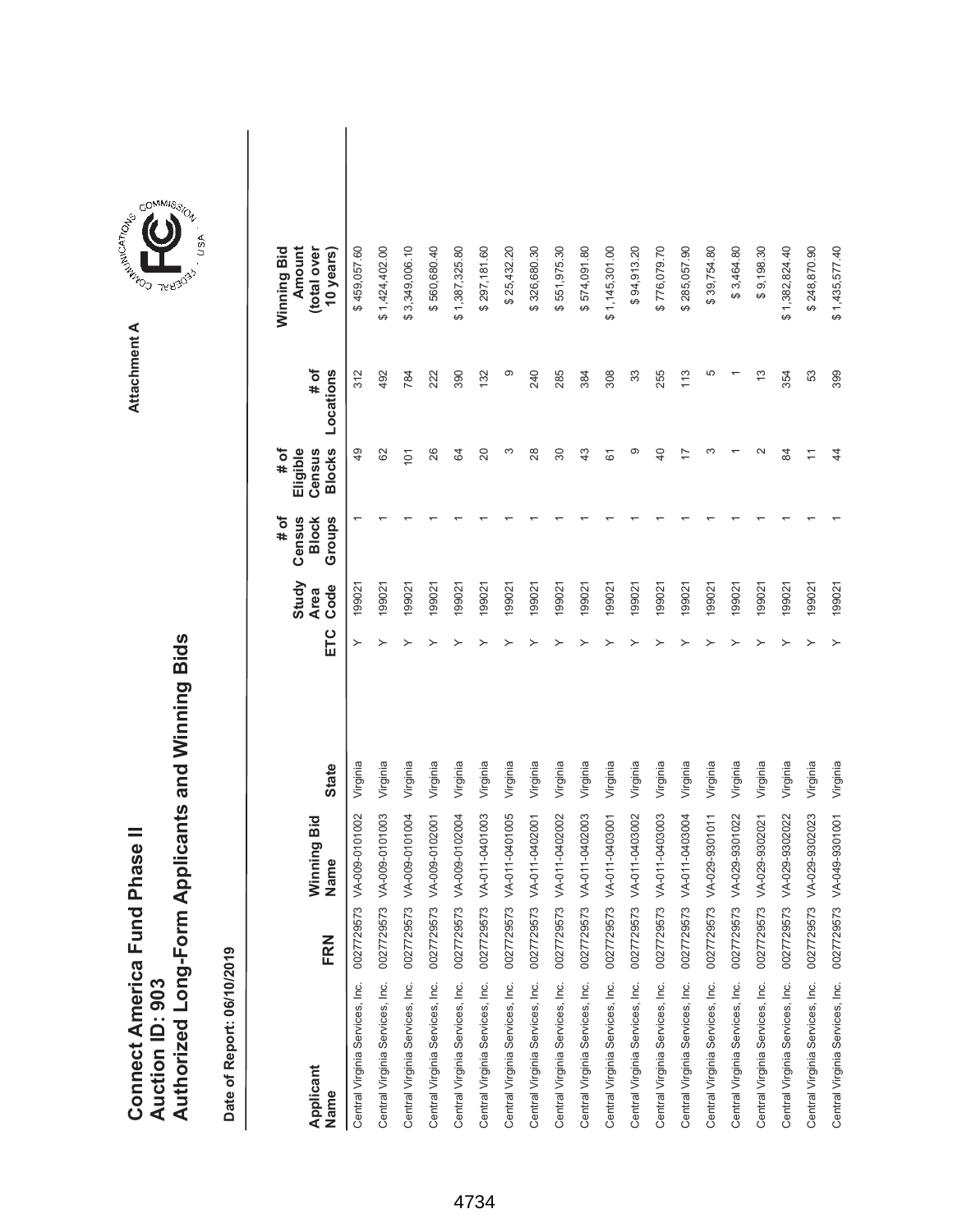|                               |                 | Authorized Long-Form Applicants and Winning Bids |
|-------------------------------|-----------------|--------------------------------------------------|
| Connect America Fund Phase II |                 |                                                  |
|                               |                 |                                                  |
|                               |                 |                                                  |
|                               |                 |                                                  |
|                               | Auction ID: 903 |                                                  |



| Applicant<br>Name                          | FRN                 | Winning Bid<br>Name | <b>State</b> | ETC | Study<br>Code<br><b>Area</b> | # of<br>Census<br>Groups<br><b>Block</b> | <b>Blocks</b><br>Eligible<br># of<br>Census | # of<br>Locations | Winning Bid<br>Amount<br>(total over<br>10 years) |
|--------------------------------------------|---------------------|---------------------|--------------|-----|------------------------------|------------------------------------------|---------------------------------------------|-------------------|---------------------------------------------------|
| Central Virginia Services, Inc.            | ر<br>م<br>002772957 | VA-009-0101002      | Virginia     |     | 199021                       |                                          | $\overline{49}$                             | 312               | \$459,057.60                                      |
| Central Virginia Services, Inc. 0027729573 |                     | VA-009-0101003      | Virginia     |     | 199021                       |                                          | 62                                          | 492               | \$1,424,402.00                                    |
| Central Virginia Services, Inc.            | 0027729573          | VA-009-0101004      | Virginia     |     | 199021                       |                                          | 101                                         | 784               | \$3,349,006.10                                    |
| Central Virginia Services, Inc.            | 0027729573          | VA-009-0102001      | Virginia     |     | 199021                       |                                          | 26                                          | 222               | \$560,680.40                                      |
| Central Virginia Services, Inc.            | 0027729573          | VA-009-0102004      | Virginia     |     | 199021                       |                                          | 84                                          | 390               | \$1,387,325.80                                    |
| Central Virginia Services, Inc.            | 0027729573          | VA-011-0401003      | Virginia     |     | 199021                       |                                          | 20                                          | 132               | \$297,181.60                                      |
| Central Virginia Services, Inc.            | 0027729573          | VA-011-0401005      | Virginia     |     | 199021                       |                                          | ω                                           | တ                 | \$25,432.20                                       |
| Central Virginia Services, Inc.            | 0027729573          | VA-011-0402001      | Virginia     |     | 199021                       |                                          | 28                                          | 240               | \$326,680.30                                      |
| Central Virginia Services, Inc.            | 0027729573          | VA-011-0402002      | Virginia     |     | 199021                       |                                          | 30                                          | 285               | \$551,975.30                                      |
| Central Virginia Services, Inc.            | 0027729573          | VA-011-0402003      | Virginia     |     | 199021                       |                                          | $\frac{3}{4}$                               | 384               | \$574,091.80                                      |
| Central Virginia Services, Inc.            | 0027729573          | VA-011-0403001      | Virginia     |     | 199021                       |                                          | 61                                          | 308               | \$1,145,301.00                                    |
| Central Virginia Services, Inc.            | 0027729573          | VA-011-0403002      | Virginia     |     | 199021                       |                                          | ග                                           | 33                | \$94,913.20                                       |
| Central Virginia Services, Inc.            | 0027729573          | VA-011-0403003      | Virginia     |     | 199021                       |                                          | $\overline{a}$                              | 255               | \$776,079.70                                      |
| Central Virginia Services, Inc.            | 0027729573          | VA-011-0403004      | Virginia     |     | 199021                       |                                          |                                             | 113               | \$285,057.90                                      |
| Central Virginia Services, Inc.            | 0027729573          | VA-029-9301011      | Virginia     |     | 199021                       |                                          |                                             | 5                 | \$39,754.80                                       |
| Central Virginia Services, Inc. 0027729573 |                     | VA-029-9301022      | Virginia     |     | 199021                       |                                          |                                             |                   | \$3,464.80                                        |
| Central Virginia Services, Inc.            | 0027729573          | VA-029-9302021      | Virginia     |     | 199021                       |                                          |                                             | $\frac{3}{2}$     | \$9,198.30                                        |
| Central Virginia Services, Inc.            | 0027729573          | VA-029-9302022      | Virginia     |     | 199021                       |                                          | 8                                           | 354               | \$1,382,824.40                                    |
| Central Virginia Services, Inc.            | 0027729573          | VA-029-9302023      | Virginia     |     | 199021                       |                                          | Ξ                                           | 53                | \$248,870.90                                      |
| Central Virginia Services, Inc.            | 0027729573          | VA-049-9301001      | Virginia     |     | 199021                       |                                          | 4                                           | 399               | \$1,435,577.40                                    |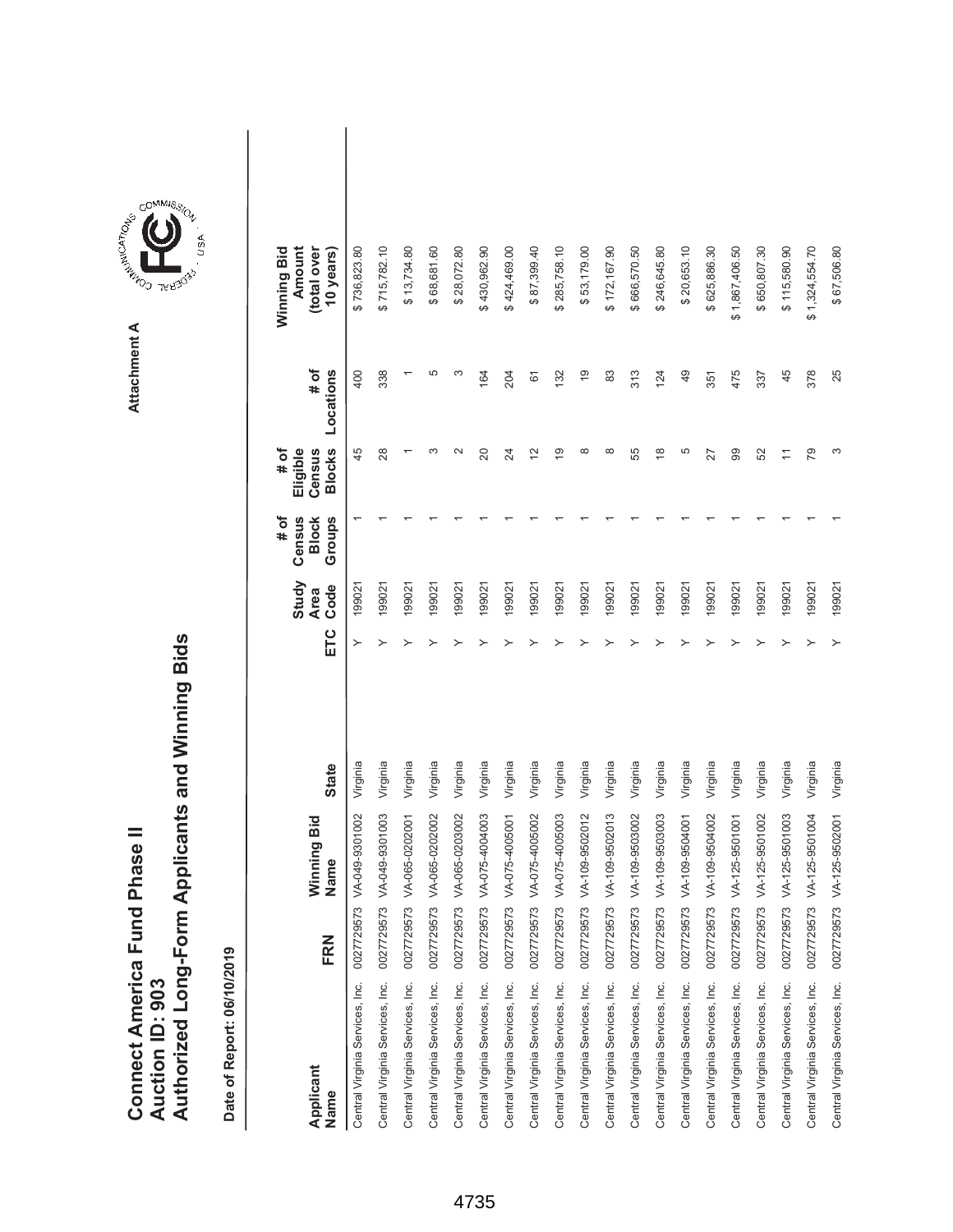|                               |                 | Authorized Long-Form Applicants and Winning Bids |
|-------------------------------|-----------------|--------------------------------------------------|
| Connect America Fund Phase II |                 |                                                  |
|                               |                 |                                                  |
|                               |                 |                                                  |
|                               |                 |                                                  |
|                               | Auction ID: 903 |                                                  |



GOMMIS<sub>SION</sub>

NSN.

| Applicant<br>Name                          | FRN        | Winning Bid<br>Name | <b>State</b> | ETC | Study<br>Code<br><b>Area</b> | # of<br>Census<br>Groups<br><b>Block</b> | <b>Blocks</b><br>Eligible<br># of<br>Census | # of<br>Locations | Amount<br>Winning Bid<br>(total over<br>10 years) |
|--------------------------------------------|------------|---------------------|--------------|-----|------------------------------|------------------------------------------|---------------------------------------------|-------------------|---------------------------------------------------|
| Central Virginia Services, Inc.            | 0027729573 | VA-049-9301002      | Virginia     |     | 199021                       |                                          | 45                                          | 400               | \$736,823.80                                      |
| Central Virginia Services, Inc.            | 0027729573 | VA-049-9301003      | Virginia     | ≻   | 199021                       |                                          | 28                                          | 338               | \$715,782.10                                      |
| Central Virginia Services, Inc.            | 0027729573 | VA-065-0202001      | Virginia     |     | 199021                       |                                          |                                             |                   | \$13,734.80                                       |
| Central Virginia Services, Inc.            | 0027729573 | VA-065-0202002      | Virginia     |     | 199021                       |                                          | m                                           | 5                 | \$68,681.60                                       |
| Central Virginia Services, Inc.            | 0027729573 | VA-065-0203002      | Virginia     |     | 199021                       |                                          | $\sim$                                      | ო                 | \$28,072.80                                       |
| Central Virginia Services, Inc.            | 0027729573 | VA-075-4004003      | Virginia     |     | 199021                       |                                          | 20                                          | 164               | \$430,962.90                                      |
| Central Virginia Services, Inc.            | 0027729573 | VA-075-4005001      | Virginia     |     | 199021                       |                                          | 24                                          | 204               | \$424,469.00                                      |
| Central Virginia Services, Inc.            | 0027729573 | VA-075-4005002      | Virginia     |     | 199021                       |                                          | 12                                          | 61                | \$87,399.40                                       |
| Central Virginia Services, Inc.            | 0027729573 | VA-075-4005003      | Virginia     |     | 199021                       |                                          | é,                                          | 132               | \$285,758.10                                      |
| Central Virginia Services, Inc.            | 0027729573 | VA-109-9502012      | Virginia     |     | 199021                       |                                          | ∞                                           | $\frac{0}{2}$     | \$53,179.00                                       |
| Central Virginia Services, Inc.            | 0027729573 | VA-109-9502013      | Virginia     |     | 199021                       |                                          | $\infty$                                    | 83                | \$172,167.90                                      |
| Central Virginia Services, Inc.            | 0027729573 | VA-109-9503002      | Virginia     |     | 199021                       |                                          | 55                                          | 313               | \$666,570.50                                      |
| Central Virginia Services, Inc.            | 0027729573 | VA-109-9503003      | Virginia     |     | 199021                       |                                          | $\frac{8}{1}$                               | 124               | \$246,645.80                                      |
| Central Virginia Services, Inc.            | 0027729573 | VA-109-9504001      | Virginia     |     | 199021                       |                                          | Ю                                           | 49                | \$20,653.10                                       |
| Central Virginia Services, Inc.            | 0027729573 | VA-109-9504002      | Virginia     |     | 199021                       |                                          | 27                                          | 351               | \$625,886.30                                      |
| Central Virginia Services, Inc.            | 0027729573 | VA-125-9501001      | Virginia     |     | 199021                       |                                          | 8                                           | 475               | \$1,867,406.50                                    |
| Central Virginia Services, Inc.            | 0027729573 | VA-125-9501002      | Virginia     |     | 199021                       |                                          | 52                                          | 337               | \$650,807.30                                      |
| Central Virginia Services, Inc.            | 0027729573 | VA-125-9501003      | Virginia     |     | 199021                       |                                          | $\overline{ }$                              | 45                | \$115,580.90                                      |
| Central Virginia Services, Inc. 0027729573 |            | VA-125-9501004      | Virginia     |     | 199021                       |                                          | 79                                          | 378               | \$1,324,554.70                                    |
| Central Virginia Services, Inc.            | 0027729573 | VA-125-9502001      | Virginia     |     | 199021                       |                                          | S                                           | 25                | \$67,506.80                                       |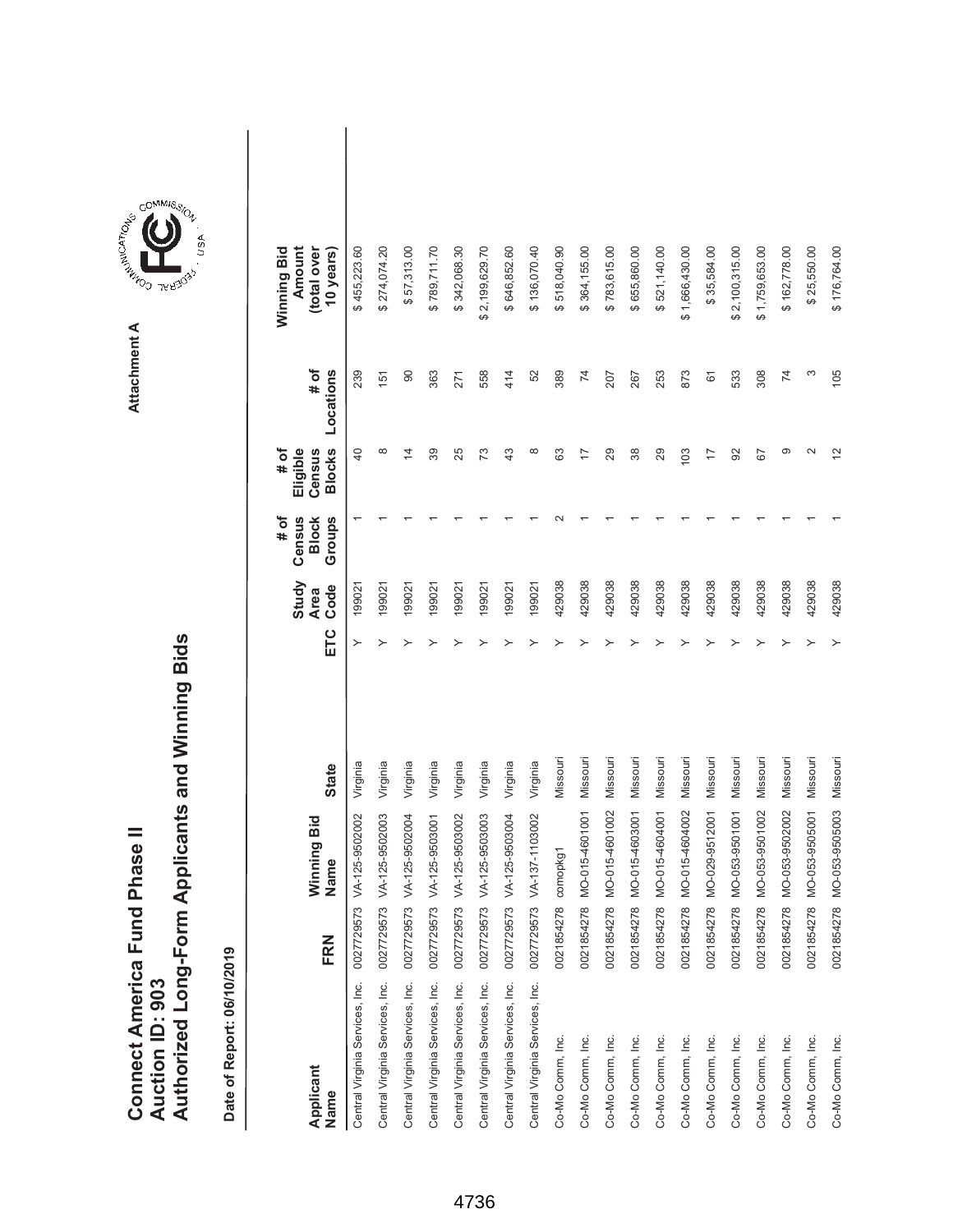|                               |                 | Authorized Long-Form Applicants and Winning Bids |
|-------------------------------|-----------------|--------------------------------------------------|
| Connect America Fund Phase II |                 |                                                  |
|                               |                 |                                                  |
|                               |                 |                                                  |
|                               |                 |                                                  |
|                               | Auction ID: 903 |                                                  |
|                               |                 |                                                  |
|                               |                 |                                                  |
|                               |                 |                                                  |



GOMMIS<sub>SION</sub>

| Applicant<br>Name                          | FRN        | Winning Bid<br>Name | <b>State</b> | ETC | Study<br>Code<br><b>Area</b> | Census<br>Groups<br># of<br><b>Block</b> | <b>Blocks</b><br># of<br>Eligible<br>Census | # of<br>Locations | Amount<br>Winning Bid<br>(total over<br>10 years) |  |
|--------------------------------------------|------------|---------------------|--------------|-----|------------------------------|------------------------------------------|---------------------------------------------|-------------------|---------------------------------------------------|--|
| Central Virginia Services, Inc. 0027729573 |            | VA-125-9502002      | Virginia     |     | 199021                       |                                          | $\overline{a}$                              | 239               | \$455,223.60                                      |  |
| Central Virginia Services, Inc. 0027729573 |            | VA-125-9502003      | Virginia     | ≻   | 199021                       |                                          | $\infty$                                    | 151               | \$274,074.20                                      |  |
| Central Virginia Services, Inc. 0027729573 |            | VA-125-9502004      | Virginia     |     | 199021                       |                                          | 4                                           | 90                | \$57,313.00                                       |  |
| Central Virginia Services, Inc. 0027729573 |            | VA-125-9503001      | Virginia     |     | 199021                       |                                          | 89                                          | 363               | \$789,711.70                                      |  |
| Central Virginia Services, Inc. 0027729573 |            | VA-125-9503002      | Virginia     |     | 199021                       |                                          | 25                                          | 271               | \$342,068.30                                      |  |
| Central Virginia Services, Inc. 0027729573 |            | VA-125-9503003      | Virginia     |     | 199021                       |                                          | 73                                          | 558               | \$2,199,629.70                                    |  |
| Central Virginia Services, Inc. 0027729573 |            | VA-125-9503004      | Virginia     |     | 199021                       |                                          | 43                                          | 414               | \$646,852.60                                      |  |
| Central Virginia Services, Inc. 0027729573 |            | VA-137-1103002      | Virginia     |     | 199021                       |                                          | $\infty$                                    | 52                | \$136,070.40                                      |  |
| Co-Mo Comm, Inc.                           | 0021854278 | comopkg1            | Missouri     |     | 429038                       |                                          | යි                                          | 389               | \$518,040.90                                      |  |
| Co-Mo Comm, Inc.                           | 0021854278 | MO-015-4601001      | Missouri     |     | 429038                       |                                          |                                             | $\overline{7}$    | \$364,155.00                                      |  |
| Co-Mo Comm, Inc.                           | 0021854278 | MO-015-4601002      | Missouri     |     | 429038                       |                                          | 29                                          | 207               | \$783,615.00                                      |  |
| Co-Mo Comm, Inc.                           | 0021854278 | MO-015-4603001      | Missouri     |     | 429038                       |                                          | 38                                          | 267               | \$655,860.00                                      |  |
| Co-Mo Comm, Inc.                           | 0021854278 | MO-015-4604001      | Missouri     |     | 429038                       |                                          | 29                                          | 253               | \$521,140.00                                      |  |
| Co-Mo Comm, Inc.                           | 0021854278 | MO-015-4604002      | Missouri     |     | 429038                       |                                          | 103                                         | 873               | \$1,666,430.00                                    |  |
| Co-Mo Comm, Inc.                           | 0021854278 | MO-029-9512001      | Missouri     |     | 429038                       |                                          | 17                                          | 61                | \$35,584.00                                       |  |
| Co-Mo Comm, Inc.                           | 0021854278 | MO-053-9501001      | Missouri     |     | 429038                       |                                          | 92                                          | 533               | \$2,100,315.00                                    |  |
| Co-Mo Comm, Inc.                           | 0021854278 | MO-053-9501002      | Missouri     |     | 429038                       |                                          | 67                                          | 308               | \$1,759,653.00                                    |  |
| Co-Mo Comm, Inc.                           | 0021854278 | MO-053-9502002      | Missouri     |     | 429038                       |                                          | တ                                           | 74                | \$162,778.00                                      |  |
| Co-Mo Comm, Inc.                           | 0021854278 | MO-053-9505001      | Missouri     |     | 429038                       |                                          | $\sim$                                      | S                 | \$25,550.00                                       |  |
| Co-Mo Comm, Inc.                           | 0021854278 | MO-053-9505003      | Missouri     |     | 429038                       |                                          |                                             | 105               | \$176,764.00                                      |  |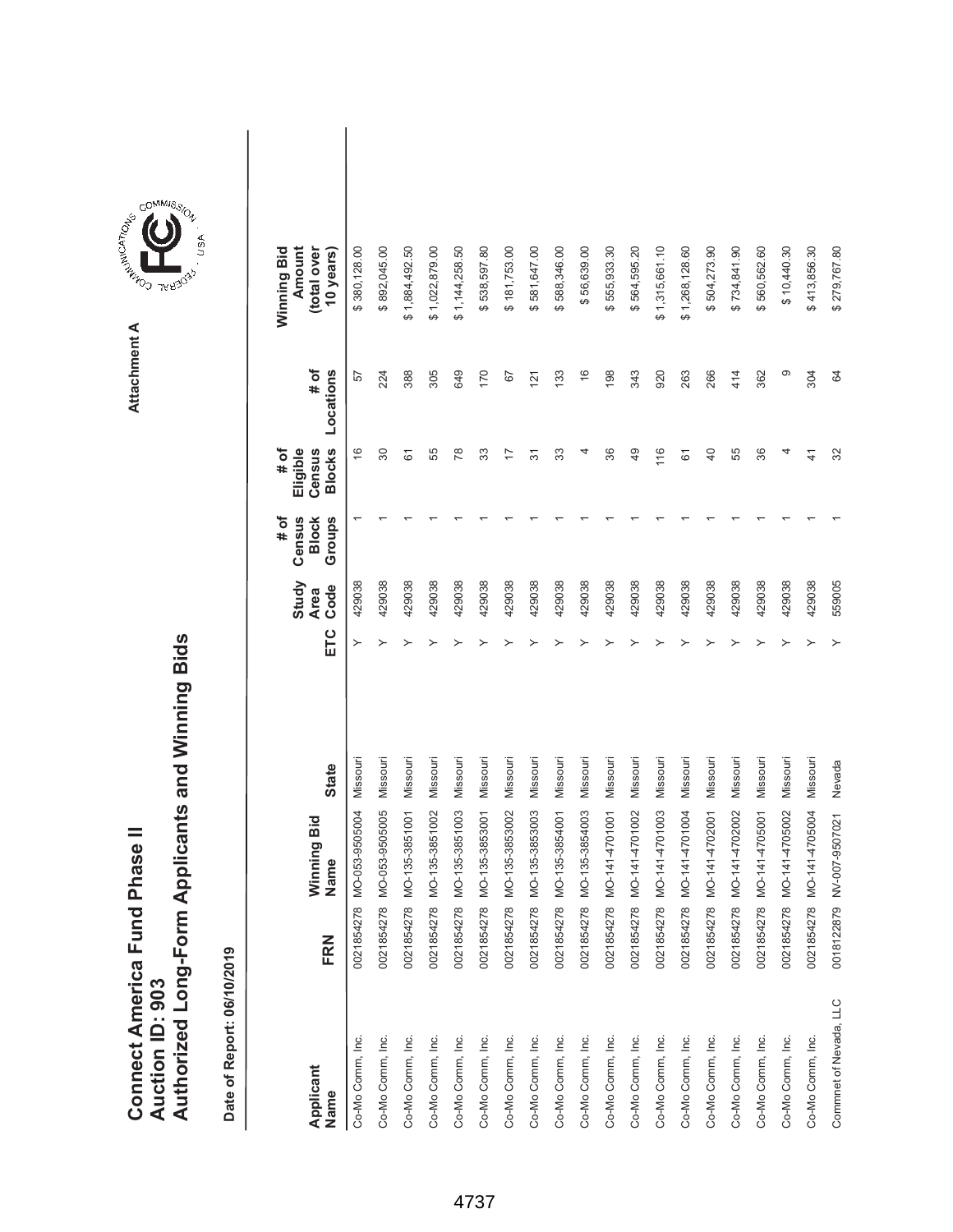|                               |                 | Authorized Long-Form Applicants and Winning Bids |
|-------------------------------|-----------------|--------------------------------------------------|
| Connect America Fund Phase II |                 |                                                  |
|                               |                 |                                                  |
|                               |                 |                                                  |
|                               |                 |                                                  |
|                               | Auction ID: 903 |                                                  |



| Applicant<br>Name      | FRN        | Winning Bid<br>Name | <b>State</b> | ETC | Study<br>Code<br><b>Area</b> | # of<br>Census<br>Groups<br><b>Block</b> | <b>Blocks</b><br>Eligible<br># of<br>Census | # of<br>Locations | Amount<br>Winning Bid<br>(total over<br>10 years) |  |
|------------------------|------------|---------------------|--------------|-----|------------------------------|------------------------------------------|---------------------------------------------|-------------------|---------------------------------------------------|--|
| Co-Mo Comm, Inc.       | 0021854278 | MO-053-9505004      | Missouri     | ≻   | 429038                       |                                          | $\frac{6}{5}$                               | 57                | \$380,128.00                                      |  |
| Co-Mo Comm, Inc.       | 0021854278 | MO-053-9505005      | Missouri     | ≻   | 429038                       |                                          | 30                                          | 224               | \$892,045.00                                      |  |
| Co-Mo Comm, Inc.       | 0021854278 | MO-135-3851001      | Missouri     |     | 429038                       |                                          | 61                                          | 388               | \$1,884,492.50                                    |  |
| Co-Mo Comm, Inc.       | 0021854278 | MO-135-3851002      | Missouri     |     | 429038                       |                                          | 55                                          | 305               | \$1,022,879.00                                    |  |
| Co-Mo Comm, Inc.       | 0021854278 | MO-135-3851003      | Missouri     |     | 429038                       |                                          | 78                                          | 649               | \$1,144,258.50                                    |  |
| Co-Mo Comm, Inc.       | 0021854278 | MO-135-3853001      | Missouri     |     | 429038                       |                                          | 33                                          | 170               | \$538,597.80                                      |  |
| Co-Mo Comm, Inc.       | 0021854278 | MO-135-3853002      | Missouri     |     | 429038                       |                                          | 17                                          | 52                | \$181,753.00                                      |  |
| Co-Mo Comm, Inc.       | 0021854278 | MO-135-3853003      | Missouri     |     | 429038                       |                                          | 57                                          | 121               | \$581,647.00                                      |  |
| Co-Mo Comm, Inc.       | 0021854278 | MO-135-3854001      | Missouri     |     | 429038                       |                                          | 33                                          | 133               | \$588,346.00                                      |  |
| Co-Mo Comm, Inc.       | 0021854278 | MO-135-3854003      | Missouri     |     | 429038                       |                                          |                                             | $\frac{6}{5}$     | \$56,639.00                                       |  |
| Co-Mo Comm, Inc.       | 0021854278 | MO-141-4701001      | Missouri     |     | 429038                       |                                          | 36                                          | 198               | \$555,933.30                                      |  |
| Co-Mo Comm, Inc.       | 0021854278 | MO-141-4701002      | Missouri     |     | 429038                       |                                          | $\overline{49}$                             | 343               | \$564,595.20                                      |  |
| Co-Mo Comm, Inc.       | 0021854278 | MO-141-4701003      | Missouri     |     | 429038                       |                                          | 116                                         | 920               | \$1,315,661.10                                    |  |
| Co-Mo Comm, Inc.       | 0021854278 | MO-141-4701004      | Missouri     |     | 429038                       |                                          | 61                                          | 263               | \$1,268,128.60                                    |  |
| Co-Mo Comm, Inc.       | 0021854278 | MO-141-4702001      | Missouri     |     | 429038                       |                                          | $\overline{a}$                              | 266               | \$504,273.90                                      |  |
| Co-Mo Comm, Inc.       | 0021854278 | MO-141-4702002      | Missouri     |     | 429038                       |                                          | 55                                          | 414               | \$734,841.90                                      |  |
| Co-Mo Comm, Inc.       | 0021854278 | MO-141-4705001      | Missouri     |     | 429038                       |                                          | 36                                          | 362               | \$560,562.60                                      |  |
| Co-Mo Comm, Inc.       | 0021854278 | MO-141-4705002      | Missouri     |     | 429038                       |                                          |                                             | ග                 | \$10,440.30                                       |  |
| Co-Mo Comm, Inc.       | 0021854278 | MO-141-4705004      | Missouri     |     | 429038                       |                                          | $\frac{4}{3}$                               | 304               | \$413,856.30                                      |  |
| Commnet of Nevada, LLC | 0018122879 | NV-007-9507021      | Nevada       |     | 559005                       |                                          | 32                                          | 64                | \$279,767.80                                      |  |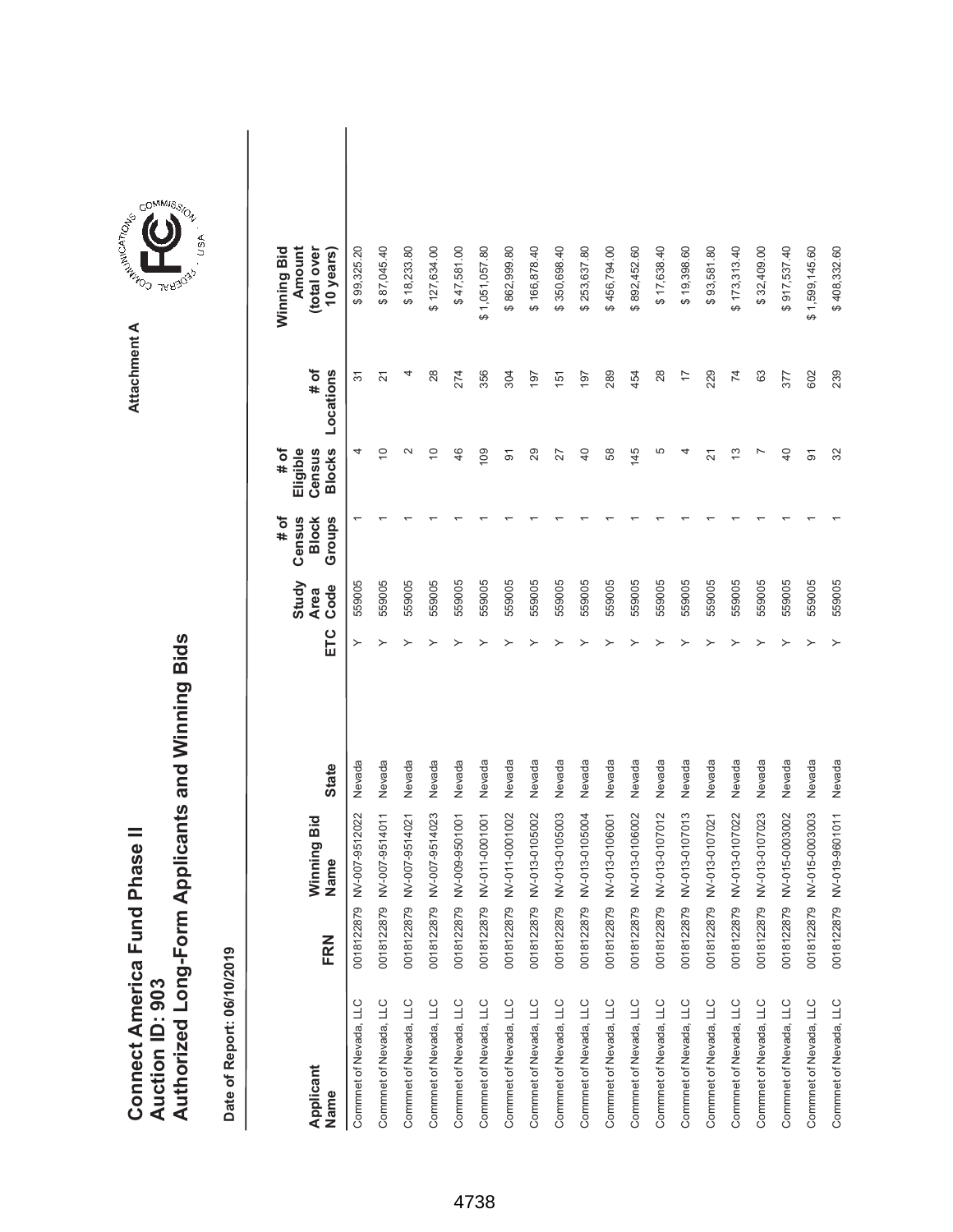|                               |                 | Authorized Long-Form Applicants and Winning Bids |
|-------------------------------|-----------------|--------------------------------------------------|
| Connect America Fund Phase II |                 |                                                  |
|                               |                 |                                                  |
|                               |                 |                                                  |
|                               |                 |                                                  |
|                               | Auction ID: 903 |                                                  |
|                               |                 |                                                  |
|                               |                 |                                                  |
|                               |                 |                                                  |



COMMIS<sub>SION</sub>

| Applicant<br>Name      | FRN        | Winning Bid<br>Name | <b>State</b> | ETC | Study<br>Code<br><b>Area</b> | Census<br># of<br>Groups<br><b>Block</b> | <b>Blocks</b><br># of<br>Eligible<br>Census | # of<br>Locations | Amount<br>Winning Bid<br>(total over<br>10 years) |  |
|------------------------|------------|---------------------|--------------|-----|------------------------------|------------------------------------------|---------------------------------------------|-------------------|---------------------------------------------------|--|
| Commnet of Nevada, LLC | 0018122879 | NV-007-9512022      | Nevada       |     | 559005                       |                                          | 4                                           | $\overline{5}$    | \$99,325.20                                       |  |
| Commnet of Nevada, LLC | 0018122879 | NV-007-9514011      | Nevada       | ≻   | 559005                       |                                          | $\widetilde{C}$                             | $\overline{2}$    | \$87,045.40                                       |  |
| Commnet of Nevada, LLC | 0018122879 | NV-007-9514021      | Nevada       |     | 559005                       |                                          | $\mathbf{\sim}$                             | 4                 | \$18,233.80                                       |  |
| Commnet of Nevada, LLC | 0018122879 | NV-007-9514023      | Nevada       |     | 559005                       |                                          | $\overline{C}$                              | 28                | \$127,634.00                                      |  |
| Commnet of Nevada, LLC | 0018122879 | NV-009-9501001      | Nevada       |     | 559005                       |                                          | 46                                          | 274               | \$47,581.00                                       |  |
| Commnet of Nevada, LLC | 0018122879 | NV-011-0001001      | Nevada       |     | 559005                       |                                          | 109                                         | 356               | \$1,051,057.80                                    |  |
| Commnet of Nevada, LLC | 0018122879 | NV-011-0001002      | Nevada       |     | 559005                       |                                          | ଚ                                           | 304               | \$862,999.80                                      |  |
| Commnet of Nevada, LLC | 0018122879 | NV-013-0105002      | Nevada       |     | 559005                       |                                          | 29                                          | 197               | \$166,878.40                                      |  |
| Commnet of Nevada, LLC | 0018122879 | NV-013-0105003      | Nevada       |     | 559005                       |                                          | 27                                          | 151               | \$350,698.40                                      |  |
| Commnet of Nevada, LLC | 0018122879 | NV-013-0105004      | Nevada       |     | 559005                       |                                          | $\overline{4}$                              | 197               | \$253,637.80                                      |  |
| Commnet of Nevada, LLC | 0018122879 | NV-013-0106001      | Nevada       |     | 559005                       |                                          | 58                                          | 289               | \$456,794.00                                      |  |
| Commnet of Nevada, LLC | 0018122879 | NV-013-0106002      | Nevada       |     | 559005                       |                                          | 145                                         | 454               | \$892,452.60                                      |  |
| Commnet of Nevada, LLC | 0018122879 | NV-013-0107012      | Nevada       |     | 559005                       |                                          | 5                                           | 28                | \$17,638.40                                       |  |
| Commnet of Nevada, LLC | 0018122879 | NV-013-0107013      | Nevada       |     | 559005                       |                                          | 4                                           | 17                | \$19,398.60                                       |  |
| Commnet of Nevada, LLC | 0018122879 | NV-013-0107021      | Nevada       |     | 559005                       |                                          | 21                                          | 229               | \$93,581.80                                       |  |
| Commnet of Nevada, LLC | 0018122879 | NV-013-0107022      | Nevada       |     | 559005                       |                                          | 13                                          | $\overline{7}$    | \$173,313.40                                      |  |
| Commnet of Nevada, LLC | 0018122879 | NV-013-0107023      | Nevada       |     | 559005                       |                                          |                                             | 63                | \$32,409.00                                       |  |
| Commnet of Nevada, LLC | 0018122879 | NV-015-0003002      | Nevada       |     | 559005                       |                                          | $\overline{a}$                              | 377               | \$917,537.40                                      |  |
| Commnet of Nevada, LLC | 0018122879 | NV-015-0003003      | Nevada       |     | 559005                       |                                          | ଚ                                           | 602               | \$1,599,145.60                                    |  |
| Commnet of Nevada, LLC | 0018122879 | NV-019-9601011      | Nevada       |     | 559005                       |                                          | 32                                          | 239               | \$408,332.60                                      |  |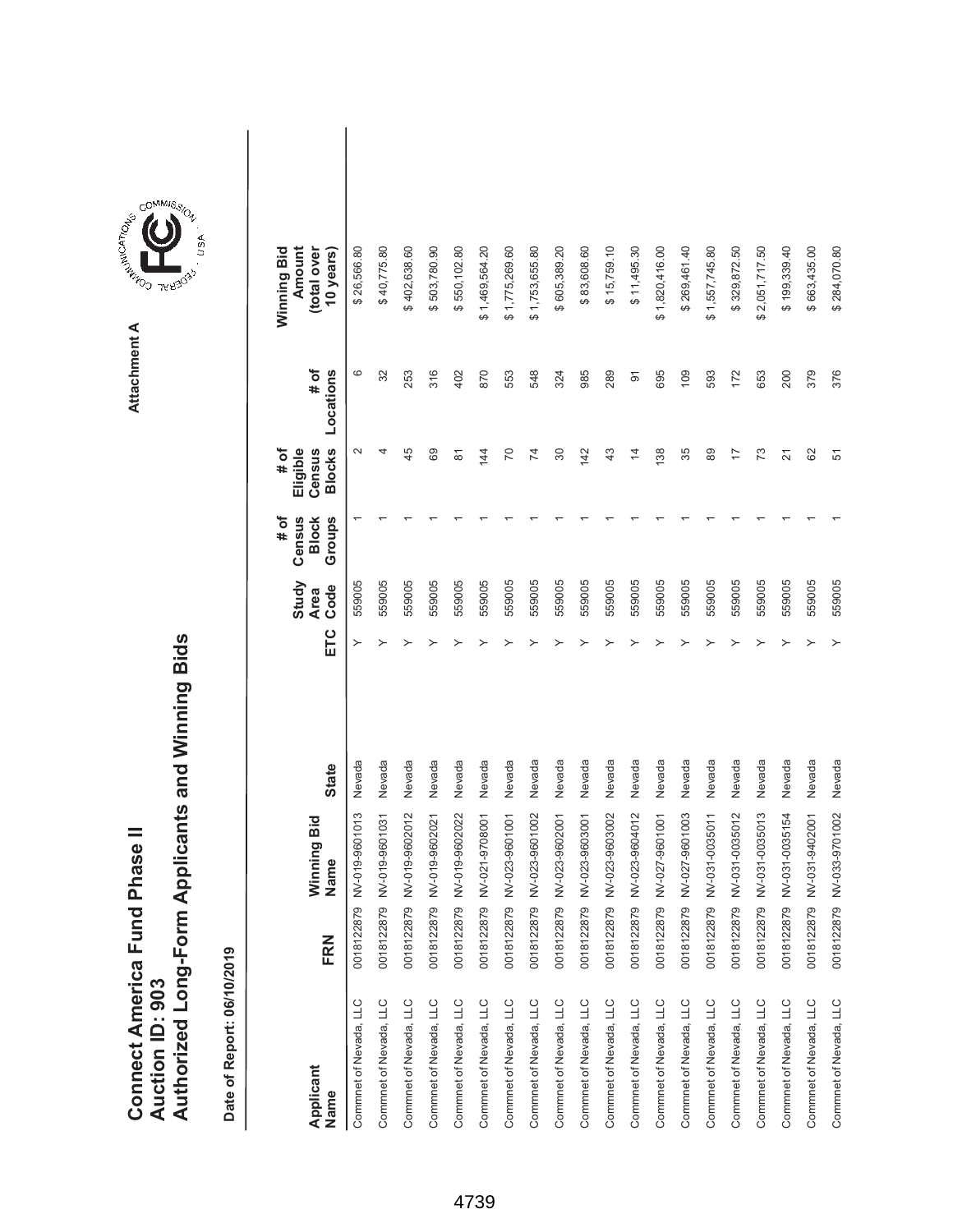|                               |                 | Authorized Long-Form Applicants and Winning Bids |
|-------------------------------|-----------------|--------------------------------------------------|
| Connect America Fund Phase II |                 |                                                  |
|                               |                 |                                                  |
|                               |                 |                                                  |
|                               |                 |                                                  |
|                               | Auction ID: 903 |                                                  |



**Attachment A**

| Applicant<br>Name      | FRN        | Winning Bid<br>Name | <b>State</b> | ETC | Study<br>Code<br><b>Area</b> | Census<br>Groups<br># of<br><b>Block</b> | <b>Blocks</b><br># of<br>Eligible<br>Census | # of<br>Locations | Winning Bid<br>Amount<br>(total over<br>10 years) |  |
|------------------------|------------|---------------------|--------------|-----|------------------------------|------------------------------------------|---------------------------------------------|-------------------|---------------------------------------------------|--|
| Commnet of Nevada, LLC | 0018122879 | NV-019-9601013      | Nevada       | ≻   | 559005                       |                                          | $\mathbf{\Omega}$                           | ဖ                 | \$26,566.80                                       |  |
| Commnet of Nevada, LLC | 0018122879 | NV-019-9601031      | Nevada       | ≻   | 559005                       |                                          | 4                                           | 32                | \$40,775.80                                       |  |
| Commnet of Nevada, LLC | 0018122879 | NV-019-9602012      | Nevada       |     | 559005                       |                                          | 45                                          | 253               | \$402,638.60                                      |  |
| Commnet of Nevada, LLC | 0018122879 | NV-019-9602021      | Nevada       |     | 559005                       |                                          | 89                                          | 316               | \$503,780.90                                      |  |
| Commnet of Nevada, LLC | 0018122879 | NV-019-9602022      | Nevada       |     | 559005                       |                                          | 81                                          | 402               | \$550,102.80                                      |  |
| Commnet of Nevada, LLC | 0018122879 | NV-021-9708001      | Nevada       |     | 559005                       |                                          | 144                                         | 870               | \$1,469,564.20                                    |  |
| Commnet of Nevada, LLC | 0018122879 | NV-023-9601001      | Nevada       |     | 559005                       |                                          | 20                                          | 553               | \$1,775,269.60                                    |  |
| Commnet of Nevada, LLC | 0018122879 | NV-023-9601002      | Nevada       |     | 559005                       |                                          | 74                                          | 548               | \$1,753,655.80                                    |  |
| Commnet of Nevada, LLC | 0018122879 | NV-023-9602001      | Nevada       |     | 559005                       |                                          | 80                                          | 324               | \$605,389.20                                      |  |
| Commnet of Nevada, LLC | 0018122879 | NV-023-9603001      | Nevada       |     | 559005                       |                                          | 142                                         | 985               | \$83,608.60                                       |  |
| Commnet of Nevada, LLC | 0018122879 | NV-023-9603002      | Nevada       |     | 559005                       |                                          | 43                                          | 289               | \$15,759.10                                       |  |
| Commnet of Nevada, LLC | 0018122879 | NV-023-9604012      | Nevada       |     | 559005                       |                                          | 4                                           | $\overline{5}$    | \$11,495.30                                       |  |
| Commnet of Nevada, LLC | 0018122879 | NV-027-9601001      | Nevada       |     | 559005                       |                                          | 138                                         | 695               | \$1,820,416.00                                    |  |
| Commnet of Nevada, LLC | 0018122879 | NV-027-9601003      | Nevada       |     | 559005                       |                                          | 35                                          | 109               | \$269,461.40                                      |  |
| Commnet of Nevada, LLC | 0018122879 | NV-031-0035011      | Nevada       |     | 559005                       |                                          | 89                                          | 593               | \$1,557,745.80                                    |  |
| Commnet of Nevada, LLC | 0018122879 | NV-031-0035012      | Nevada       |     | 559005                       |                                          | 17                                          | 172               | \$329,872.50                                      |  |
| Commnet of Nevada, LLC | 0018122879 | NV-031-0035013      | Nevada       |     | 559005                       |                                          | 73                                          | 653               | \$2,051,717.50                                    |  |
| Commnet of Nevada, LLC | 0018122879 | NV-031-0035154      | Nevada       |     | 559005                       |                                          | $\overline{2}$                              | 200               | \$199,339.40                                      |  |
| Commnet of Nevada, LLC | 0018122879 | NV-031-9402001      | Nevada       |     | 559005                       |                                          | 82                                          | 379               | \$663,435.00                                      |  |
| Commnet of Nevada, LLC | 0018122879 | NV-033-9701002      | Nevada       |     | 559005                       |                                          | 57                                          | 376               | \$284,070.80                                      |  |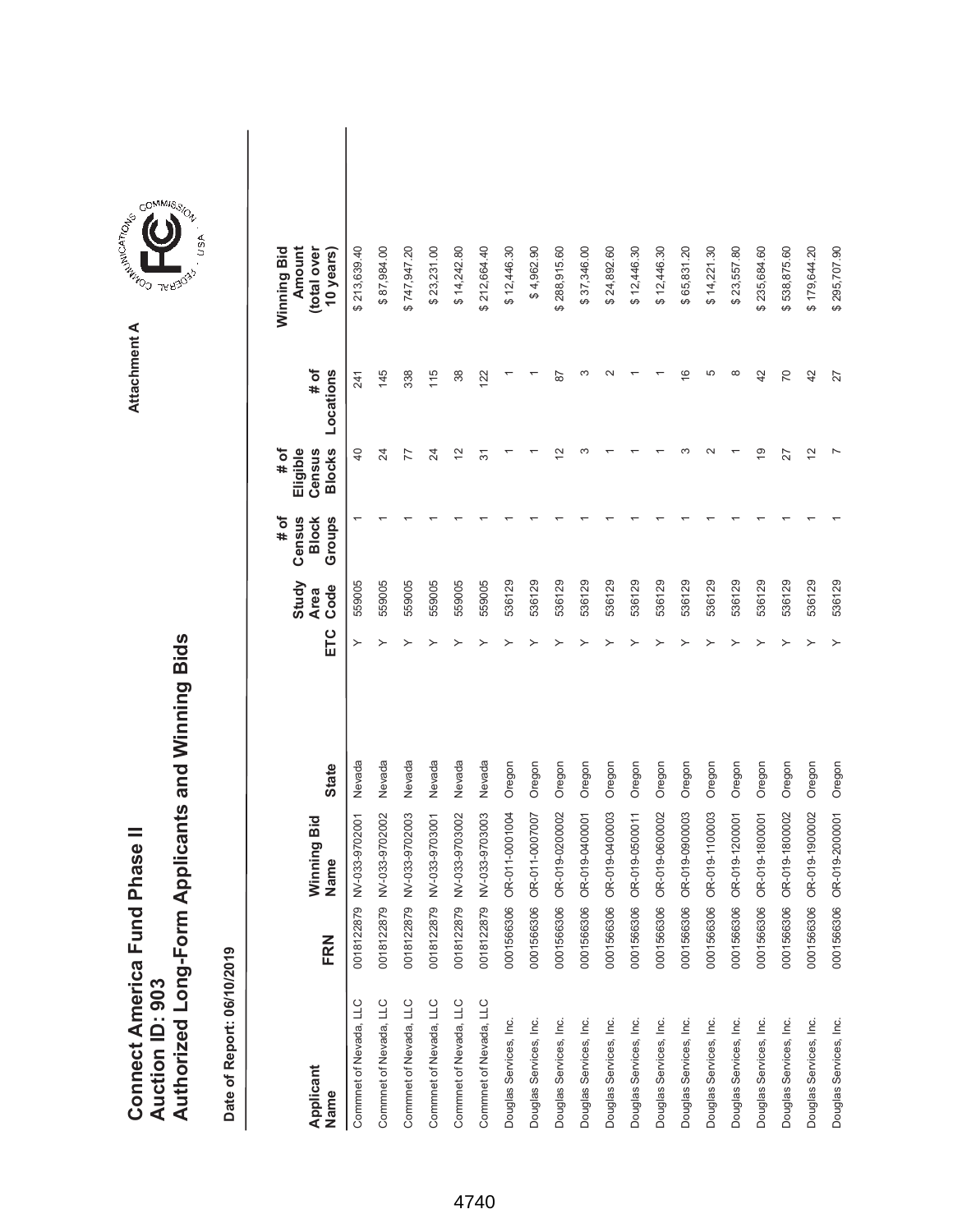|                               |                 | Authorized Long-Form Applicants and Winning Bids |
|-------------------------------|-----------------|--------------------------------------------------|
| Connect America Fund Phase II |                 |                                                  |
|                               |                 |                                                  |
|                               |                 |                                                  |
|                               |                 |                                                  |
|                               | Auction ID: 903 |                                                  |



| Applicant<br>Name      | FRN        | Winning Bid<br>Name | <b>State</b> | ETC | Study<br>Code<br><b>Area</b> | # of<br>Census<br>Groups<br><b>Block</b> | <b>Blocks</b><br>Eligible<br># of<br>Census | # of<br>Locations | Winning Bid<br>Amount<br>(total over<br>10 years) |  |
|------------------------|------------|---------------------|--------------|-----|------------------------------|------------------------------------------|---------------------------------------------|-------------------|---------------------------------------------------|--|
| Commnet of Nevada, LLC | 0018122879 | NV-033-9702001      | Nevada       | ≻   | 559005                       |                                          | $\overline{a}$                              | 241               | \$213,639.40                                      |  |
| Commnet of Nevada, LLC | 0018122879 | NV-033-9702002      | Nevada       |     | 559005                       |                                          | 24                                          | 145               | \$87,984.00                                       |  |
| Commnet of Nevada, LLC | 0018122879 | NV-033-9702003      | Nevada       |     | 559005                       |                                          | 77                                          | 338               | \$747,947.20                                      |  |
| Commnet of Nevada, LLC | 0018122879 | NV-033-9703001      | Nevada       |     | 559005                       |                                          | 24                                          | 115               | \$23,231.00                                       |  |
| Commnet of Nevada, LLC | 0018122879 | NV-033-9703002      | Nevada       |     | 559005                       |                                          | $\tilde{c}$                                 | 38                | \$14,242.80                                       |  |
| Commnet of Nevada, LLC | 0018122879 | NV-033-9703003      | Nevada       |     | 559005                       |                                          | 57                                          | 122               | \$212,664.40                                      |  |
| Douglas Services, Inc. | 0001566306 | OR-011-0001004      | Oregon       |     | 536129                       |                                          |                                             |                   | \$12,446.30                                       |  |
| Douglas Services, Inc. | 0001566306 | OR-011-0007007      | Oregon       |     | 536129                       |                                          |                                             |                   | \$4,962.90                                        |  |
| Douglas Services, Inc. | 0001566306 | OR-019-0200002      | Oregon       |     | 536129                       |                                          | ₽                                           | 78                | \$288,915.60                                      |  |
| Douglas Services, Inc. | 0001566306 | OR-019-0400001      | Oregon       |     | 536129                       |                                          |                                             | ∞                 | \$37,346.00                                       |  |
| Douglas Services, Inc. | 0001566306 | OR-019-0400003      | Oregon       |     | 536129                       |                                          |                                             | $\sim$            | \$24,892.60                                       |  |
| Douglas Services, Inc. | 0001566306 | OR-019-0500011      | Oregon       |     | 536129                       |                                          |                                             |                   | \$12,446.30                                       |  |
| Douglas Services, Inc. | 0001566306 | OR-019-0600002      | Oregon       |     | 536129                       |                                          |                                             |                   | \$12,446.30                                       |  |
| Douglas Services, Inc. | 0001566306 | OR-019-0900003      | Oregon       |     | 536129                       |                                          | ო                                           | $\frac{6}{5}$     | \$65,831.20                                       |  |
| Douglas Services, Inc. | 0001566306 | OR-019-1100003      | Oregon       |     | 536129                       |                                          | $\sim$                                      | 5                 | \$14,221.30                                       |  |
| Douglas Services, Inc. | 0001566306 | OR-019-1200001      | Oregon       |     | 536129                       |                                          |                                             | $\infty$          | \$23,557.80                                       |  |
| Douglas Services, Inc. | 0001566306 | OR-019-1800001      | Oregon       |     | 536129                       |                                          | $\overline{9}$                              | 42                | \$235,684.60                                      |  |
| Douglas Services, Inc. | 0001566306 | OR-019-1800002      | Oregon       |     | 536129                       |                                          | 27                                          | 70                | \$538,875.60                                      |  |
| Douglas Services, Inc. | 0001566306 | OR-019-1900002      | Oregon       |     | 536129                       |                                          | 12                                          | 42                | \$179,644.20                                      |  |
| Douglas Services, Inc. | 0001566306 | OR-019-2000001      | Oregon       | ≻   | 536129                       |                                          |                                             | 27                | \$295,707.90                                      |  |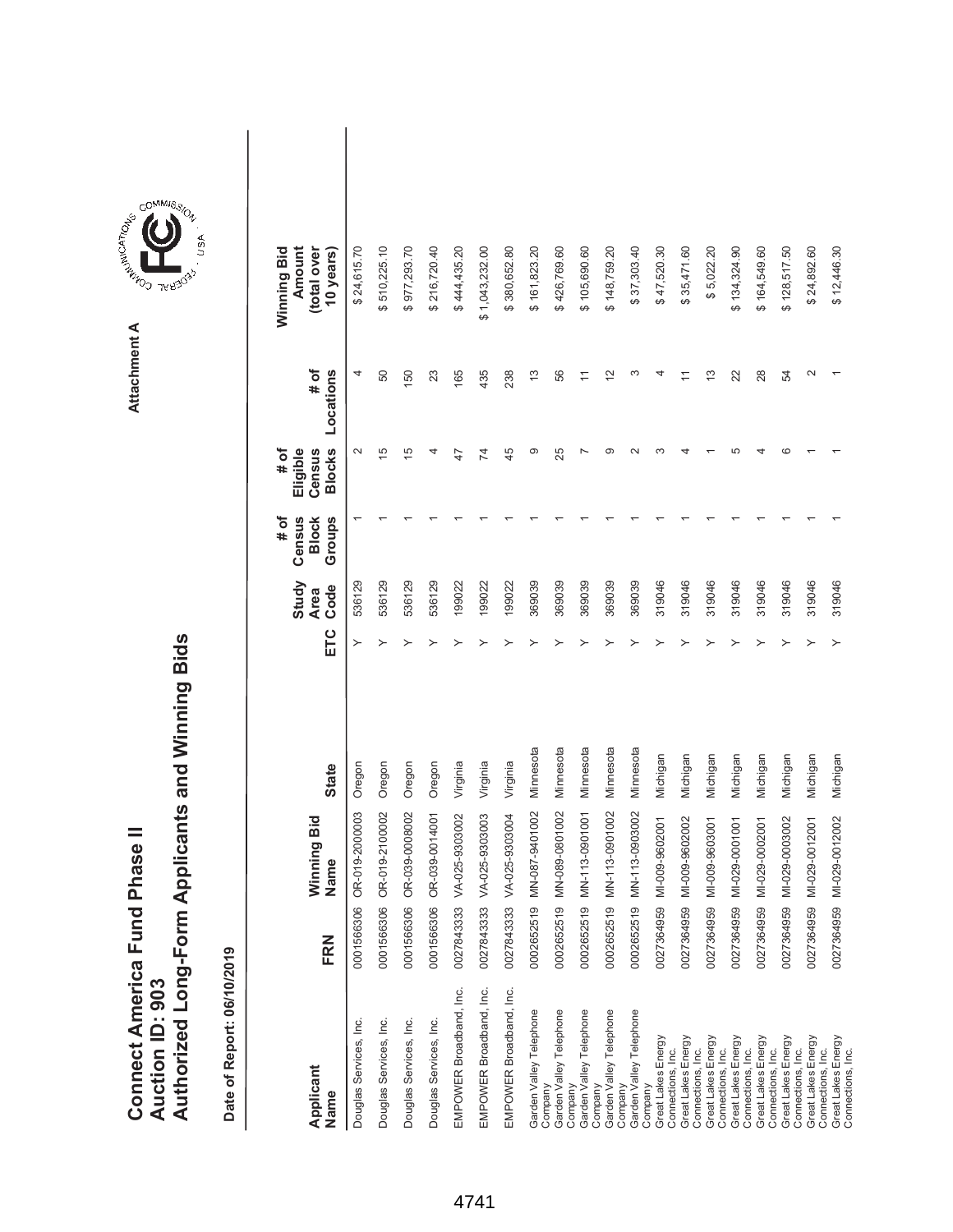|                               |                 | Authorized Long-Form Applicants and Winning Bids |
|-------------------------------|-----------------|--------------------------------------------------|
| Connect America Fund Phase II |                 |                                                  |
|                               |                 |                                                  |
|                               |                 |                                                  |
|                               |                 |                                                  |
|                               | Auction ID: 903 |                                                  |



| Applicant<br>Name                                            | FRN        | Winning Bid<br>Name | <b>State</b> | ETC | Study<br>Code<br><b>Area</b> | # of<br>Census<br>Groups<br><b>Block</b> | <b>Blocks</b><br>Eligible<br># of<br>Census | # of<br>Locations | Winning Bid<br>Amount<br>(total over<br>10 years) |  |
|--------------------------------------------------------------|------------|---------------------|--------------|-----|------------------------------|------------------------------------------|---------------------------------------------|-------------------|---------------------------------------------------|--|
| Douglas Services, Inc.                                       | 0001566306 | OR-019-2000003      | Oregon       | ≻   | 536129                       |                                          | $\sim$                                      | 4                 | \$24,615.70                                       |  |
| Douglas Services, Inc.                                       | 0001566306 | OR-019-2100002      | Oregon       |     | 536129                       |                                          | 15                                          | 50                | \$510,225.10                                      |  |
| Douglas Services, Inc.                                       | 0001566306 | OR-039-0008002      | Oregon       |     | 536129                       |                                          | 15                                          | 150               | \$977,293.70                                      |  |
| Douglas Services, Inc.                                       | 0001566306 | OR-039-0014001      | Oregon       |     | 536129                       |                                          | 4                                           | 23                | \$216,720.40                                      |  |
| EMPOWER Broadband, Inc.                                      | 0027843333 | VA-025-9303002      | Virginia     |     | 199022                       |                                          | 47                                          | 165               | \$444,435.20                                      |  |
| EMPOWER Broadband, Inc.                                      | 0027843333 | VA-025-9303003      | Virginia     |     | 199022                       |                                          | 74                                          | 435               | \$1,043,232.00                                    |  |
| EMPOWER Broadband, Inc.                                      | 0027843333 | VA-025-9303004      | Virginia     |     | 199022                       |                                          | 45                                          | 238               | \$380,652.80                                      |  |
| Garden Valley Telephone                                      | 0002652519 | MN-087-9401002      | Minnesota    |     | 369039                       |                                          | တ                                           | $\frac{3}{2}$     | \$161,823.20                                      |  |
| Garden Valley Telephone<br>Company<br>Company                | 0002652519 | MN-089-0801002      | Minnesota    |     | 369039                       |                                          | 25                                          | 56                | \$426,769.60                                      |  |
| Garden Valley Telephone<br>Company                           | 0002652519 | MN-113-0901001      | Minnesota    |     | 369039                       |                                          |                                             |                   | \$105,690.60                                      |  |
| Garden Valley Telephone<br>Company                           | 0002652519 | MN-113-0901002      | Minnesota    |     | 369039                       |                                          | σ                                           | $\tilde{c}$       | \$148,759.20                                      |  |
| Garden Valley Telephone                                      | 0002652519 | MN-113-0903002      | Minnesota    |     | 369039                       |                                          | $\scriptstyle\sim$                          | ო                 | \$37,303.40                                       |  |
| Great Lakes Energy<br>Company                                | 0027364959 | MI-009-9602001      | Michigan     |     | 319046                       |                                          |                                             |                   | \$47,520.30                                       |  |
| Great Lakes Energy<br>Connections, Inc.<br>Connections, Inc. | 0027364959 | MI-009-9602002      | Michigan     |     | 319046                       |                                          |                                             |                   | \$35,471.60                                       |  |
| Great Lakes Energy                                           | 0027364959 | MI-009-9603001      | Michigan     |     | 319046                       |                                          |                                             | $\frac{3}{2}$     | \$5,022.20                                        |  |
| Great Lakes Energy<br>Connections, Inc.                      | 0027364959 | MI-029-0001001      | Michigan     |     | 319046                       |                                          | ٢٢                                          | 22                | \$134,324.90                                      |  |
| Great Lakes Energy<br>Connections, Inc.                      | 0027364959 | MI-029-0002001      | Michigan     |     | 319046                       |                                          |                                             | 28                | \$164,549.60                                      |  |
| Great Lakes Energy<br>Connections, Inc.                      | 0027364959 | MI-029-0003002      | Michigan     |     | 319046                       |                                          | ca                                          | 54                | \$128,517.50                                      |  |
| Great Lakes Energy<br>Connections, Inc.                      | 0027364959 | MI-029-0012001      | Michigan     |     | 319046                       |                                          |                                             | $\sim$            | \$24,892.60                                       |  |
| Connections, Inc.                                            |            |                     |              |     |                              |                                          |                                             |                   |                                                   |  |
| Great Lakes Energy<br>Connections, Inc.                      | 0027364959 | MI-029-0012002      | Michigan     |     | 319046                       |                                          |                                             |                   | \$12,446.30                                       |  |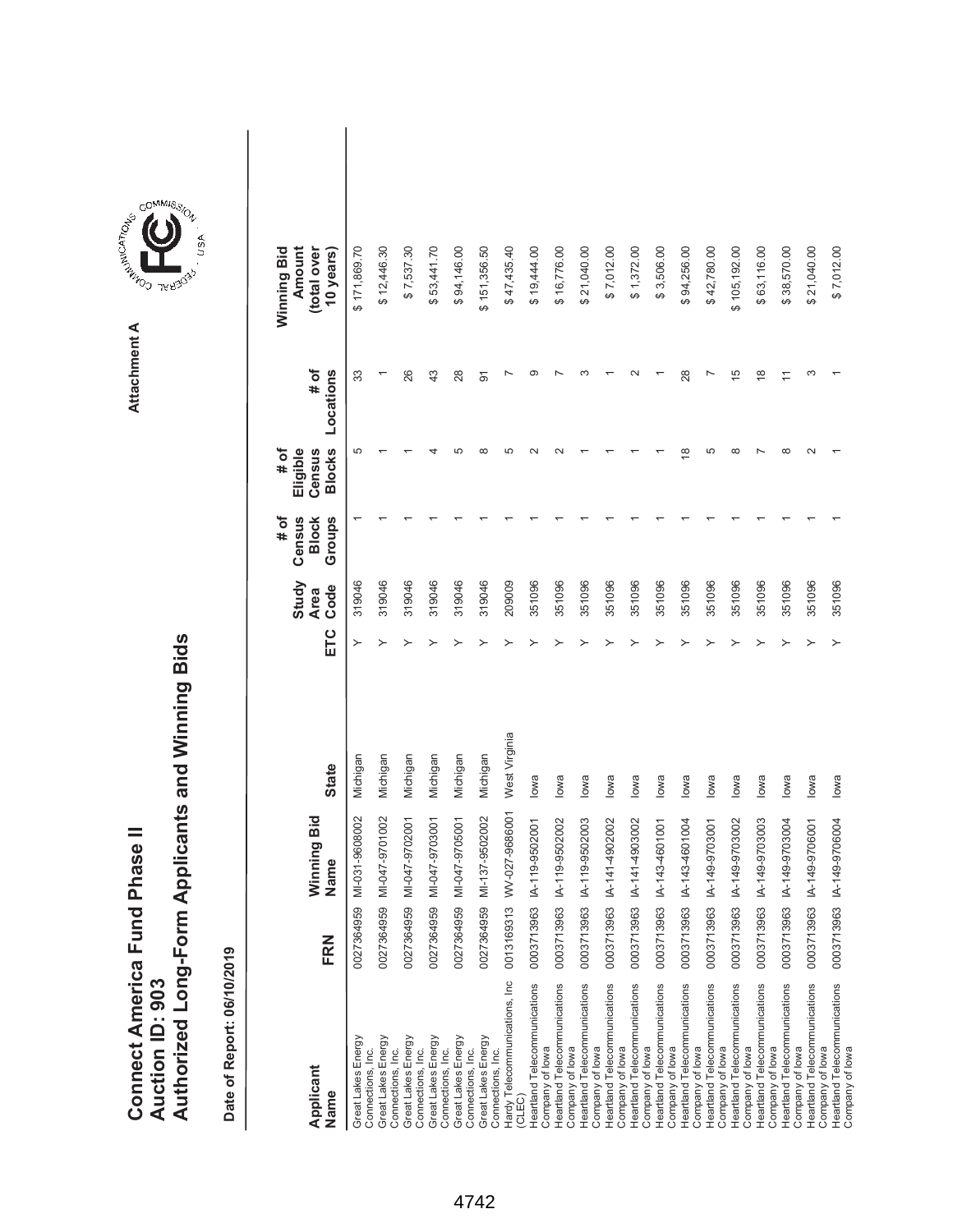|                               |                 | Authorized Long-Form Applicants and Winning Bids |
|-------------------------------|-----------------|--------------------------------------------------|
| Connect America Fund Phase II |                 |                                                  |
|                               |                 |                                                  |
|                               |                 |                                                  |
|                               |                 |                                                  |
|                               | Auction ID: 903 |                                                  |
|                               |                 |                                                  |
|                               |                 |                                                  |
|                               |                 |                                                  |



| Applicant<br>Name                               | FRN        | Winning Bid<br>Name | <b>State</b>  | ETC | Study<br>Code<br>Area | # of<br>Groups<br>Census<br><b>Block</b> | # of<br><b>Blocks</b><br>Census<br>Eligible | Locations<br># of | Winning Bid<br>Amount<br>(total over<br>10 years |  |
|-------------------------------------------------|------------|---------------------|---------------|-----|-----------------------|------------------------------------------|---------------------------------------------|-------------------|--------------------------------------------------|--|
| Great Lakes Energy<br>Connections, Inc.         | 0027364959 | MI-031-9608002      | Michigan      |     | 319046                |                                          | 5                                           | 33                | \$171,869.70                                     |  |
| Great Lakes Energy<br>Connections, Inc.         | 0027364959 | MI-047-9701002      | Michigan      |     | 319046                |                                          |                                             |                   | \$12,446.30                                      |  |
| Great Lakes Energy<br>Connections, Inc.         | 0027364959 | MI-047-9702001      | Michigan      |     | 319046                |                                          |                                             | 26                | \$7,537.30                                       |  |
| Great Lakes Energy<br>Connections, Inc.         | 0027364959 | MI-047-9703001      | Michigan      |     | 319046                |                                          |                                             | 43                | \$53,441.70                                      |  |
| Great Lakes Energy<br>Connections, Inc.         | 0027364959 | MI-047-9705001      | Michigan      |     | 319046                |                                          | ഥ                                           | 28                | \$94,146.00                                      |  |
| Great Lakes Energy<br>Connections, Inc.         | 0027364959 | MI-137-9502002      | Michigan      |     | 319046                |                                          | ∞                                           | $\overline{9}$    | \$151,356.50                                     |  |
| Hardy Telecommunications, Inc<br>CLEC)          | 0013169313 | WV-027-9686001      | West Virginia |     | 209009                |                                          |                                             |                   | \$47,435.40                                      |  |
| Heartland Telecommunications<br>Company of lowa | 0003713963 | IA-119-9502001      | lowa          |     | 351096                |                                          |                                             |                   | \$19,444.00                                      |  |
| Heartland Telecommunications<br>Company of lowa | 0003713963 | IA-119-9502002      | lowa          |     | 351096                |                                          |                                             |                   | \$16,776.00                                      |  |
| Heartland Telecommunications<br>Company of lowa | 0003713963 | IA-119-9502003      | lowa          |     | 351096                |                                          |                                             |                   | \$21,040.00                                      |  |
| Heartland Telecommunications<br>Company of lowa | 0003713963 | IA-141-4902002      | lowa          |     | 351096                |                                          |                                             |                   | \$7,012.00                                       |  |
| Heartland Telecommunications<br>Company of lowa | 0003713963 | IA-141-4903002      | lowa          |     | 351096                |                                          |                                             |                   | \$1,372.00                                       |  |
| Heartland Telecommunications<br>Company of lowa | 0003713963 | IA-143-4601001      | lowa          |     | 351096                |                                          |                                             |                   | \$3,506.00                                       |  |
| Heartland Telecommunications<br>Company of lowa | 0003713963 | IA-143-4601004      | lowa          |     | 351096                |                                          | ≌                                           | 28                | \$94,256.00                                      |  |
| Heartland Telecommunications<br>Company of lowa | 0003713963 | IA-149-9703001      | lowa          |     | 351096                |                                          | 5                                           |                   | \$42,780.00                                      |  |
| Heartland Telecommunications<br>Company of lowa | 0003713963 | IA-149-9703002      | lowa          |     | 351096                |                                          |                                             | $\frac{5}{1}$     | \$105,192.00                                     |  |
| Heartland Telecommunications<br>Company of lowa | 0003713963 | IA-149-9703003      | lowa          |     | 351096                |                                          |                                             | $\frac{8}{1}$     | \$63,116.00                                      |  |
| Heartland Telecommunications<br>Company of lowa | 0003713963 | IA-149-9703004      | lowa          |     | 351096                |                                          |                                             |                   | \$38,570.00                                      |  |
| Heartland Telecommunications<br>Company of lowa | 0003713963 | IA-149-9706001      | lowa          |     | 351096                |                                          |                                             | ∞                 | \$21,040.00                                      |  |
| Heartland Telecommunications<br>Company of lowa | 0003713963 | IA-149-9706004      | lowa          |     | 351096                |                                          |                                             |                   | \$7,012.00                                       |  |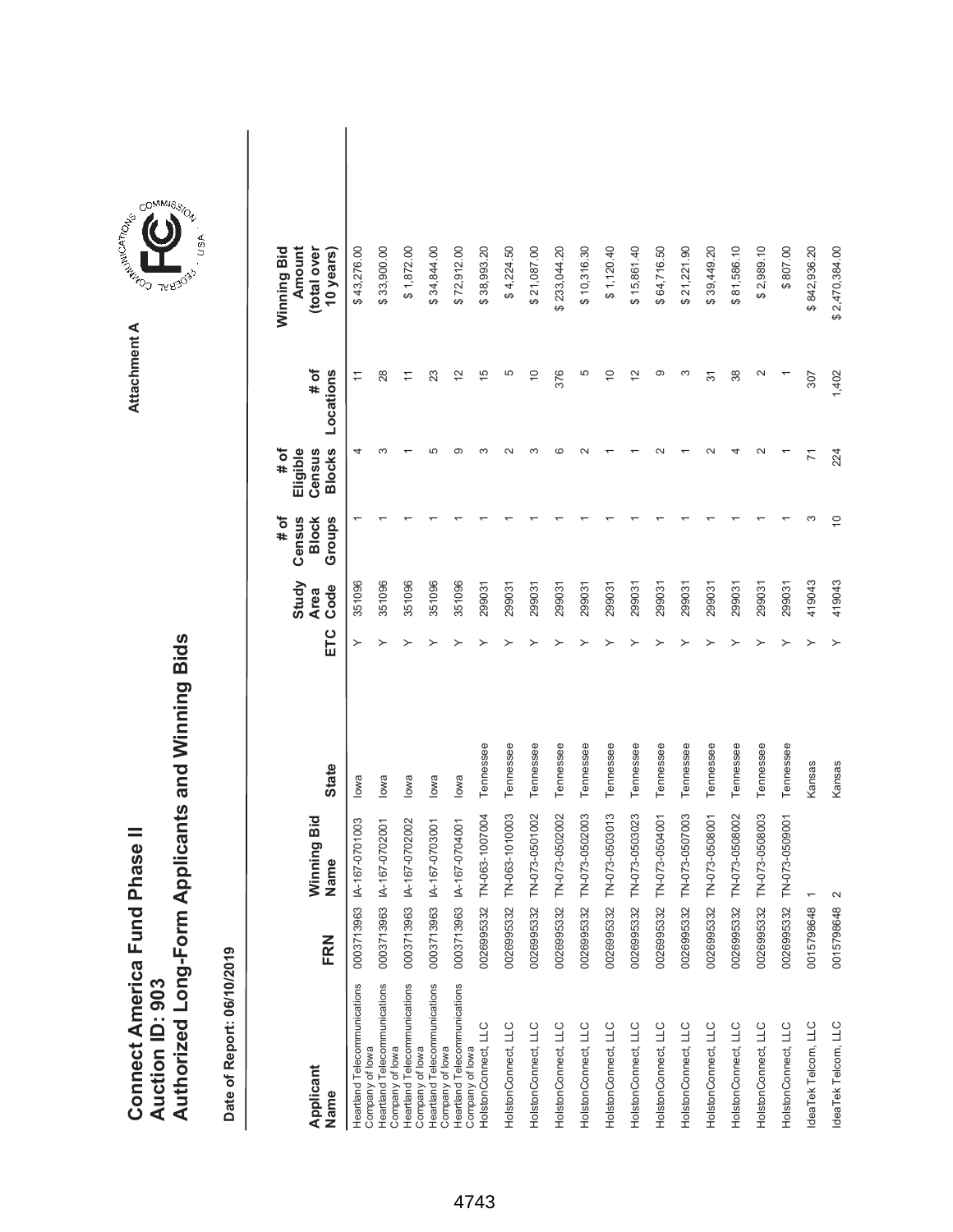|                               |                 | Authorized Long-Form Applicants and Winning Bids |
|-------------------------------|-----------------|--------------------------------------------------|
| Connect America Fund Phase II |                 |                                                  |
|                               |                 |                                                  |
|                               |                 |                                                  |
|                               |                 |                                                  |
|                               | Auction ID: 903 |                                                  |
|                               |                 |                                                  |
|                               |                 |                                                  |
|                               |                 |                                                  |



**Attachment A**

| Applicant<br>Name                               | FRN        | Winning Bid<br>Name | <b>State</b> | ETC | Study<br>Code<br><b>Area</b> | # of<br>Census<br>Groups<br><b>Block</b> | <b>Blocks</b><br>Eligible<br># of<br>Census | # of<br>Locations  | Winning Bid<br>Amount<br>(total over<br>10 years) |  |
|-------------------------------------------------|------------|---------------------|--------------|-----|------------------------------|------------------------------------------|---------------------------------------------|--------------------|---------------------------------------------------|--|
| Heartland Telecommunications<br>Company of lowa | 0003713963 | IA-167-0701003      | lowa         |     | 351096                       |                                          | 4                                           | $\overline{1}$     | \$43,276.00                                       |  |
| Heartland Telecommunications<br>Company of lowa | 0003713963 | IA-167-0702001      | lowa         |     | 351096                       |                                          |                                             | 28                 | \$33,900.00                                       |  |
| Heartland Telecommunications<br>Company of lowa | 0003713963 | IA-167-0702002      | lowa         |     | 351096                       |                                          |                                             | $\overline{1}$     | \$1,872.00                                        |  |
| Heartland Telecommunications<br>Company of lowa | 0003713963 | IA-167-0703001      | lowa         |     | 351096                       |                                          |                                             | 23                 | \$34,844.00                                       |  |
| Heartland Telecommunications                    | 0003713963 | IA-167-0704001      | lowa         |     | 351096                       |                                          | ග                                           | $\frac{2}{3}$      | \$72,912.00                                       |  |
| HolstonConnect, LLC<br>Company of lowa          | 0026995332 | TN-063-1007004      | Tennessee    |     | 299031                       |                                          |                                             | $\frac{5}{1}$      | \$38,993.20                                       |  |
| HolstonConnect, LLC                             | 0026995332 | TN-063-1010003      | Tennessee    |     | 299031                       |                                          |                                             | 5                  | \$4,224.50                                        |  |
| HolstonConnect, LLC                             | 0026995332 | TN-073-0501002      | Tennessee    |     | 299031                       |                                          |                                             | $\overline{0}$     | \$21,087.00                                       |  |
| HolstonConnect, LLC                             | 0026995332 | TN-073-0502002      | Tennessee    |     | 299031                       |                                          |                                             | 376                | \$233,044.20                                      |  |
| HolstonConnect, LLC                             | 0026995332 | TN-073-0502003      | Tennessee    |     | 299031                       |                                          |                                             | 5                  | \$10,316.30                                       |  |
| HolstonConnect, LLC                             | 0026995332 | TN-073-0503013      | Tennessee    |     | 299031                       |                                          |                                             | $\overline{C}$     | \$1,120.40                                        |  |
| HolstonConnect, LLC                             | 0026995332 | TN-073-0503023      | Tennessee    |     | 299031                       |                                          |                                             | $\tilde{c}$        | \$15,861.40                                       |  |
| HolstonConnect, LLC                             | 0026995332 | TN-073-0504001      | Tennessee    |     | 299031                       |                                          |                                             | ග                  | \$64,716.50                                       |  |
| HolstonConnect, LLC                             | 0026995332 | TN-073-0507003      | Tennessee    |     | 299031                       |                                          |                                             | S                  | \$21,221.90                                       |  |
| HolstonConnect, LLC                             | 0026995332 | TN-073-0508001      | Tennessee    |     | 299031                       |                                          |                                             | $\overline{5}$     | \$39,449.20                                       |  |
| HolstonConnect, LLC                             | 0026995332 | TN-073-0508002      | Tennessee    |     | 299031                       |                                          |                                             | 38                 | \$81,586.10                                       |  |
| HolstonConnect, LLC                             | 0026995332 | TN-073-0508003      | Tennessee    |     | 299031                       |                                          |                                             | $\scriptstyle\sim$ | \$2,989.10                                        |  |
| HolstonConnect, LLC                             | 0026995332 | TN-073-0509001      | Tennessee    |     | 299031                       |                                          |                                             |                    | \$807.00                                          |  |
| IdeaTek Telcom, LLC                             | 0015798648 |                     | Kansas       |     | 419043                       | ო                                        | 71                                          | 307                | \$842,936.20                                      |  |
| IdeaTek Telcom, LLC                             | 0015798648 |                     | Kansas       |     | 419043                       | $\overline{C}$                           | 224                                         | 1,402              | \$2,470,384.00                                    |  |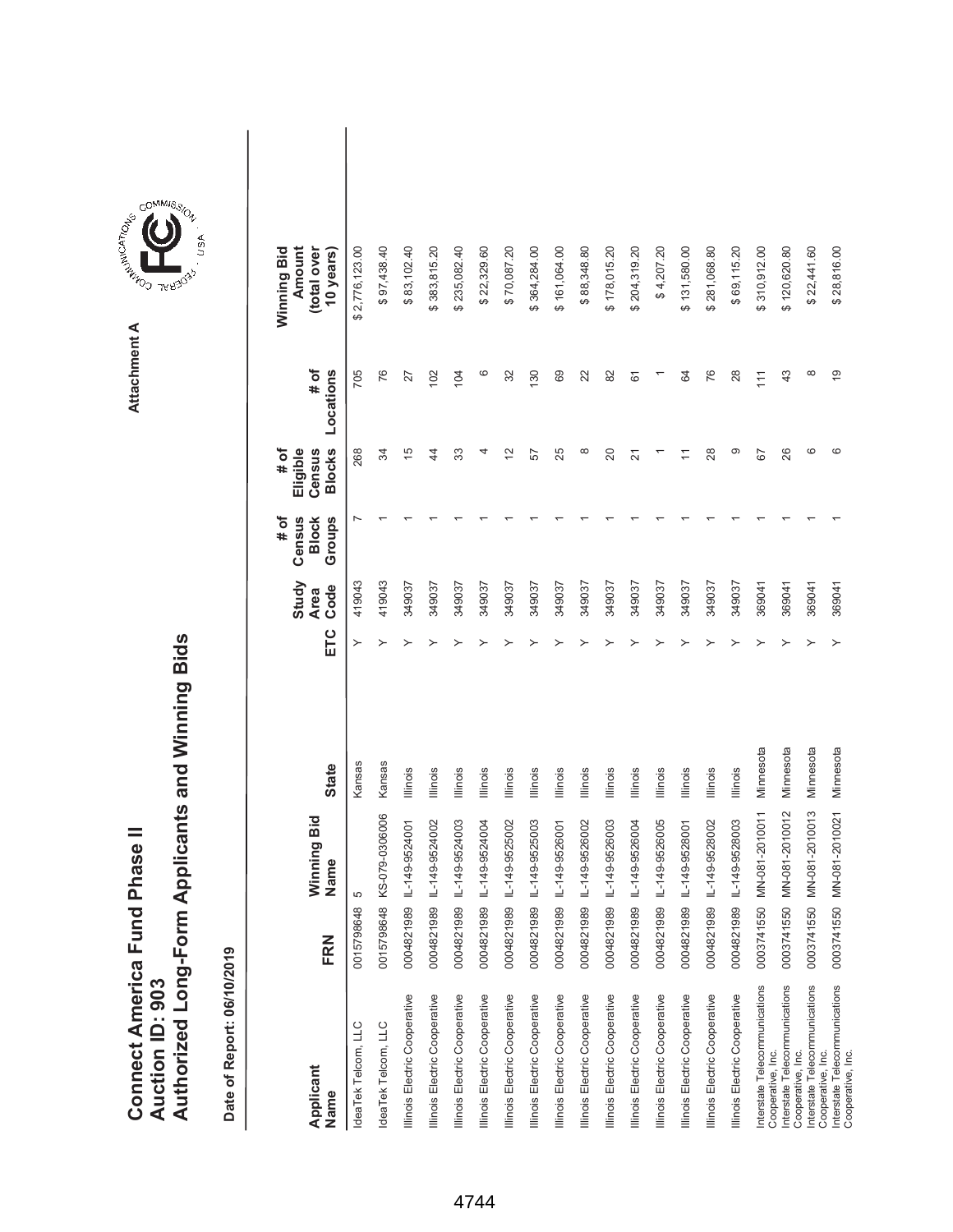|                               |                        | Authorized Long-Form Applicants and Winning Bids |
|-------------------------------|------------------------|--------------------------------------------------|
| Connect America Fund Phase II | <b>Auction ID: 903</b> |                                                  |
|                               |                        |                                                  |



| Applicant<br>Name                                  | FRN        | Winning Bid<br>Name | <b>State</b>    | ETC | Study<br>Code<br><b>Area</b> | Census<br># of<br>Groups<br><b>Block</b> | <b>Blocks</b><br>Eligible<br># of<br>Census | # of<br>Locations | Winning Bid<br>Amount<br>(total over<br>10 years) |  |
|----------------------------------------------------|------------|---------------------|-----------------|-----|------------------------------|------------------------------------------|---------------------------------------------|-------------------|---------------------------------------------------|--|
| IdeaTek Telcom, LLC                                | 0015798648 | 5                   | Kansas          | ≻   | 419043                       |                                          | 268                                         | 705               | 2,776,123.00<br>ക                                 |  |
| deaTek Telcom, LLC                                 | 0015798648 | KS-079-0306006      | Kansas          |     | 419043                       |                                          | R                                           | 76                | \$97,438.40                                       |  |
| Illinois Electric Cooperative                      | 0004821989 | IL-149-9524001      | <b>Illinois</b> |     | 349037                       |                                          | $\frac{5}{2}$                               | 27                | \$83,102.40                                       |  |
| Illinois Electric Cooperative                      | 0004821989 | IL-149-9524002      | Illinois        |     | 349037                       |                                          | 4                                           | 102               | \$383,815.20                                      |  |
| Illinois Electric Cooperative                      | 0004821989 | IL-149-9524003      | Illinois        |     | 349037                       |                                          | 33                                          | 104               | \$235,082.40                                      |  |
| Illinois Electric Cooperative                      | 0004821989 | IL-149-9524004      | <b>Illinois</b> |     | 349037                       |                                          | 4                                           | ဖ                 | \$22,329.60                                       |  |
| Illinois Electric Cooperative                      | 0004821989 | IL-149-9525002      | <b>Illinois</b> |     | 349037                       |                                          | $\overline{2}$                              | 32                | \$70,087.20                                       |  |
| Illinois Electric Cooperative                      | 0004821989 | IL-149-9525003      | <b>Illinois</b> |     | 349037                       |                                          | 57                                          | 130               | \$364,284.00                                      |  |
| Illinois Electric Cooperative                      | 0004821989 | IL-149-9526001      | Illinois        |     | 349037                       |                                          | 25                                          | 69                | \$161,064.00                                      |  |
| Illinois Electric Cooperative                      | 0004821989 | IL-149-9526002      | <b>Illinois</b> |     | 349037                       |                                          | $\infty$                                    | 22                | \$88,348.80                                       |  |
| Illinois Electric Cooperative                      | 0004821989 | IL-149-9526003      | Illinois        |     | 349037                       |                                          | $\overline{20}$                             | 82                | \$178,015.20                                      |  |
| Illinois Electric Cooperative                      | 0004821989 | IL-149-9526004      | <b>Illinois</b> |     | 349037                       |                                          | $\overline{N}$                              | 61                | \$204,319.20                                      |  |
| Illinois Electric Cooperative                      | 0004821989 | IL-149-9526005      | <b>Illinois</b> |     | 349037                       |                                          |                                             |                   | \$4,207.20                                        |  |
| Illinois Electric Cooperative                      | 0004821989 | IL-149-9528001      | Illinois        |     | 349037                       |                                          |                                             | 84                | \$131,580.00                                      |  |
| Illinois Electric Cooperative                      | 0004821989 | IL-149-9528002      | <b>Illinois</b> |     | 349037                       |                                          | 28                                          | 76                | \$281,068.80                                      |  |
| Illinois Electric Cooperative                      | 0004821989 | IL-149-9528003      | Illinois        |     | 349037                       |                                          | တ                                           | 28                | \$69,115.20                                       |  |
| Interstate Telecommunications<br>Cooperative, Inc. | 0003741550 | MN-081-2010011      | Minnesota       |     | 369041                       |                                          | 67                                          | 111               | \$310,912.00                                      |  |
| Interstate Telecommunications<br>Cooperative, Inc. | 0003741550 | MN-081-2010012      | Minnesota       |     | 369041                       |                                          | 26                                          | 43                | \$120,620.80                                      |  |
| Interstate Telecommunications<br>Cooperative, Inc. | 0003741550 | MN-081-2010013      | Minnesota       |     | 369041                       |                                          | ဖ                                           |                   | \$22,441.60                                       |  |
| Interstate Telecommunications<br>Cooperative, Inc. | 0003741550 | MN-081-2010021      | Minnesota       |     | 369041                       |                                          | ဖ                                           | $\overline{9}$    | \$28,816.00                                       |  |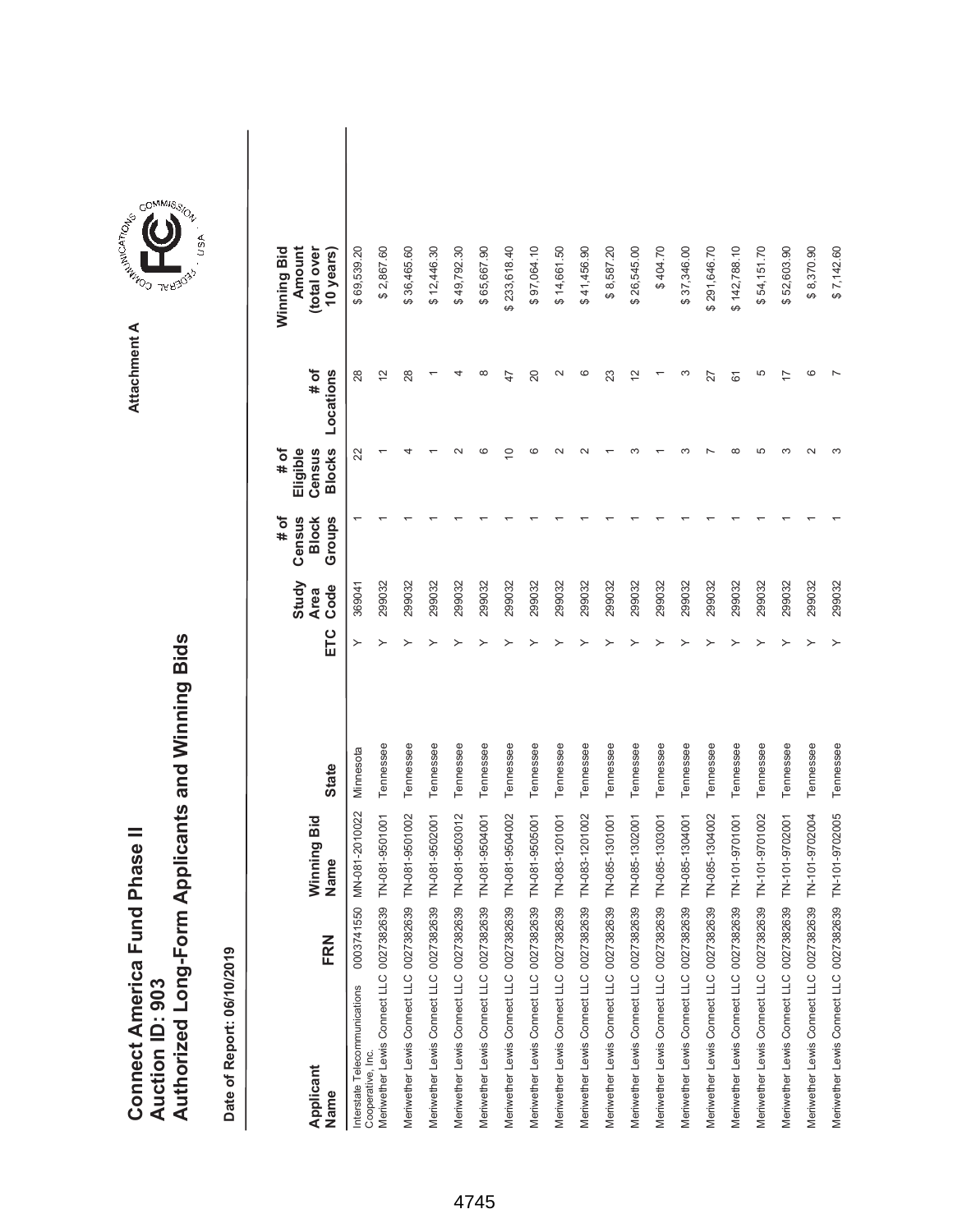| Connect America Fund Phase II | Auction ID: 903 | kuthorized Long-Form Applicants and Winning Bids |
|-------------------------------|-----------------|--------------------------------------------------|



| Applicant<br>Name                                  | FRN        | Winning Bid<br>Name | <b>State</b> | ETC | Study<br>Code<br><b>Area</b> | # of<br>Census<br><b>Block</b><br>Groups | <b>Blocks</b><br>Eligible<br># of<br>Census | # of<br>Locations | Amount<br>Winning Bid<br>(total over<br>10 years) |  |
|----------------------------------------------------|------------|---------------------|--------------|-----|------------------------------|------------------------------------------|---------------------------------------------|-------------------|---------------------------------------------------|--|
| Interstate Telecommunications<br>Cooperative, Inc. | 0003741550 | MN-081-2010022      | Minnesota    | ≻   | 369041                       |                                          | 22                                          | 28                | \$69,539.20                                       |  |
| Meriwether Lewis Connect LLC 0027382639            |            | TN-081-9501001      | Tennessee    |     | 299032                       |                                          |                                             | $\overline{c}$    | \$2,867.60                                        |  |
| Meriwether Lewis Connect LLC 0027382639            |            | TN-081-9501002      | Tennessee    |     | 299032                       |                                          |                                             | 28                | \$36,465.60                                       |  |
| Meriwether Lewis Connect LLC 0027382639            |            | TN-081-9502001      | Tennessee    |     | 299032                       |                                          |                                             |                   | \$12,446.30                                       |  |
| Meriwether Lewis Connect LLC 0027382639            |            | TN-081-9503012      | Tennessee    |     | 299032                       |                                          |                                             |                   | \$49,792.30                                       |  |
| Meriwether Lewis Connect LLC 0027382639            |            | TN-081-9504001      | Tennessee    |     | 299032                       |                                          | ဖ                                           |                   | \$65,667.90                                       |  |
| Meriwether Lewis Connect LLC 0027382639            |            | TN-081-9504002      | Tennessee    |     | 299032                       |                                          | ∘                                           | 47                | \$233,618.40                                      |  |
| Meriwether Lewis Connect LLC 0027382639            |            | TN-081-9505001      | Tennessee    |     | 299032                       |                                          | G                                           | 20                | \$97,064.10                                       |  |
| Meriwether Lewis Connect LLC 0027382639            |            | TN-083-1201001      | Tennessee    |     | 299032                       |                                          |                                             |                   | \$14,661.50                                       |  |
| Meriwether Lewis Connect LLC 0027382639            |            | TN-083-1201002      | Tennessee    |     | 299032                       |                                          |                                             | ဖ                 | \$41,456.90                                       |  |
| Meriwether Lewis Connect LLC 0027382639            |            | TN-085-1301001      | Tennessee    |     | 299032                       |                                          |                                             | 23                | \$8,587.20                                        |  |
| Meriwether Lewis Connect LLC 0027382639            |            | TN-085-1302001      | Tennessee    |     | 299032                       |                                          |                                             | 12                | \$26,545.00                                       |  |
| Meriwether Lewis Connect LLC 0027382639            |            | TN-085-1303001      | Tennessee    |     | 299032                       |                                          |                                             |                   | \$404.70                                          |  |
| Meriwether Lewis Connect LLC 0027382639            |            | TN-085-1304001      | Tennessee    |     | 299032                       |                                          |                                             | ∞                 | \$37,346.00                                       |  |
| Meriwether Lewis Connect LLC 0027382639            |            | TN-085-1304002      | Tennessee    |     | 299032                       |                                          |                                             | 27                | \$291,646.70                                      |  |
| Meriwether Lewis Connect LLC 0027382639            |            | TN-101-9701001      | Tennessee    |     | 299032                       |                                          | $\infty$                                    | 61                | \$142,788.10                                      |  |
| Meriwether Lewis Connect LLC 0027382639            |            | TN-101-9701002      | Tennessee    |     | 299032                       |                                          | LO                                          | 5                 | \$54,151.70                                       |  |
| Meriwether Lewis Connect LLC 0027382639            |            | TN-101-9702001      | Tennessee    |     | 299032                       |                                          |                                             |                   | \$52,603.90                                       |  |
| Meriwether Lewis Connect LLC 0027382639            |            | TN-101-9702004      | Tennessee    |     | 299032                       |                                          |                                             |                   | \$8,370.90                                        |  |
| Meriwether Lewis Connect LLC 0027382639            |            | TN-101-9702005      | Tennessee    |     | 299032                       |                                          |                                             |                   | \$7,142.60                                        |  |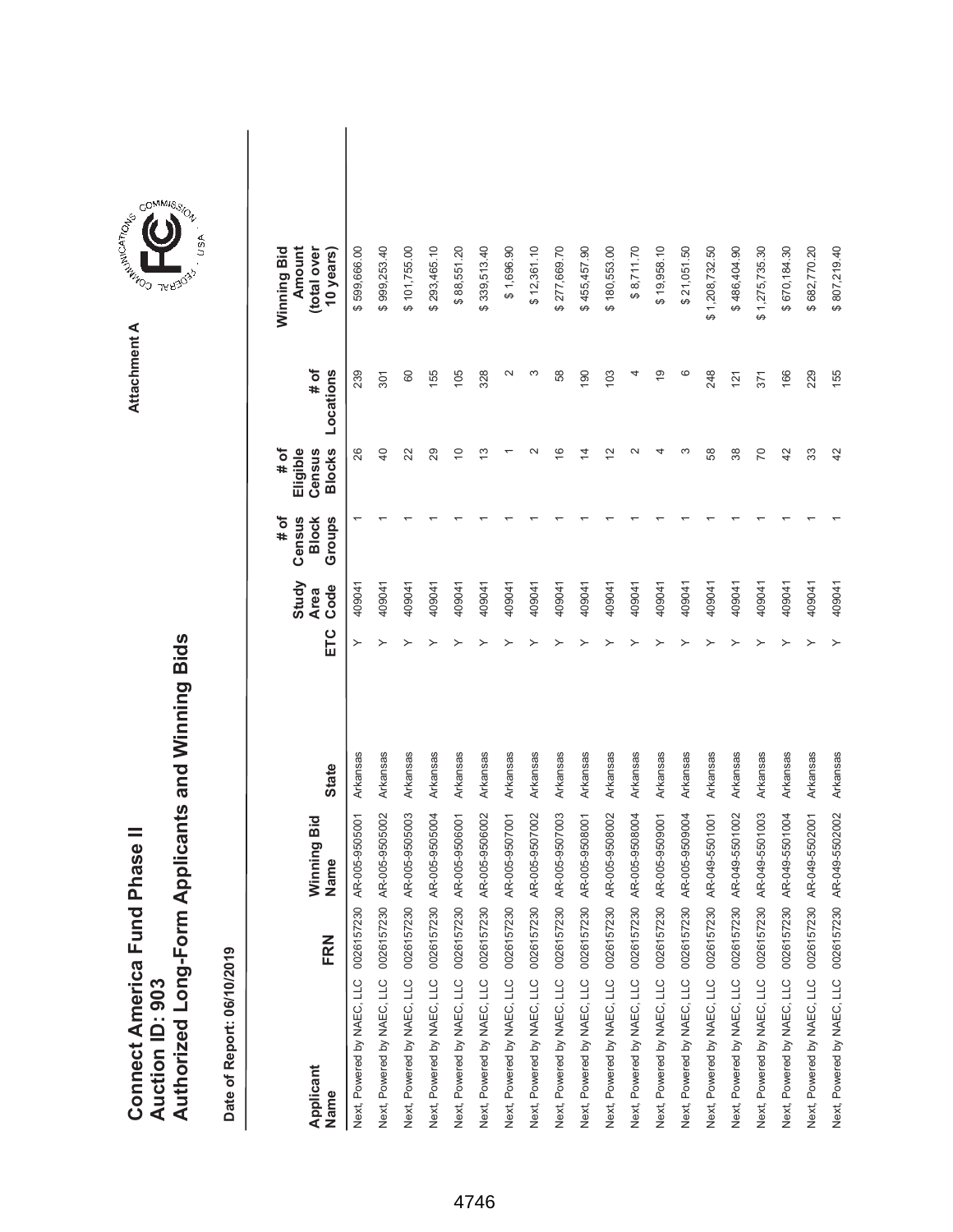|                               |                 | Authorized Long-Form Applicants and Winning Bids |
|-------------------------------|-----------------|--------------------------------------------------|
| Connect America Fund Phase II |                 |                                                  |
|                               |                 |                                                  |
|                               |                 |                                                  |
|                               |                 |                                                  |
|                               | Auction ID: 903 |                                                  |



| Applicant<br>Name                     | FRN | Winning Bid<br>Name | <b>State</b> | ETC | Study<br>Code<br><b>Area</b> | Census<br>Groups<br># of<br><b>Block</b> | <b>Blocks</b><br># of<br>Eligible<br>Census | # of<br>Locations | Amount<br>Winning Bid<br>(total over<br>10 years) |
|---------------------------------------|-----|---------------------|--------------|-----|------------------------------|------------------------------------------|---------------------------------------------|-------------------|---------------------------------------------------|
| Next, Powered by NAEC, LLC 0026157230 |     | AR-005-9505001      | Arkansas     | ≻   | 409041                       |                                          | 26                                          | 239               | \$599,666.00                                      |
| Next, Powered by NAEC, LLC 0026157230 |     | AR-005-9505002      | Arkansas     | ≻   | 409041                       |                                          | $\overline{a}$                              | 301               | \$999,253.40                                      |
| Next, Powered by NAEC, LLC 0026157230 |     | AR-005-9505003      | Arkansas     |     | 409041                       |                                          | 22                                          | 60                | \$101,755.00                                      |
| Next, Powered by NAEC, LLC 0026157230 |     | AR-005-9505004      | Arkansas     |     | 409041                       |                                          | 29                                          | 155               | \$293,465.10                                      |
| Next, Powered by NAEC, LLC 0026157230 |     | AR-005-9506001      | Arkansas     |     | 409041                       |                                          | $\Rightarrow$                               | 105               | \$88,551.20                                       |
| Next, Powered by NAEC, LLC 0026157230 |     | AR-005-9506002      | Arkansas     |     | 409041                       |                                          | <u>ლ</u>                                    | 328               | \$339,513.40                                      |
| Next, Powered by NAEC, LLC 0026157230 |     | AR-005-9507001      | Arkansas     |     | 409041                       |                                          |                                             | $\mathbf{\sim}$   | \$1,696.90                                        |
| Next, Powered by NAEC, LLC 0026157230 |     | AR-005-9507002      | Arkansas     |     | 409041                       |                                          |                                             | ω                 | \$12,361.10                                       |
| Next, Powered by NAEC, LLC 0026157230 |     | AR-005-9507003      | Arkansas     |     | 409041                       |                                          | $\frac{6}{5}$                               | 58                | \$277,669.70                                      |
| Next, Powered by NAEC, LLC 0026157230 |     | AR-005-9508001      | Arkansas     |     | 409041                       |                                          | 4                                           | 190               | 455,457.90<br>မာ                                  |
| Next, Powered by NAEC, LLC 0026157230 |     | AR-005-9508002      | Arkansas     |     | 409041                       |                                          | $\tilde{c}$                                 | 103               | \$180,553.00                                      |
| Next, Powered by NAEC, LLC 0026157230 |     | AR-005-9508004      | Arkansas     |     | 409041                       |                                          |                                             | 4                 | \$8,711.70                                        |
| Next, Powered by NAEC, LLC 0026157230 |     | AR-005-9509001      | Arkansas     |     | 409041                       |                                          |                                             | $\frac{6}{5}$     | \$19,958.10                                       |
| Next, Powered by NAEC, LLC 0026157230 |     | AR-005-9509004      | Arkansas     |     | 409041                       |                                          | ∞                                           | ဖ                 | \$21,051.50                                       |
| Next, Powered by NAEC, LLC 0026157230 |     | AR-049-5501001      | Arkansas     |     | 409041                       |                                          | 58                                          | 248               | \$1,208,732.50                                    |
| Next, Powered by NAEC, LLC 0026157230 |     | AR-049-5501002      | Arkansas     |     | 409041                       |                                          | 38                                          | 121               | \$486,404.90                                      |
| Next, Powered by NAEC, LLC 0026157230 |     | AR-049-5501003      | Arkansas     |     | 409041                       |                                          | 20                                          | 371               | \$1,275,735.30                                    |
| Next, Powered by NAEC, LLC 0026157230 |     | AR-049-5501004      | Arkansas     |     | 409041                       |                                          | 42                                          | 166               | \$670,184.30                                      |
| Next, Powered by NAEC, LLC 0026157230 |     | AR-049-5502001      | Arkansas     |     | 409041                       |                                          | 33                                          | 229               | \$682,770.20                                      |
| Next, Powered by NAEC, LLC 0026157230 |     | AR-049-5502002      | Arkansas     | ≻   | 409041                       |                                          | 42                                          | 155               | \$807,219.40                                      |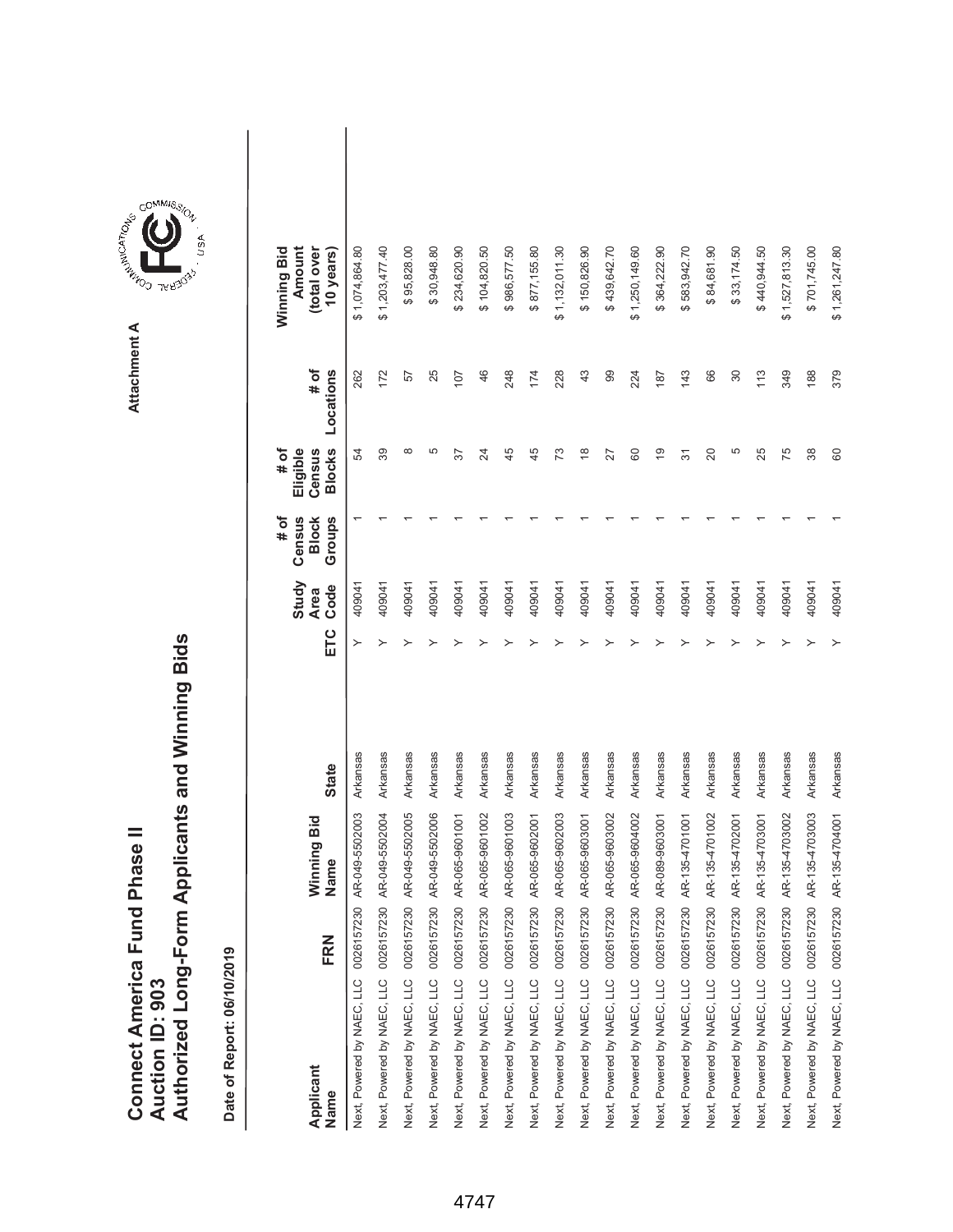|                               |                 | Authorized Long-Form Applicants and Winning Bids |
|-------------------------------|-----------------|--------------------------------------------------|
|                               |                 |                                                  |
| Connect America Fund Phase II | Auction ID: 903 |                                                  |



**Attachment A**

| Applicant<br>Name                     | FRN | Winning Bid<br>Name | <b>State</b> | ETC | Study<br>Code<br><b>Area</b> | # of<br>Census<br>Groups<br><b>Block</b> | <b>Blocks</b><br>Eligible<br># of<br>Census | # of<br>Locations | Winning Bid<br>Amount<br>(total over<br>10 years) |  |
|---------------------------------------|-----|---------------------|--------------|-----|------------------------------|------------------------------------------|---------------------------------------------|-------------------|---------------------------------------------------|--|
| Next, Powered by NAEC, LLC 0026157230 |     | AR-049-5502003      | Arkansas     |     | 409041                       |                                          | 54                                          | 262               | \$1,074,864.80                                    |  |
| Next, Powered by NAEC, LLC 0026157230 |     | AR-049-5502004      | Arkansas     | ≻   | 409041                       |                                          | 39                                          | 172               | \$1,203,477.40                                    |  |
| Next, Powered by NAEC, LLC 0026157230 |     | AR-049-5502005      | Arkansas     |     | 409041                       |                                          | $^{\circ}$                                  | 57                | \$95,828.00                                       |  |
| Next, Powered by NAEC, LLC 0026157230 |     | AR-049-5502006      | Arkansas     |     | 409041                       |                                          | 5                                           | 25                | \$30,948.80                                       |  |
| Next, Powered by NAEC, LLC 0026157230 |     | AR-065-9601001      | Arkansas     |     | 409041                       |                                          | 57                                          | 107               | \$234,620.90                                      |  |
| Next, Powered by NAEC, LLC 0026157230 |     | AR-065-9601002      | Arkansas     |     | 409041                       |                                          | 24                                          | 46                | \$104,820.50                                      |  |
| Next, Powered by NAEC, LLC 0026157230 |     | AR-065-9601003      | Arkansas     |     | 409041                       |                                          | 45                                          | 248               | \$986,577.50                                      |  |
| Next, Powered by NAEC, LLC 0026157230 |     | AR-065-9602001      | Arkansas     |     | 409041                       |                                          | 45                                          | 174               | \$877,155.80                                      |  |
| Next, Powered by NAEC, LLC 0026157230 |     | AR-065-9602003      | Arkansas     |     | 409041                       |                                          | 73                                          | 228               | \$1,132,011.30                                    |  |
| Next, Powered by NAEC, LLC 0026157230 |     | AR-065-9603001      | Arkansas     |     | 409041                       |                                          | $\overset{\infty}{\rightarrow}$             | 43                | \$150,826.90                                      |  |
| Next, Powered by NAEC, LLC 0026157230 |     | AR-065-9603002      | Arkansas     |     | 409041                       |                                          | 27                                          | 99                | \$439,642.70                                      |  |
| Next, Powered by NAEC, LLC 0026157230 |     | AR-065-9604002      | Arkansas     |     | 409041                       |                                          | 8                                           | 224               | \$1,250,149.60                                    |  |
| Next, Powered by NAEC, LLC 0026157230 |     | AR-089-9603001      | Arkansas     |     | 409041                       |                                          | é,                                          | 187               | \$364,222.90                                      |  |
| Next, Powered by NAEC, LLC 0026157230 |     | AR-135-4701001      | Arkansas     |     | 409041                       |                                          | 5                                           | 143               | \$583,942.70                                      |  |
| Next, Powered by NAEC, LLC 0026157230 |     | AR-135-4701002      | Arkansas     |     | 409041                       |                                          | 20                                          | 66                | \$84,681.90                                       |  |
| Next, Powered by NAEC, LLC 0026157230 |     | AR-135-4702001      | Arkansas     |     | 409041                       |                                          | 5                                           | 30                | \$33,174.50                                       |  |
| Next, Powered by NAEC, LLC 0026157230 |     | AR-135-4703001      | Arkansas     |     | 409041                       |                                          | 25                                          | 113               | \$440,944.50                                      |  |
| Next, Powered by NAEC, LLC 0026157230 |     | AR-135-4703002      | Arkansas     |     | 409041                       |                                          | 75                                          | 349               | \$1,527,813.30                                    |  |
| Next, Powered by NAEC, LLC 0026157230 |     | AR-135-4703003      | Arkansas     |     | 409041                       |                                          | 38                                          | 188               | \$701,745.00                                      |  |
| Next, Powered by NAEC, LLC 0026157230 |     | AR-135-4704001      | Arkansas     |     | 409041                       |                                          | 60                                          | 379               | \$1,261,247.80                                    |  |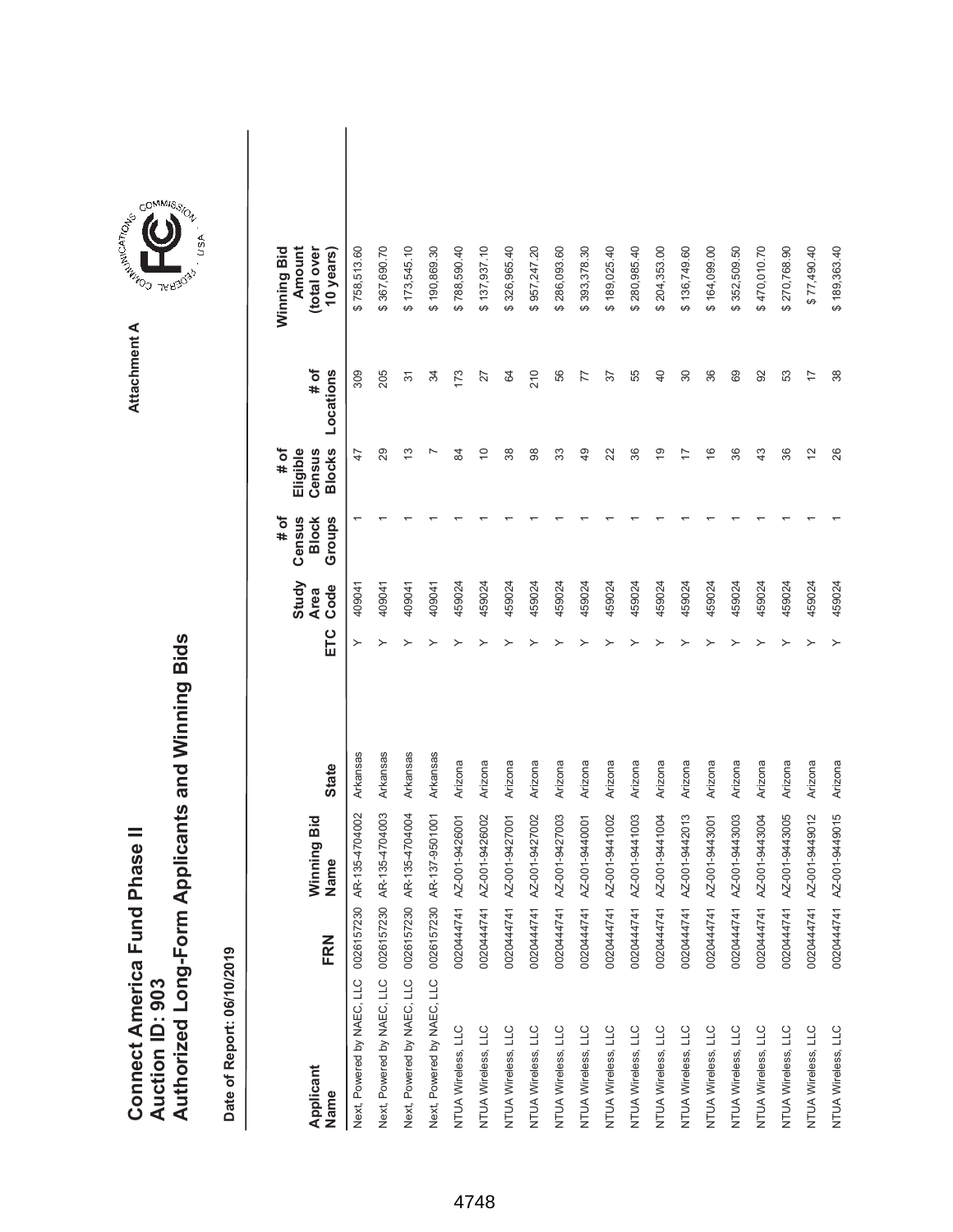|                               |                 | Authorized Long-Form Applicants and Winning Bids |
|-------------------------------|-----------------|--------------------------------------------------|
| Connect America Fund Phase II |                 |                                                  |
|                               |                 |                                                  |
|                               |                 |                                                  |
|                               |                 |                                                  |
|                               | Auction ID: 903 |                                                  |



| Applicant<br>Name                     | FRN        | Winning Bid<br>Name | <b>State</b> | ETC | Study<br>Code<br><b>Area</b> | # of<br>Census<br><b>Block</b><br>Groups | <b>Blocks</b><br># of<br>Eligible<br>Census | # of<br>Locations | Winning Bid<br>Amount<br>(total over<br>10 years) |  |
|---------------------------------------|------------|---------------------|--------------|-----|------------------------------|------------------------------------------|---------------------------------------------|-------------------|---------------------------------------------------|--|
| Next, Powered by NAEC, LLC 0026157230 |            | AR-135-4704002      | Arkansas     |     | 409041                       |                                          | 47                                          | 309               | \$758,513.60                                      |  |
| Next, Powered by NAEC, LLC 0026157230 |            | AR-135-4704003      | Arkansas     | ≻   | 409041                       |                                          | 29                                          | 205               | 367,690.70                                        |  |
| Next, Powered by NAEC, LLC 0026157230 |            | AR-135-4704004      | Arkansas     |     | 409041                       |                                          | 13                                          | 57                | \$173,545.10                                      |  |
| Next, Powered by NAEC, LLC 0026157230 |            | AR-137-9501001      | Arkansas     |     | 409041                       |                                          | N                                           | 34                | \$190,869.30                                      |  |
| NTUA Wireless, LLC                    | 0020444741 | AZ-001-9426001      | Arizona      |     | 459024                       |                                          | S4                                          | 173               | \$788,590.40                                      |  |
| NTUA Wireless, LLC                    | 0020444741 | AZ-001-9426002      | Arizona      |     | 459024                       |                                          | $\Rightarrow$                               | 27                | \$137,937.10                                      |  |
| NTUA Wireless, LLC                    | 0020444741 | AZ-001-9427001      | Arizona      |     | 459024                       |                                          | 38                                          | 64                | \$326,965.40                                      |  |
| NTUA Wireless, LLC                    | 0020444741 | AZ-001-9427002      | Arizona      |     | 459024                       |                                          | 88                                          | 210               | 957,247.20<br>ക                                   |  |
| NTUA Wireless, LLC                    | 0020444741 | AZ-001-9427003      | Arizona      |     | 459024                       |                                          | 33                                          | 56                | \$286,093.60                                      |  |
| NTUA Wireless, LLC                    | 0020444741 | AZ-001-9440001      | Arizona      |     | 459024                       |                                          | $\overline{49}$                             | 77                | 393,378.30<br>↔                                   |  |
| NTUA Wireless, LLC                    | 0020444741 | AZ-001-9441002      | Arizona      |     | 459024                       |                                          | 22                                          | 57                | \$189,025.40                                      |  |
| NTUA Wireless, LLC                    | 0020444741 | AZ-001-9441003      | Arizona      |     | 459024                       |                                          | 36                                          | 55                | \$280,985.40                                      |  |
| NTUA Wireless, LLC                    | 0020444741 | AZ-001-9441004      | Arizona      |     | 459024                       |                                          | <u>(a</u>                                   | 40                | \$204,353.00                                      |  |
| NTUA Wireless, LLC                    | 0020444741 | AZ-001-9442013      | Arizona      |     | 459024                       |                                          | 7                                           | 30                | \$136,749.60                                      |  |
| NTUA Wireless, LLC                    | 0020444741 | AZ-001-9443001      | Arizona      |     | 459024                       |                                          | $\frac{6}{5}$                               | 36                | \$164,099.00                                      |  |
| NTUA Wireless, LLC                    | 0020444741 | AZ-001-9443003      | Arizona      |     | 459024                       |                                          | 36                                          | 69                | 352,509.50<br>↔                                   |  |
| NTUA Wireless, LLC                    | 0020444741 | AZ-001-9443004      | Arizona      |     | 459024                       |                                          | 43                                          | 92                | \$470,010.70                                      |  |
| NTUA Wireless, LLC                    | 0020444741 | AZ-001-9443005      | Arizona      |     | 459024                       |                                          | 36                                          | 53                | \$270,768.90                                      |  |
| NTUA Wireless, LLC                    | 0020444741 | AZ-001-9449012      | Arizona      |     | 459024                       |                                          | 12                                          | $\overline{1}$    | \$77,490.40                                       |  |
| NTUA Wireless, LLC                    | 0020444741 | AZ-001-9449015      | Arizona      |     | 459024                       |                                          | 26                                          | 38                | \$189,363.40                                      |  |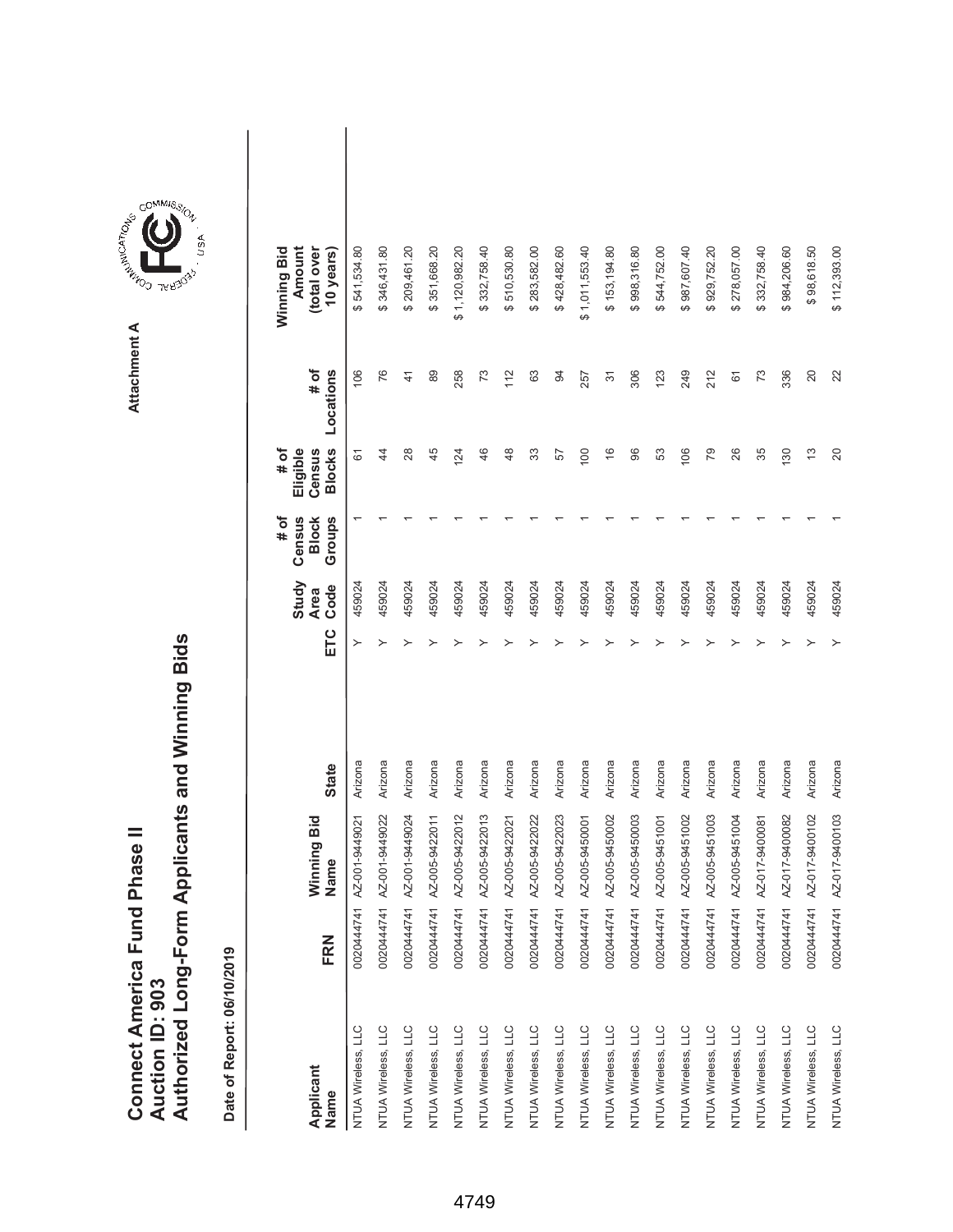| Connect America Fund Phase II |                 | Authorized Long-Form Applicants and Winning Bids |
|-------------------------------|-----------------|--------------------------------------------------|
|                               | Auction ID: 903 |                                                  |
|                               |                 |                                                  |



**Attachment A**

| Applicant<br>Name  | FRN        | Winning Bid<br>Name | <b>State</b> | ETC | Study<br>Code<br><b>Area</b> | # of<br>Census<br>Groups<br><b>Block</b> | <b>Blocks</b><br># of<br>Eligible<br>Census | # of<br>Locations | Winning Bid<br>Amount<br>(total over<br>10 years) |  |
|--------------------|------------|---------------------|--------------|-----|------------------------------|------------------------------------------|---------------------------------------------|-------------------|---------------------------------------------------|--|
| NTUA Wireless, LLC | 0020444741 | AZ-001-9449021      | Arizona      | ≻   | 459024                       |                                          | 61                                          | 106               | 541,534.80<br>↮                                   |  |
| NTUA Wireless, LLC | 002044741  | AZ-001-9449022      | Arizona      | ≻   | 459024                       |                                          | $\ddot{4}$                                  | 76                | 346,431.80<br>ക                                   |  |
| NTUA Wireless, LLC | 002044741  | AZ-001-9449024      | Arizona      |     | 459024                       |                                          | 28                                          | 41                | \$209,461.20                                      |  |
| NTUA Wireless, LLC | 0020444741 | AZ-005-9422011      | Arizona      |     | 459024                       |                                          | 45                                          | 89                | \$351,668.20                                      |  |
| NTUA Wireless, LLC | 0020444741 | AZ-005-9422012      | Arizona      |     | 459024                       |                                          | 124                                         | 258               | \$1,120,982.20                                    |  |
| NTUA Wireless, LLC | 002044741  | AZ-005-9422013      | Arizona      |     | 459024                       |                                          | 46                                          | 73                | \$332,758.40                                      |  |
| NTUA Wireless, LLC | 0020444741 | AZ-005-9422021      | Arizona      |     | 459024                       |                                          | 48                                          | 112               | 510,530.80<br>ക                                   |  |
| NTUA Wireless, LLC | 0020444741 | AZ-005-9422022      | Arizona      |     | 459024                       |                                          | 33                                          | 63                | \$283,582.00                                      |  |
| NTUA Wireless, LLC | 0020444741 | AZ-005-9422023      | Arizona      |     | 459024                       |                                          | 57                                          | 94                | \$428,482.60                                      |  |
| NTUA Wireless, LLC | 0020444741 | AZ-005-9450001      | Arizona      |     | 459024                       |                                          | 100                                         | 257               | \$1,011,553.40                                    |  |
| NTUA Wireless, LLC | 0020444741 | AZ-005-9450002      | Arizona      |     | 459024                       |                                          | $\frac{6}{5}$                               | $\overline{5}$    | \$153,194.80                                      |  |
| NTUA Wireless, LLC | 0020444741 | AZ-005-9450003      | Arizona      |     | 459024                       |                                          | 8                                           | 306               | \$998,316.80                                      |  |
| NTUA Wireless, LLC | 0020444741 | AZ-005-9451001      | Arizona      |     | 459024                       |                                          | S3                                          | 123               | 544,752.00<br>ക                                   |  |
| NTUA Wireless, LLC | 0020444741 | AZ-005-9451002      | Arizona      |     | 459024                       |                                          | 106                                         | 249               | \$987,607.40                                      |  |
| NTUA Wireless, LLC | 0020444741 | AZ-005-9451003      | Arizona      |     | 459024                       |                                          | 79                                          | 212               | 929,752.20<br>↔                                   |  |
| NTUA Wireless, LLC | 0020444741 | AZ-005-9451004      | Arizona      |     | 459024                       |                                          | 26                                          | 61                | 278,057.00<br>ക                                   |  |
| NTUA Wireless, LLC | 0020444741 | AZ-017-9400081      | Arizona      |     | 459024                       |                                          | 35                                          | 73                | \$332,758.40                                      |  |
| NTUA Wireless, LLC | 002044741  | AZ-017-9400082      | Arizona      |     | 459024                       |                                          | <b>30</b>                                   | 336               | 984,206.60<br>ക                                   |  |
| NTUA Wireless, LLC | 0020444741 | AZ-017-9400102      | Arizona      |     | 459024                       |                                          | $\frac{3}{2}$                               | 20                | \$98,618.50                                       |  |
| NTUA Wireless, LLC | 0020444741 | AZ-017-9400103      | Arizona      |     | 459024                       |                                          | $\Omega$                                    | 22                | \$112,393.00                                      |  |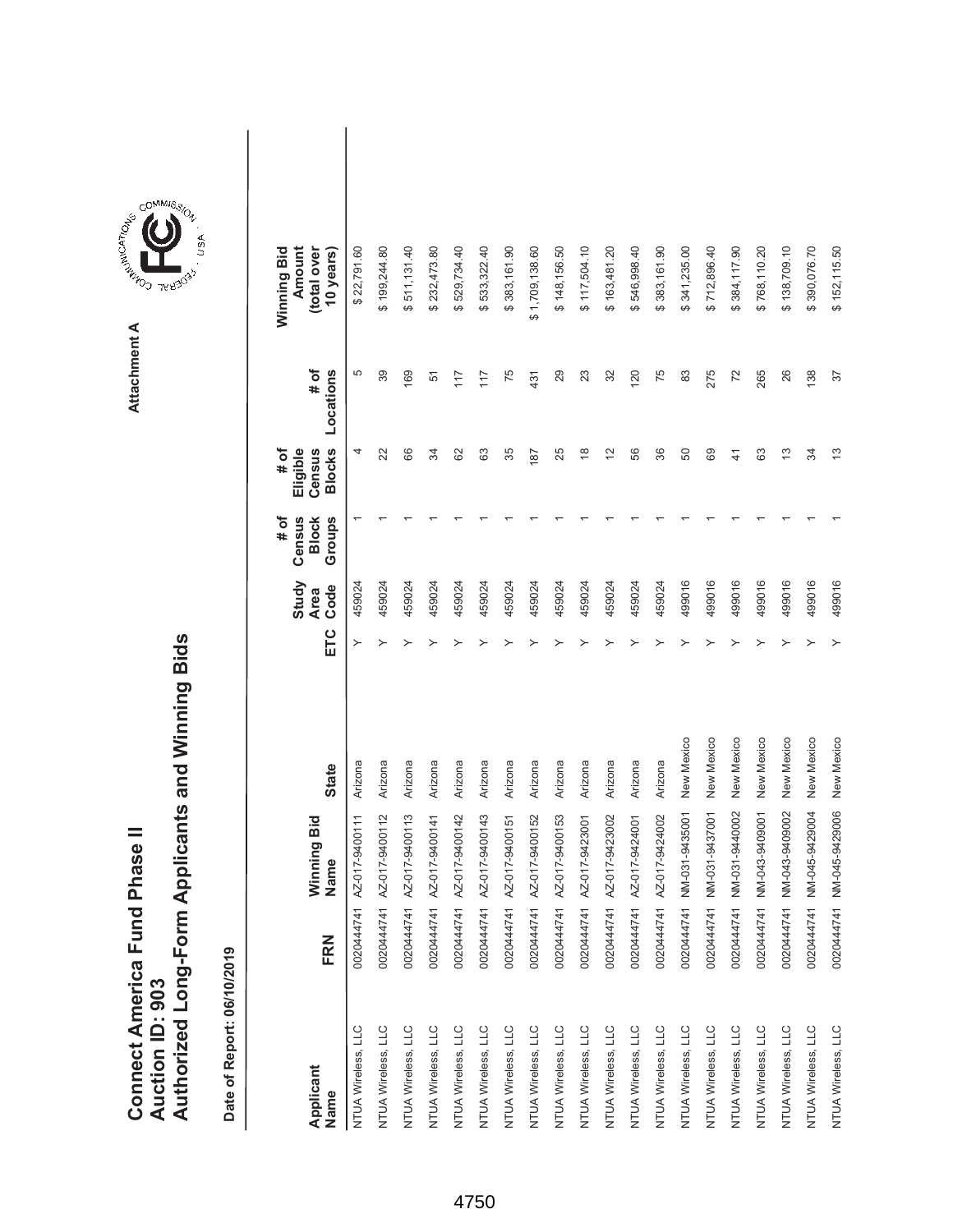|                               |                 | Authorized Long-Form Applicants and Winning Bids |
|-------------------------------|-----------------|--------------------------------------------------|
| Connect America Fund Phase II |                 |                                                  |
|                               |                 |                                                  |
|                               |                 |                                                  |
|                               |                 |                                                  |
|                               | Auction ID: 903 |                                                  |



**Attachment A**

| Applicant<br>Name  | FRN        | Winning Bid<br>Name | <b>State</b> | ETC | Study<br>Code<br><b>Area</b> | # of<br>Census<br><b>Block</b><br>Groups | <b>Blocks</b><br>Eligible<br>Census<br># of | # of<br>Locations | Winning Bid<br>Amount<br>(total over<br>10 years) |  |
|--------------------|------------|---------------------|--------------|-----|------------------------------|------------------------------------------|---------------------------------------------|-------------------|---------------------------------------------------|--|
| NTUA Wireless, LLC | 0020444741 | AZ-017-9400111      | Arizona      | ≻   | 459024                       |                                          | 4                                           | 5                 | \$22,791.60                                       |  |
| NTUA Wireless, LLC | 0020444741 | AZ-017-9400112      | Arizona      | ≻   | 459024                       |                                          | 22                                          | 39                | \$199,244.80                                      |  |
| NTUA Wireless, LLC | 0020444741 | AZ-017-9400113      | Arizona      |     | 459024                       |                                          | 66                                          | 169               | \$511,131.40                                      |  |
| NTUA Wireless, LLC | 0020444741 | AZ-017-9400141      | Arizona      |     | 459024                       |                                          | R                                           | 51                | \$232,473.80                                      |  |
| NTUA Wireless, LLC | 0020444741 | AZ-017-9400142      | Arizona      |     | 459024                       |                                          | 8                                           | 117               | 529,734.40<br>↮                                   |  |
| NTUA Wireless, LLC | 0020444741 | AZ-017-9400143      | Arizona      |     | 459024                       |                                          | යි                                          | 117               | \$533,322.40                                      |  |
| NTUA Wireless, LLC | 0020444741 | AZ-017-9400151      | Arizona      |     | 459024                       |                                          | 35                                          | 75                | \$383,161.90                                      |  |
| NTUA Wireless, LLC | 0020444741 | AZ-017-9400152      | Arizona      |     | 459024                       |                                          | 187                                         | 431               | \$1,709,138.60                                    |  |
| NTUA Wireless, LLC | 0020444741 | AZ-017-9400153      | Arizona      |     | 459024                       |                                          | 25                                          | 29                | \$148,156.50                                      |  |
| NTUA Wireless, LLC | 0020444741 | AZ-017-9423001      | Arizona      |     | 459024                       |                                          | $\overset{\infty}{\rightarrow}$             | 23                | \$117,504.10                                      |  |
| NTUA Wireless, LLC | 0020444741 | AZ-017-9423002      | Arizona      |     | 459024                       |                                          | $\overline{2}$                              | 32                | \$163,481.20                                      |  |
| NTUA Wireless, LLC | 0020444741 | AZ-017-9424001      | Arizona      |     | 459024                       |                                          | 56                                          | 120               | \$546,998.40                                      |  |
| NTUA Wireless, LLC | 0020444741 | AZ-017-9424002      | Arizona      |     | 459024                       |                                          | 86                                          | 75                | \$383,161.90                                      |  |
| NTUA Wireless, LLC | 0020444741 | NM-031-9435001      | New Mexico   |     | 499016                       |                                          | 50                                          | 83                | \$341,235.00                                      |  |
| NTUA Wireless, LLC | 0020444741 | NM-031-9437001      | New Mexico   |     | 499016                       |                                          | 89                                          | 275               | \$712,896.40                                      |  |
| NTUA Wireless, LLC | 0020444741 | NM-031-9440002      | New Mexico   |     | 499016                       |                                          | $\frac{4}{3}$                               | 72                | \$384,117.90                                      |  |
| NTUA Wireless, LLC | 0020444741 | NM-043-9409001      | New Mexico   |     | 499016                       |                                          | යි                                          | 265               | \$768,110.20                                      |  |
| NTUA Wireless, LLC | 0020444741 | NM-043-9409002      | New Mexico   |     | 499016                       |                                          | 13                                          | 26                | \$138,709.10                                      |  |
| NTUA Wireless, LLC | 0020444741 | NM-045-9429004      | New Mexico   |     | 499016                       |                                          | R                                           | 138               | \$390,076.70                                      |  |
| NTUA Wireless, LLC | 0020444741 | NM-045-9429006      | New Mexico   |     | 499016                       |                                          | 13                                          | 37                | \$152,115.50                                      |  |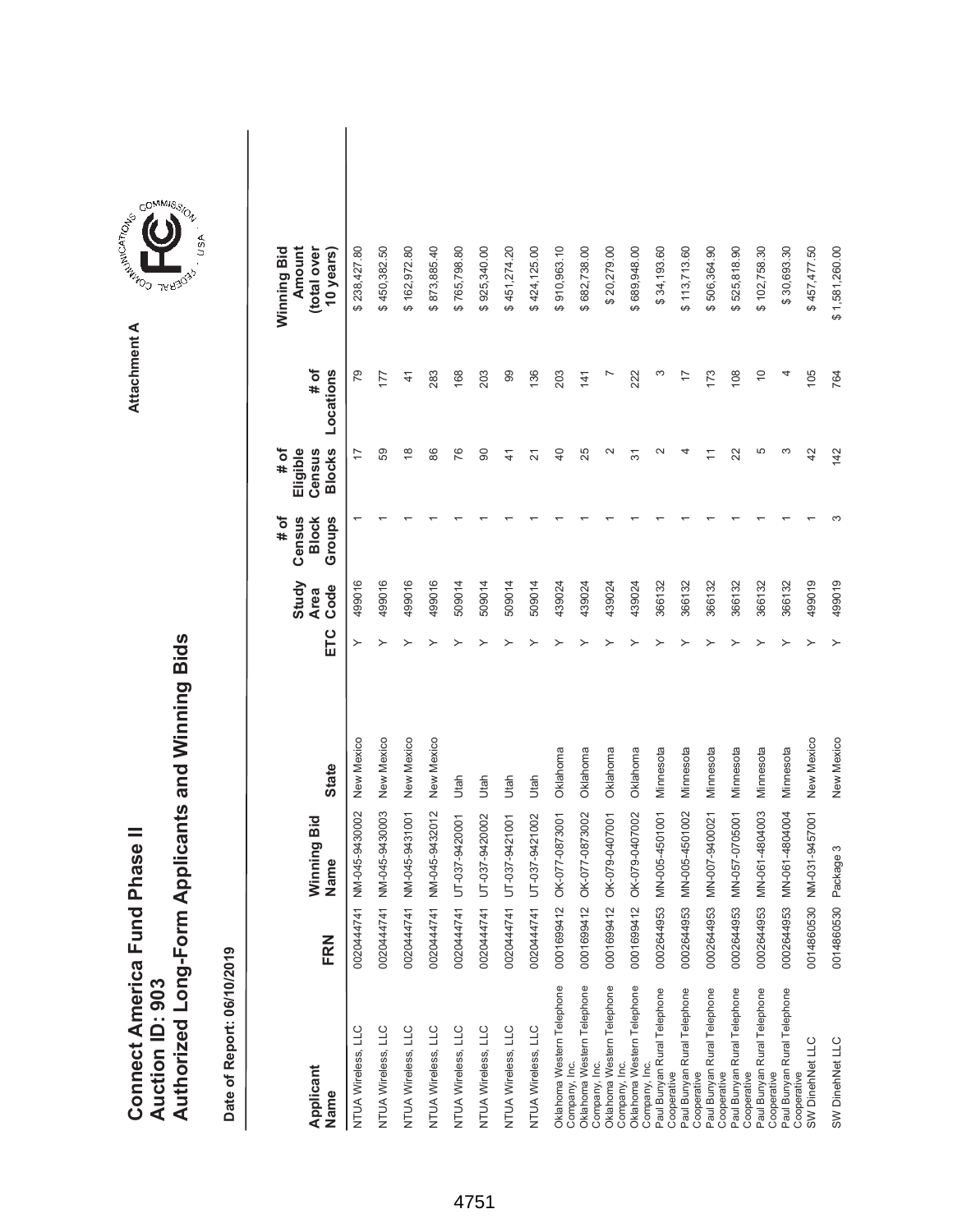|                               |                 | Authorized Long-Form Applicants and Winning Bids |
|-------------------------------|-----------------|--------------------------------------------------|
| Connect America Fund Phase II |                 |                                                  |
|                               |                 |                                                  |
|                               |                 |                                                  |
|                               |                 |                                                  |
|                               | Auction ID: 903 |                                                  |



| Applicant<br>Name                                           | FRN        | Winning Bid<br>Name | <b>State</b> | ETC | Study<br>Code<br><b>Area</b> | $\sharp$ of<br>Census<br><b>Block</b><br>Groups | <b>Blocks</b><br>$#$ of<br>Eligible<br>Census | Locations<br># of | Winning Bid<br>(total over<br>Amount<br>10 years) |  |
|-------------------------------------------------------------|------------|---------------------|--------------|-----|------------------------------|-------------------------------------------------|-----------------------------------------------|-------------------|---------------------------------------------------|--|
| NTUA Wireless, LLC                                          | 0020444741 | NM-045-9430002      | New Mexico   | ≻   | 499016                       |                                                 | $\overline{\overline{z}}$                     | 79                | \$238,427.80                                      |  |
| NTUA Wireless, LLC                                          | 0020444741 | NM-045-9430003      | New Mexico   |     | 499016                       |                                                 | 59                                            | 177               | \$450,382.50                                      |  |
| NTUA Wireless, LLC                                          | 0020444741 | NM-045-9431001      | New Mexico   |     | 499016                       |                                                 | $\frac{8}{10}$                                | $\frac{4}{3}$     | \$162,972.80                                      |  |
| NTUA Wireless, LLC                                          | 0020444741 | NM-045-9432012      | New Mexico   |     | 499016                       |                                                 | 86                                            | 283               | \$873,885.40                                      |  |
| NTUA Wireless, LLC                                          | 0020444741 | UT-037-9420001      | Utah         |     | 509014                       |                                                 | 76                                            | 168               | \$765,798.80                                      |  |
| NTUA Wireless, LLC                                          | 0020444741 | UT-037-9420002      | Jtah         |     | 509014                       |                                                 | 90                                            | 203               | \$925,340.00                                      |  |
| NTUA Wireless, LLC                                          | 0020444741 | UT-037-9421001      | Utah         |     | 509014                       |                                                 | $\frac{4}{3}$                                 | 99                | \$451,274.20                                      |  |
| NTUA Wireless, LLC                                          | 0020444741 | UT-037-9421002      | Utah         |     | 509014                       |                                                 | ಸ                                             | 136               | \$424,125.00                                      |  |
| Oklahoma Western Telephone<br>Company, Inc.                 | 0001699412 | OK-077-0873001      | Oklahoma     |     | 439024                       |                                                 | $\overline{a}$                                | 203               | \$910,963.10                                      |  |
| Oklahoma Western Telephone<br>Company, Inc.                 | 0001699412 | OK-077-0873002      | Oklahoma     |     | 439024                       |                                                 | 25                                            | 141               | \$682,738.00                                      |  |
| Oklahoma Western Telephone                                  | 0001699412 | OK-079-0407001      | Oklahoma     |     | 439024                       |                                                 | N                                             |                   | \$20,279.00                                       |  |
| Oklahoma Western Telephone<br>Company, Inc.                 | 0001699412 | OK-079-0407002      | Oklahoma     |     | 439024                       |                                                 | స్                                            | 222               | \$689,948.00                                      |  |
| Paul Bunyan Rural Telephone<br>Company, Inc.<br>Cooperative | 0002644953 | MN-005-4501001      | Minnesota    |     | 366132                       |                                                 | $\sim$                                        | S                 | \$34,193.60                                       |  |
| Paul Bunyan Rural Telephone                                 | 0002644953 | MN-005-4501002      | Minnesota    |     | 366132                       |                                                 |                                               | 7                 | \$113,713.60                                      |  |
| Paul Bunyan Rural Telephone<br>Cooperative<br>Cooperative   | 0002644953 | MN-007-9400021      | Minnesota    |     | 366132                       |                                                 |                                               | 173               | \$506,364.90                                      |  |
| Paul Bunyan Rural Telephone<br>Cooperative                  | 0002644953 | MN-057-0705001      | Minnesota    |     | 366132                       |                                                 | 22                                            | 108               | \$525,818.90                                      |  |
| Paul Bunyan Rural Telephone<br>Cooperative                  | 0002644953 | MN-061-4804003      | Minnesota    |     | 366132                       |                                                 | 5                                             | $\overline{0}$    | \$102,758.30                                      |  |
| Paul Bunyan Rural Telephone<br>Cooperative                  | 0002644953 | MN-061-4804004      | Minnesota    |     | 366132                       |                                                 | က                                             |                   | \$30,693.30                                       |  |
| SW DinehNet LLC                                             | 0014860530 | NM-031-9457001      | New Mexico   |     | 499019                       |                                                 | 42                                            | 105               | \$457,477.50                                      |  |
| SW DinehNet LLC                                             | 0014860530 | Package 3           | New Mexico   | ≻   | 499019                       |                                                 | 142                                           | 764               | \$1,581,260.00                                    |  |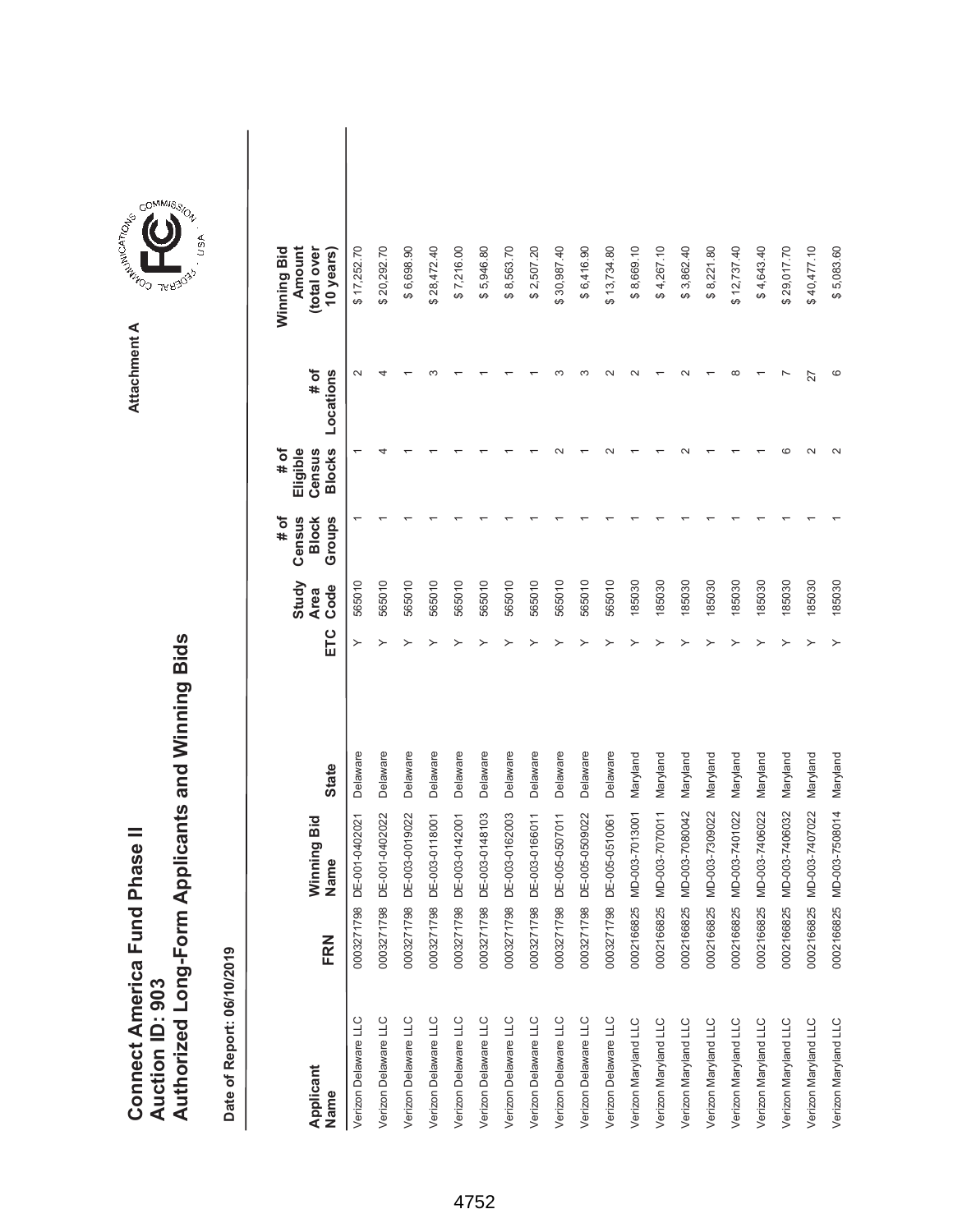|                               |                 | Authorized Long-Form Applicants and Winning Bids |
|-------------------------------|-----------------|--------------------------------------------------|
|                               |                 |                                                  |
| Connect America Fund Phase II | Auction ID: 903 |                                                  |



| Applicant<br>Name    | FRN        | Winning Bid<br>Name | <b>State</b> | ETC | Study<br>Code<br>Area | Census<br>$\frac{4}{10}$<br><b>Block</b><br>Groups | <b>Blocks</b><br>Eligible<br>Census<br># of | # of<br>Locations | Amount<br>Winning Bid<br>(total over<br>10 years) |  |
|----------------------|------------|---------------------|--------------|-----|-----------------------|----------------------------------------------------|---------------------------------------------|-------------------|---------------------------------------------------|--|
| Verizon Delaware LLC | 0003271798 | DE-001-040202       | Delaware     |     | 565010                |                                                    |                                             |                   | \$17,252.70                                       |  |
| Verizon Delaware LLC | 0003271798 | DE-001-0402022      | Delaware     |     | 565010                |                                                    |                                             |                   | \$20,292.70                                       |  |
| Verizon Delaware LLC | 0003271798 | DE-003-0019022      | Delaware     |     | 565010                |                                                    |                                             |                   | \$6,698.90                                        |  |
| Verizon Delaware LLC | 0003271798 | DE-003-0118001      | Delaware     |     | 565010                |                                                    |                                             |                   | \$28,472.40                                       |  |
| Verizon Delaware LLC | 0003271798 | DE-003-0142001      | Delaware     |     | 565010                |                                                    |                                             |                   | \$7,216.00                                        |  |
| Verizon Delaware LLC | 0003271798 | DE-003-0148103      | Delaware     |     | 565010                |                                                    |                                             |                   | \$5,946.80                                        |  |
| Verizon Delaware LLC | 0003271798 | DE-003-0162003      | Delaware     |     | 565010                |                                                    |                                             |                   | \$8,563.70                                        |  |
| Verizon Delaware LLC | 0003271798 | DE-003-0166011      | Delaware     |     | 565010                |                                                    |                                             |                   | \$2,507.20                                        |  |
| Verizon Delaware LLC | 0003271798 | DE-005-0507011      | Delaware     |     | 565010                |                                                    |                                             |                   | \$30,987.40                                       |  |
| Verizon Delaware LLC | 0003271798 | DE-005-0509022      | Delaware     |     | 565010                |                                                    |                                             |                   | \$6,416.90                                        |  |
| Verizon Delaware LLC | 0003271798 | DE-005-0510061      | Delaware     |     | 565010                |                                                    |                                             |                   | \$13,734.80                                       |  |
| Verizon Maryland LLC | 0002166825 | MD-003-7013001      | Maryland     |     | 185030                |                                                    |                                             |                   | \$8,669.10                                        |  |
| Verizon Maryland LLC | 0002166825 | MD-003-7070011      | Maryland     |     | 185030                |                                                    |                                             |                   | \$4,267.10                                        |  |
| Verizon Maryland LLC | 0002166825 | MD-003-7080042      | Maryland     |     | 185030                |                                                    |                                             |                   | \$3,862.40                                        |  |
| Verizon Maryland LLC | 0002166825 | MD-003-7309022      | Maryland     |     | 185030                |                                                    |                                             |                   | \$8,221.80                                        |  |
| Verizon Maryland LLC | 0002166825 | MD-003-7401022      | Maryland     |     | 185030                |                                                    |                                             |                   | \$12,737.40                                       |  |
| Verizon Maryland LLC | 0002166825 | MD-003-7406022      | Maryland     |     | 185030                |                                                    |                                             |                   | \$4,643.40                                        |  |
| Verizon Maryland LLC | 0002166825 | MD-003-7406032      | Maryland     |     | 185030                |                                                    |                                             |                   | \$29,017.70                                       |  |
| Verizon Maryland LLC | 0002166825 | MD-003-7407022      | Maryland     |     | 185030                |                                                    | $\sim$                                      | 27                | \$40,477.10                                       |  |
| Verizon Maryland LLC | 0002166825 | MD-003-7508014      | Maryland     |     | 185030                |                                                    |                                             |                   | \$5,083.60                                        |  |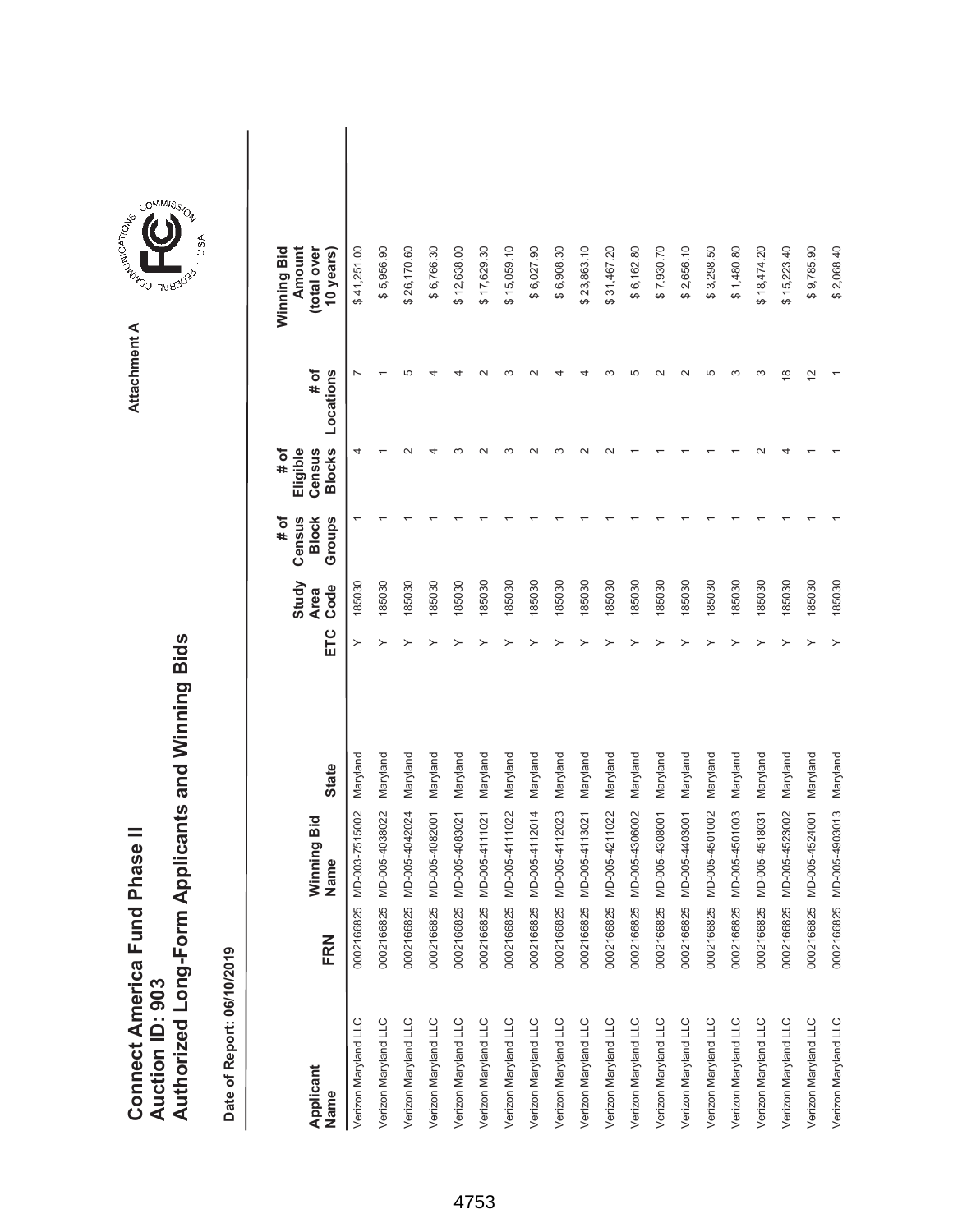|                               |                 | Authorized Long-Form Applicants and Winning Bids |
|-------------------------------|-----------------|--------------------------------------------------|
| Connect America Fund Phase II |                 |                                                  |
|                               |                 |                                                  |
|                               |                 |                                                  |
|                               |                 |                                                  |
|                               | Auction ID: 903 |                                                  |



COMMIS<sub>SION</sub>

| Applicant<br>Name    | FRN        | Winning Bid<br>Name | <b>State</b> | ETC | Study<br>Code<br><b>Area</b> | # of<br>Census<br>Groups<br><b>Block</b> | <b>Blocks</b><br>Eligible<br># of<br>Census | # of<br>Locations | Winning Bid<br>Amount<br>(total over<br>10 years) |  |
|----------------------|------------|---------------------|--------------|-----|------------------------------|------------------------------------------|---------------------------------------------|-------------------|---------------------------------------------------|--|
| Verizon Maryland LLC | 0002166825 | MD-003-7515002      | Maryland     |     | 185030                       |                                          | 4                                           |                   | \$41,251.00                                       |  |
| Verizon Maryland LLC | 0002166825 | MD-005-4038022      | Maryland     |     | 185030                       |                                          |                                             |                   | \$5,956.90                                        |  |
| Verizon Maryland LLC | 0002166825 | MD-005-4042024      | Maryland     |     | 185030                       |                                          |                                             | ما                | \$26,170.60                                       |  |
| Verizon Maryland LLC | 0002166825 | MD-005-4082001      | Maryland     |     | 185030                       |                                          |                                             |                   | \$6,766.30                                        |  |
| Verizon Maryland LLC | 0002166825 | MD-005-4083021      | Maryland     |     | 185030                       |                                          |                                             |                   | \$12,638.00                                       |  |
| Verizon Maryland LLC | 0002166825 | MD-005-4111021      | Maryland     |     | 185030                       |                                          |                                             |                   | \$17,629.30                                       |  |
| Verizon Maryland LLC | 0002166825 | MD-005-411022       | Maryland     |     | 185030                       |                                          |                                             |                   | \$15,059.10                                       |  |
| Verizon Maryland LLC | 0002166825 | MD-005-4112014      | Maryland     |     | 185030                       |                                          |                                             |                   | \$6,027.90                                        |  |
| Verizon Maryland LLC | 0002166825 | MD-005-4112023      | Maryland     |     | 185030                       |                                          |                                             |                   | \$6,908.30                                        |  |
| Verizon Maryland LLC | 0002166825 | MD-005-4113021      | Maryland     |     | 185030                       |                                          |                                             |                   | \$23,863.10                                       |  |
| Verizon Maryland LLC | 0002166825 | MD-005-4211022      | Maryland     |     | 185030                       |                                          |                                             |                   | \$31,467.20                                       |  |
| Verizon Maryland LLC | 0002166825 | MD-005-4306002      | Maryland     |     | 185030                       |                                          |                                             |                   | \$6,162.80                                        |  |
| Verizon Maryland LLC | 0002166825 | MD-005-4308001      | Maryland     |     | 185030                       |                                          |                                             |                   | \$7,930.70                                        |  |
| Verizon Maryland LLC | 0002166825 | MD-005-4403001      | Maryland     |     | 185030                       |                                          |                                             |                   | \$2,656.10                                        |  |
| Verizon Maryland LLC | 0002166825 | MD-005-4501002      | Maryland     |     | 185030                       |                                          |                                             | ю                 | \$3,298.50                                        |  |
| Verizon Maryland LLC | 0002166825 | MD-005-4501003      | Maryland     |     | 185030                       |                                          |                                             | ∞                 | \$1,480.80                                        |  |
| Verizon Maryland LLC | 0002166825 | MD-005-4518031      | Maryland     |     | 185030                       |                                          |                                             | ო                 | \$18,474.20                                       |  |
| Verizon Maryland LLC | 0002166825 | MD-005-4523002      | Maryland     |     | 185030                       |                                          |                                             | $\infty$          | \$15,223.40                                       |  |
| Verizon Maryland LLC | 0002166825 | MD-005-4524001      | Maryland     |     | 185030                       |                                          |                                             | $\frac{2}{3}$     | \$9,785.90                                        |  |
| Verizon Maryland LLC | 0002166825 | MD-005-4903013      | Maryland     |     | 185030                       |                                          |                                             |                   | \$2,068.40                                        |  |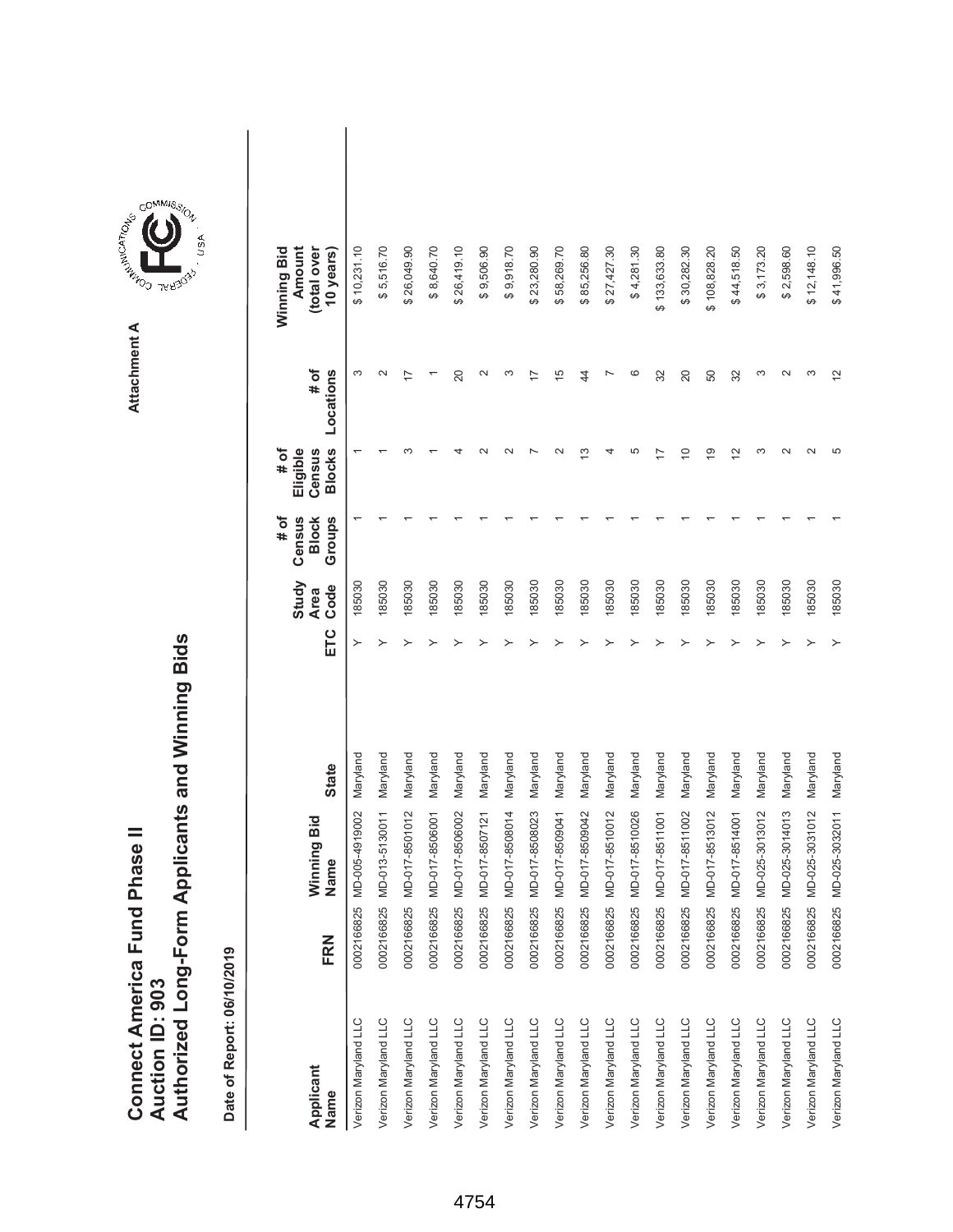|                               |                 | Authorized Long-Form Applicants and Winning Bids |
|-------------------------------|-----------------|--------------------------------------------------|
| Connect America Fund Phase II |                 |                                                  |
|                               |                 |                                                  |
|                               |                 |                                                  |
|                               |                 |                                                  |
|                               | Auction ID: 903 |                                                  |



| Applicant<br>Name    | FRN        | Winning Bid<br>Name | <b>State</b> | ETC | Study<br>Code<br><b>Area</b> | # of<br>Census<br>Groups<br><b>Block</b> | <b>Blocks</b><br># of<br>Eligible<br>Census | # of<br>Locations | Winning Bid<br>Amount<br>(total over<br>10 years) |  |
|----------------------|------------|---------------------|--------------|-----|------------------------------|------------------------------------------|---------------------------------------------|-------------------|---------------------------------------------------|--|
| Verizon Maryland LLC | 0002166825 | MD-005-4919002      | Maryland     | ≻   | 185030                       |                                          |                                             | ω                 | \$10,231.10                                       |  |
| Verizon Maryland LLC | 0002166825 | MD-013-5130011      | Maryland     | ≻   | 185030                       |                                          |                                             | $\mathbf{\Omega}$ | \$5,516.70                                        |  |
| Verizon Maryland LLC | 0002166825 | MD-017-8501012      | Maryland     |     | 185030                       |                                          |                                             |                   | \$26,049.90                                       |  |
| Verizon Maryland LLC | 0002166825 | MD-017-8506001      | Maryland     |     | 185030                       |                                          |                                             |                   | \$8,640.70                                        |  |
| Verizon Maryland LLC | 0002166825 | MD-017-8506002      | Maryland     |     | 185030                       |                                          |                                             | 20                | \$26,419.10                                       |  |
| Verizon Maryland LLC | 0002166825 | MD-017-8507121      | Maryland     |     | 185030                       |                                          |                                             | $\sim$            | \$9,506.90                                        |  |
| Verizon Maryland LLC | 0002166825 | MD-017-8508014      | Maryland     |     | 185030                       |                                          |                                             | S                 | \$9,918.70                                        |  |
| Verizon Maryland LLC | 0002166825 | MD-017-8508023      | Maryland     |     | 185030                       |                                          |                                             | 7                 | \$23,280.90                                       |  |
| Verizon Maryland LLC | 0002166825 | MD-017-8509041      | Maryland     |     | 185030                       |                                          |                                             | 15                | \$58,269.70                                       |  |
| Verizon Maryland LLC | 0002166825 | MD-017-8509042      | Maryland     |     | 185030                       |                                          | ო                                           | 44                | \$85,256.80                                       |  |
| Verizon Maryland LLC | 0002166825 | MD-017-8510012      | Maryland     |     | 185030                       |                                          |                                             |                   | \$27,427.30                                       |  |
| Verizon Maryland LLC | 0002166825 | MD-017-8510026      | Maryland     |     | 185030                       |                                          | 5                                           | ဖ                 | \$4,281.30                                        |  |
| Verizon Maryland LLC | 0002166825 | MD-017-8511001      | Maryland     |     | 185030                       |                                          |                                             | 32                | \$133,633.80                                      |  |
| Verizon Maryland LLC | 0002166825 | MD-017-8511002      | Maryland     |     | 185030                       |                                          | $\subseteq$                                 | 20                | \$30,282.30                                       |  |
| Verizon Maryland LLC | 0002166825 | MD-017-8513012      | Maryland     |     | 185030                       |                                          | ഉ                                           | 50                | \$108,828.20                                      |  |
| Verizon Maryland LLC | 0002166825 | MD-017-8514001      | Maryland     |     | 185030                       |                                          | $\overline{2}$                              | 32                | \$44,518.50                                       |  |
| Verizon Maryland LLC | 0002166825 | MD-025-3013012      | Maryland     |     | 185030                       |                                          | ო                                           | ო                 | \$3,173.20                                        |  |
| Verizon Maryland LLC | 0002166825 | MD-025-3014013      | Maryland     |     | 185030                       |                                          | $\sim$                                      | $\sim$            | \$2,598.60                                        |  |
| Verizon Maryland LLC | 0002166825 | MD-025-3031012      | Maryland     |     | 185030                       |                                          | $\mathbf{\Omega}$                           | ო                 | \$12,148.10                                       |  |
| Verizon Maryland LLC | 0002166825 | MD-025-3032011      | Maryland     |     | 185030                       |                                          | 5                                           | $\frac{2}{3}$     | \$41,996.50                                       |  |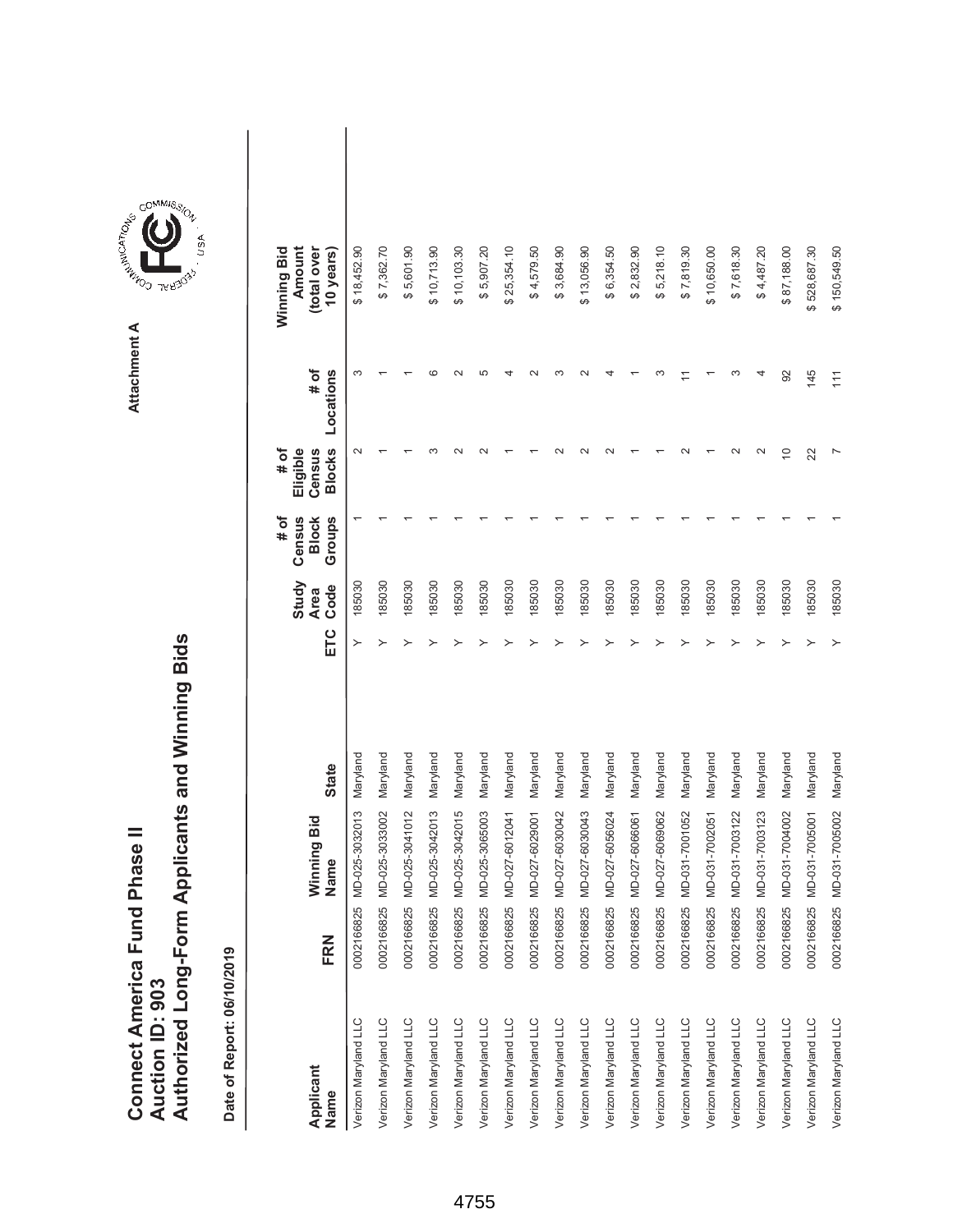|                               |                 | Authorized Long-Form Applicants and Winning Bids |
|-------------------------------|-----------------|--------------------------------------------------|
| Connect America Fund Phase II |                 |                                                  |
|                               |                 |                                                  |
|                               |                 |                                                  |
|                               |                 |                                                  |
|                               | Auction ID: 903 |                                                  |
|                               |                 |                                                  |
|                               |                 |                                                  |
|                               |                 |                                                  |



GOMMIS<sub>SION</sub>

| Applicant<br>Name    | FRN        | Winning Bid<br>Name | <b>State</b> | ETC | Study<br>Code<br><b>Area</b> | Census<br>Groups<br># of<br><b>Block</b> | <b>Blocks</b><br># of<br>Eligible<br>Census | # of<br>Locations | Amount<br>Winning Bid<br>(total over<br>10 years) |  |
|----------------------|------------|---------------------|--------------|-----|------------------------------|------------------------------------------|---------------------------------------------|-------------------|---------------------------------------------------|--|
| Verizon Maryland LLC | 0002166825 | MD-025-3032013      | Maryland     | ≻   | 185030                       |                                          | $\sim$                                      |                   | \$18,452.90                                       |  |
| Verizon Maryland LLC | 0002166825 | MD-025-3033002      | Maryland     | ≻   | 185030                       |                                          |                                             |                   | \$7,362.70                                        |  |
| Verizon Maryland LLC | 0002166825 | MD-025-3041012      | Maryland     |     | 185030                       |                                          |                                             |                   | \$5,601.90                                        |  |
| Verizon Maryland LLC | 0002166825 | MD-025-3042013      | Maryland     |     | 185030                       |                                          |                                             |                   | \$10,713.90                                       |  |
| Verizon Maryland LLC | 0002166825 | MD-025-3042015      | Maryland     |     | 185030                       |                                          |                                             |                   | \$10,103.30                                       |  |
| Verizon Maryland LLC | 0002166825 | MD-025-3065003      | Maryland     |     | 185030                       |                                          |                                             |                   | \$5,907.20                                        |  |
| Verizon Maryland LLC | 0002166825 | MD-027-6012041      | Maryland     |     | 185030                       |                                          |                                             |                   | \$25,354.10                                       |  |
| Verizon Maryland LLC | 0002166825 | MD-027-6029001      | Maryland     |     | 185030                       |                                          |                                             |                   | \$4,579.50                                        |  |
| Verizon Maryland LLC | 0002166825 | MD-027-6030042      | Maryland     |     | 185030                       |                                          |                                             |                   | \$3,684.90                                        |  |
| Verizon Maryland LLC | 0002166825 | MD-027-6030043      | Maryland     |     | 185030                       |                                          |                                             |                   | \$13,056.90                                       |  |
| Verizon Maryland LLC | 0002166825 | MD-027-6056024      | Maryland     |     | 185030                       |                                          |                                             |                   | \$6,354.50                                        |  |
| Verizon Maryland LLC | 0002166825 | MD-027-6066061      | Maryland     |     | 185030                       |                                          |                                             |                   | \$2,832.90                                        |  |
| Verizon Maryland LLC | 0002166825 | MD-027-6069062      | Maryland     |     | 185030                       |                                          |                                             |                   | \$5,218.10                                        |  |
| Verizon Maryland LLC | 0002166825 | MD-031-7001052      | Maryland     |     | 185030                       |                                          |                                             |                   | \$7,819.30                                        |  |
| Verizon Maryland LLC | 0002166825 | MD-031-7002051      | Maryland     |     | 185030                       |                                          |                                             |                   | \$10,650.00                                       |  |
| Verizon Maryland LLC | 0002166825 | MD-031-7003122      | Maryland     |     | 185030                       |                                          |                                             |                   | \$7,618.30                                        |  |
| Verizon Maryland LLC | 0002166825 | MD-031-7003123      | Maryland     |     | 185030                       |                                          |                                             |                   | \$4,487.20                                        |  |
| Verizon Maryland LLC | 0002166825 | MD-031-7004002      | Maryland     |     | 185030                       |                                          | $\overline{C}$                              | 92                | \$87,188.00                                       |  |
| Verizon Maryland LLC | 0002166825 | MD-031-7005001      | Maryland     |     | 185030                       |                                          | 22                                          | 145               | \$528,687.30                                      |  |
| Verizon Maryland LLC | 0002166825 | MD-031-7005002      | Maryland     |     | 185030                       |                                          |                                             | $\frac{1}{11}$    | \$150,549.50                                      |  |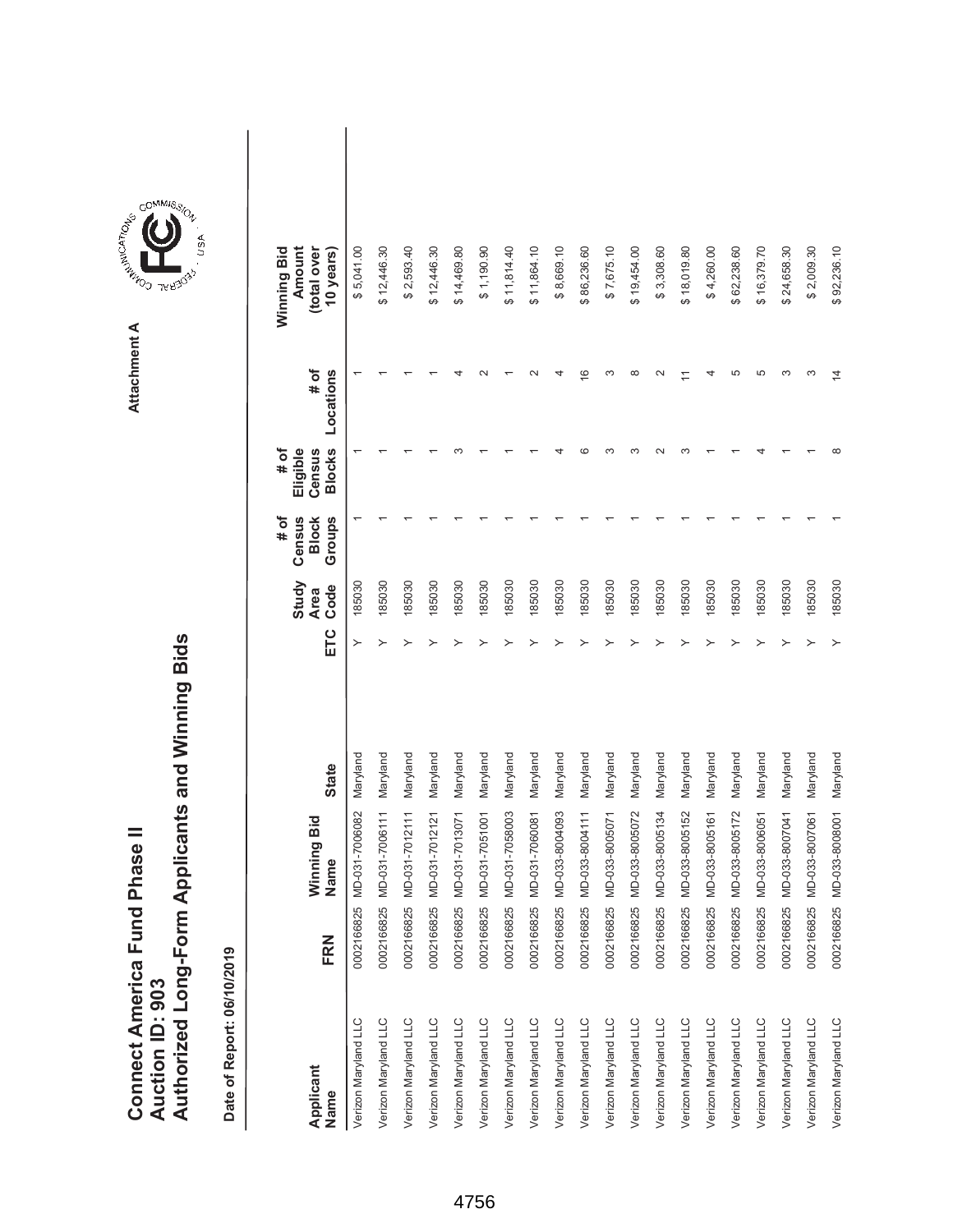|                               |                 | Authorized Long-Form Applicants and Winning Bids |
|-------------------------------|-----------------|--------------------------------------------------|
|                               |                 |                                                  |
|                               |                 |                                                  |
| Connect America Fund Phase II |                 |                                                  |
|                               | Auction ID: 903 |                                                  |
|                               |                 |                                                  |
|                               |                 |                                                  |



| Applicant<br>Name    | FRN        | Winning Bid<br>Name | <b>State</b> | ETC | Study<br>Code<br><b>Area</b> | # of<br>Census<br>Groups<br><b>Block</b> | <b>Blocks</b><br># of<br>Eligible<br>Census | # of<br>Locations | Winning Bid<br>Amount<br>(total over<br>10 years) |  |
|----------------------|------------|---------------------|--------------|-----|------------------------------|------------------------------------------|---------------------------------------------|-------------------|---------------------------------------------------|--|
| Verizon Maryland LLC | 0002166825 | MD-031-7006082      | Maryland     | ≻   | 185030                       |                                          |                                             |                   | \$5,041.00                                        |  |
| Verizon Maryland LLC | 0002166825 | MD-031-7006111      | Maryland     |     | 185030                       |                                          |                                             |                   | \$12,446.30                                       |  |
| Verizon Maryland LLC | 0002166825 | MD-031-7012111      | Maryland     |     | 185030                       |                                          |                                             |                   | \$2,593.40                                        |  |
| Verizon Maryland LLC | 0002166825 | MD-031-7012121      | Maryland     |     | 185030                       |                                          |                                             |                   | \$12,446.30                                       |  |
| Verizon Maryland LLC | 0002166825 | MD-031-7013071      | Maryland     |     | 185030                       |                                          |                                             |                   | \$14,469.80                                       |  |
| Verizon Maryland LLC | 0002166825 | MD-031-7051001      | Maryland     |     | 185030                       |                                          |                                             |                   | \$1,190.90                                        |  |
| Verizon Maryland LLC | 0002166825 | MD-031-7058003      | Maryland     |     | 185030                       |                                          |                                             |                   | \$11,814.40                                       |  |
| Verizon Maryland LLC | 0002166825 | MD-031-7060081      | Maryland     |     | 185030                       |                                          |                                             |                   | \$11,864.10                                       |  |
| Verizon Maryland LLC | 0002166825 | MD-033-8004093      | Maryland     |     | 185030                       |                                          |                                             |                   | \$8,669.10                                        |  |
| Verizon Maryland LLC | 0002166825 | MD-033-8004111      | Maryland     |     | 185030                       |                                          |                                             | $\circ$           | \$86,236.60                                       |  |
| Verizon Maryland LLC | 0002166825 | MD-033-8005071      | Maryland     |     | 185030                       |                                          |                                             | ∞                 | \$7,675.10                                        |  |
| Verizon Maryland LLC | 0002166825 | MD-033-8005072      | Maryland     |     | 185030                       |                                          |                                             | ∞                 | \$19,454.00                                       |  |
| Verizon Maryland LLC | 0002166825 | MD-033-8005134      | Maryland     |     | 185030                       |                                          |                                             |                   | \$3,308.60                                        |  |
| Verizon Maryland LLC | 0002166825 | MD-033-8005152      | Maryland     |     | 185030                       |                                          |                                             |                   | \$18,019.80                                       |  |
| Verizon Maryland LLC | 0002166825 | MD-033-8005161      | Maryland     |     | 185030                       |                                          |                                             |                   | \$4,260.00                                        |  |
| Verizon Maryland LLC | 0002166825 | MD-033-8005172      | Maryland     |     | 185030                       |                                          |                                             | ഥ                 | \$62,238.60                                       |  |
| Verizon Maryland LLC | 0002166825 | MD-033-8006051      | Maryland     |     | 185030                       |                                          |                                             | 5                 | \$16,379.70                                       |  |
| Verizon Maryland LLC | 0002166825 | MD-033-8007041      | Maryland     |     | 185030                       |                                          |                                             | ო                 | \$24,658.30                                       |  |
| Verizon Maryland LLC | 0002166825 | MD-033-8007061      | Maryland     |     | 185030                       |                                          |                                             | ∞                 | \$2,009.30                                        |  |
| Verizon Maryland LLC | 0002166825 | MD-033-8008001      | Maryland     |     | 185030                       |                                          |                                             | 4                 | \$92,236.10                                       |  |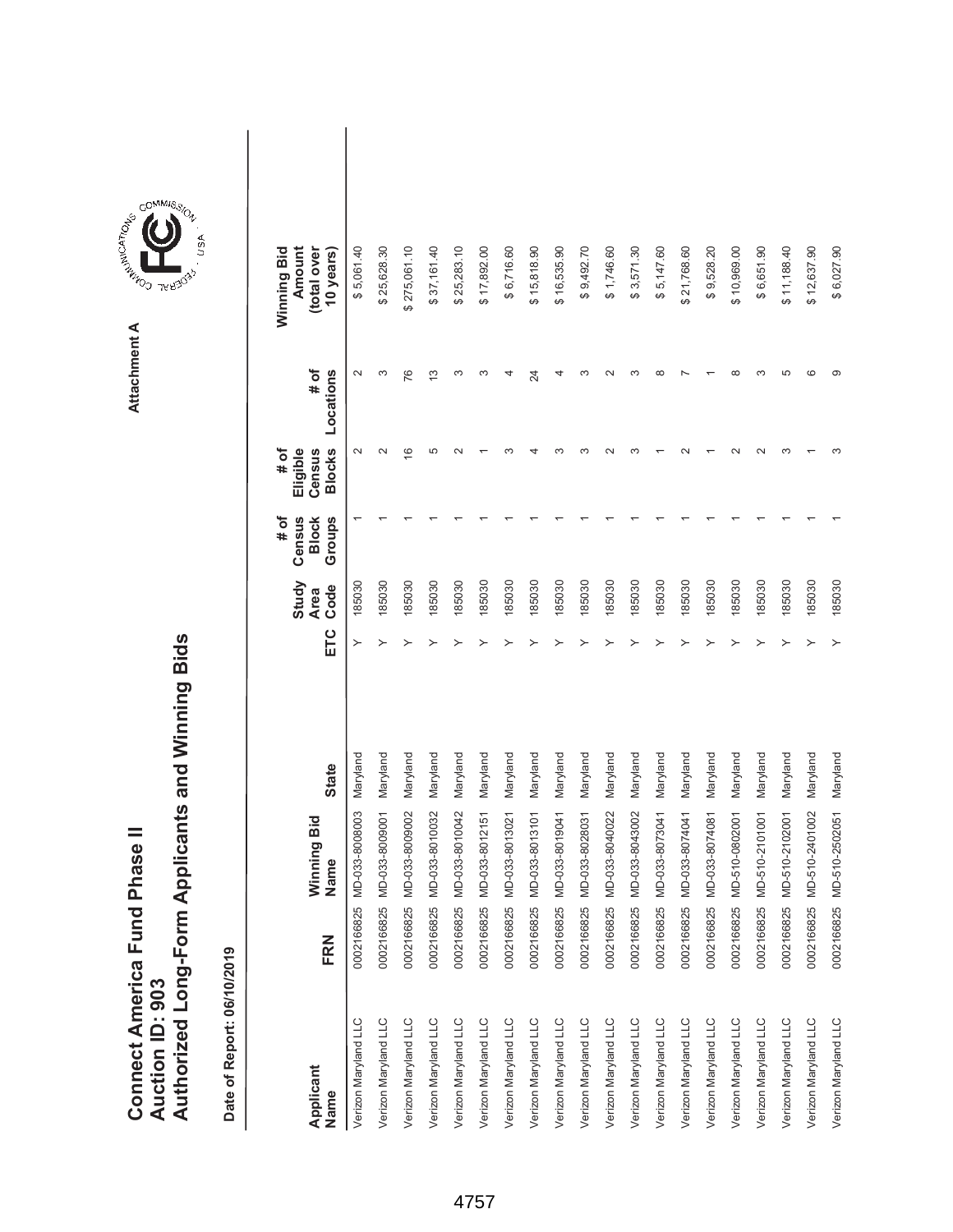|                               |                 | Authorized Long-Form Applicants and Winning Bids |
|-------------------------------|-----------------|--------------------------------------------------|
| Connect America Fund Phase II |                 |                                                  |
|                               |                 |                                                  |
|                               |                 |                                                  |
|                               |                 |                                                  |
|                               | Auction ID: 903 |                                                  |



| Applicant<br>Name    | FRN        | Winning Bid<br>Name | <b>State</b> | ЕTC | Study<br>Code<br><b>Area</b> | Census<br>Groups<br># of<br><b>Block</b> | <b>Blocks</b><br># of<br>Eligible<br>Census | # of<br>Locations | Winning Bid<br>Amount<br>(total over<br>10 years) |  |
|----------------------|------------|---------------------|--------------|-----|------------------------------|------------------------------------------|---------------------------------------------|-------------------|---------------------------------------------------|--|
| Verizon Maryland LLC | 0002166825 | MD-033-8008003      | Maryland     | ≻   | 185030                       |                                          | $\sim$                                      |                   | \$5,061.40                                        |  |
| Verizon Maryland LLC | 0002166825 | MD-033-8009001      | Maryland     | ≻   | 185030                       |                                          | $\sim$                                      | ω                 | \$25,628.30                                       |  |
| Verizon Maryland LLC | 0002166825 | MD-033-8009002      | Maryland     |     | 185030                       |                                          | $\circ$                                     | 76                | \$275,061.10                                      |  |
| Verizon Maryland LLC | 0002166825 | MD-033-8010032      | Maryland     |     | 185030                       |                                          | 5                                           | $\frac{3}{2}$     | \$37,161.40                                       |  |
| Verizon Maryland LLC | 0002166825 | MD-033-8010042      | Maryland     |     | 185030                       |                                          |                                             | ω                 | 25,283.10<br>↮                                    |  |
| Verizon Maryland LLC | 0002166825 | MD-033-8012151      | Maryland     |     | 185030                       |                                          |                                             | ∞                 | \$17,892.00                                       |  |
| Verizon Maryland LLC | 0002166825 | MD-033-8013021      | Maryland     |     | 185030                       |                                          |                                             |                   | \$6,716.60                                        |  |
| Verizon Maryland LLC | 0002166825 | MD-033-8013101      | Maryland     |     | 185030                       |                                          |                                             | 24                | \$15,818.90                                       |  |
| Verizon Maryland LLC | 0002166825 | MD-033-8019041      | Maryland     |     | 185030                       |                                          |                                             |                   | \$16,535.90                                       |  |
| Verizon Maryland LLC | 0002166825 | MD-033-8028031      | Maryland     |     | 185030                       |                                          |                                             |                   | \$9,492.70                                        |  |
| Verizon Maryland LLC | 0002166825 | MD-033-8040022      | Maryland     |     | 185030                       |                                          |                                             |                   | \$1,746.60                                        |  |
| Verizon Maryland LLC | 0002166825 | MD-033-8043002      | Maryland     |     | 185030                       |                                          |                                             |                   | \$3,571.30                                        |  |
| Verizon Maryland LLC | 0002166825 | MD-033-8073041      | Maryland     |     | 185030                       |                                          |                                             |                   | \$5,147.60                                        |  |
| Verizon Maryland LLC | 0002166825 | MD-033-8074041      | Maryland     |     | 185030                       |                                          |                                             |                   | \$21,768.60                                       |  |
| Verizon Maryland LLC | 0002166825 | MD-033-8074081      | Maryland     |     | 185030                       |                                          |                                             |                   | \$9,528.20                                        |  |
| Verizon Maryland LLC | 0002166825 | MD-510-0802001      | Maryland     |     | 185030                       |                                          |                                             |                   | \$10,969.00                                       |  |
| Verizon Maryland LLC | 0002166825 | MD-510-2101001      | Maryland     |     | 185030                       |                                          |                                             |                   | \$6,651.90                                        |  |
| Verizon Maryland LLC | 0002166825 | MD-510-2102001      | Maryland     |     | 185030                       |                                          | ∾                                           | ഥ                 | \$11,188.40                                       |  |
| Verizon Maryland LLC | 0002166825 | MD-510-2401002      | Maryland     |     | 185030                       |                                          |                                             | c                 | \$12,637.90                                       |  |
| Verizon Maryland LLC | 0002166825 | MD-510-2502051      | Maryland     | ≻   | 185030                       |                                          |                                             | ග                 | \$6,027.90                                        |  |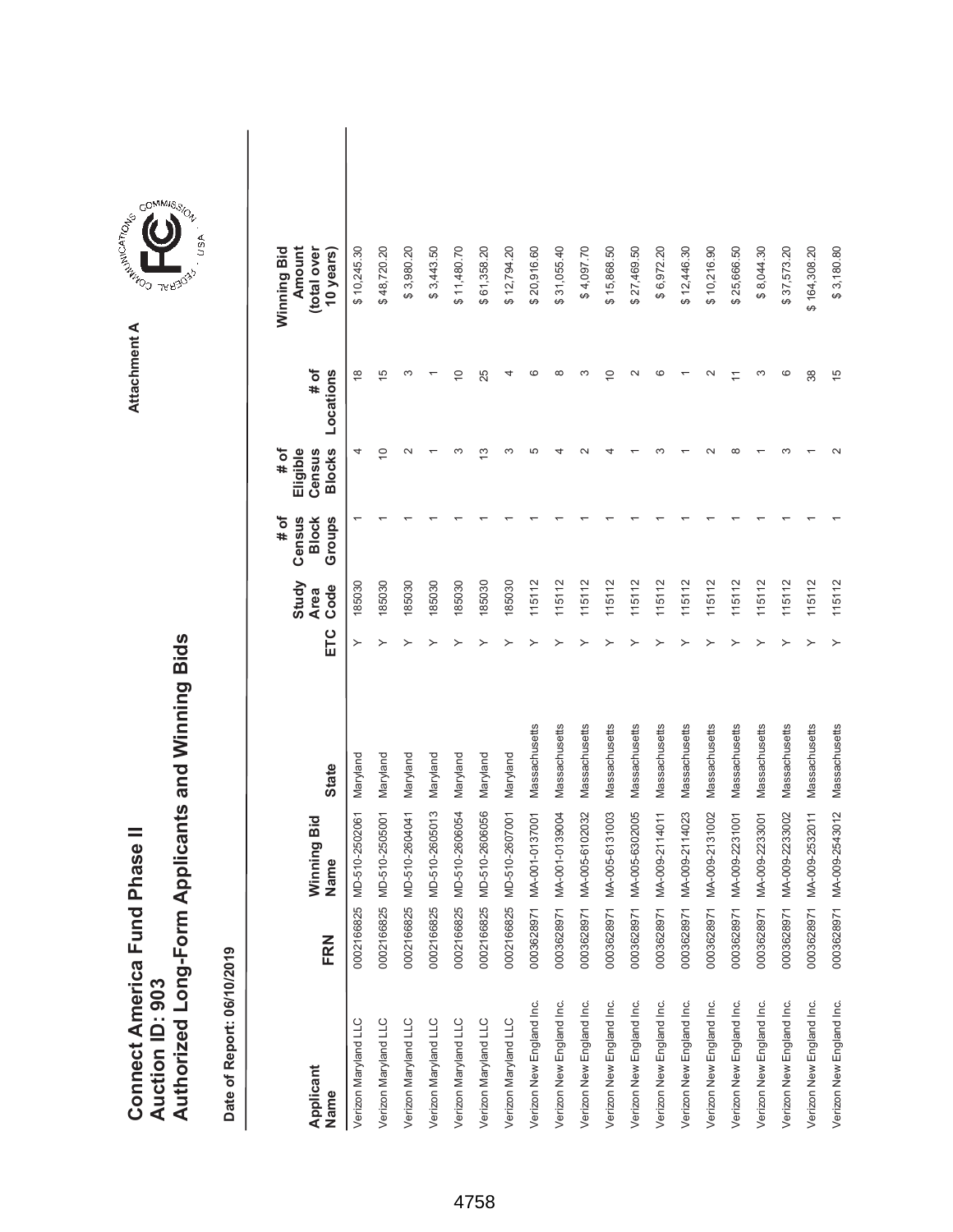|                               |                 | Authorized Long-Form Applicants and Winning Bids |
|-------------------------------|-----------------|--------------------------------------------------|
| Connect America Fund Phase II |                 |                                                  |
|                               |                 |                                                  |
|                               |                 |                                                  |
|                               |                 |                                                  |
|                               | Auction ID: 903 |                                                  |



| Applicant<br>Name        | FRN        | Winning Bid<br>Name | <b>State</b>  | ETC | Study<br>Code<br><b>Area</b> | # of<br>Census<br>Groups<br><b>Block</b> | <b>Blocks</b><br># of<br>Eligible<br>Census | # of<br>Locations | Winning Bid<br>Amount<br>(total over<br>10 years) |  |
|--------------------------|------------|---------------------|---------------|-----|------------------------------|------------------------------------------|---------------------------------------------|-------------------|---------------------------------------------------|--|
| Verizon Maryland LLC     | 0002166825 | MD-510-2502061      | Maryland      |     | 185030                       |                                          | 4                                           | $\frac{8}{1}$     | \$10,245.30                                       |  |
| Verizon Maryland LLC     | 0002166825 | MD-510-2505001      | Maryland      | ≻   | 185030                       |                                          | $\overline{C}$                              | $\frac{5}{1}$     | \$48,720.20                                       |  |
| Verizon Maryland LLC     | 0002166825 | MD-510-2604041      | Maryland      |     | 185030                       |                                          |                                             | ω                 | \$3,980.20                                        |  |
| Verizon Maryland LLC     | 0002166825 | MD-510-2605013      | Maryland      |     | 185030                       |                                          |                                             |                   | \$3,443.50                                        |  |
| Verizon Maryland LLC     | 0002166825 | MD-510-2606054      | Maryland      |     | 185030                       |                                          |                                             | $\overline{C}$    | \$11,480.70                                       |  |
| Verizon Maryland LLC     | 0002166825 | MD-510-2606056      | Maryland      |     | 185030                       |                                          | ≌                                           | 25                | \$61,358.20                                       |  |
| Verizon Maryland LLC     | 0002166825 | MD-510-2607001      | Maryland      |     | 185030                       |                                          | ω                                           | 4                 | \$12,794.20                                       |  |
| Verizon New England Inc. | 0003628971 | MA-001-0137001      | Massachusetts |     | 115112                       |                                          | 5                                           | ဖ                 | \$20,916.60                                       |  |
| Verizon New England Inc. | 0003628971 | MA-001-0139004      | Massachusetts |     | 115112                       |                                          |                                             | $\infty$          | \$31,055.40                                       |  |
| Verizon New England Inc. | 0003628971 | MA-005-6102032      | Massachusetts |     | 115112                       |                                          |                                             | c                 | \$4,097.70                                        |  |
| Verizon New England Inc. | 0003628971 | MA-005-6131003      | Massachusetts |     | 115112                       |                                          |                                             | $\overline{C}$    | \$15,868.50                                       |  |
| Verizon New England Inc. | 0003628971 | MA-005-6302005      | Massachusetts |     | 115112                       |                                          |                                             | $\sim$            | \$27,469.50                                       |  |
| Verizon New England Inc. | 0003628971 | MA-009-2114011      | Massachusetts |     | 115112                       |                                          |                                             | ဖ                 | \$6,972.20                                        |  |
| Verizon New England Inc. | 0003628971 | MA-009-2114023      | Massachusetts |     | 115112                       |                                          |                                             |                   | \$12,446.30                                       |  |
| Verizon New England Inc. | 0003628971 | MA-009-2131002      | Massachusetts |     | 115112                       |                                          |                                             |                   | \$10,216.90                                       |  |
| Verizon New England Inc. | 0003628971 | MA-009-2231001      | Massachusetts |     | 115112                       |                                          |                                             |                   | \$25,666.50                                       |  |
| Verizon New England Inc. | 0003628971 | MA-009-2233001      | Massachusetts |     | 115112                       |                                          |                                             | ო                 | \$8,044.30                                        |  |
| Verizon New England Inc. | 0003628971 | MA-009-2233002      | Massachusetts |     | 115112                       |                                          |                                             | ဖ                 | \$37,573.20                                       |  |
| Verizon New England Inc. | 0003628971 | MA-009-2532011      | Massachusetts |     | 115112                       |                                          |                                             | 38                | \$164,308.20                                      |  |
| Verizon New England Inc. | 0003628971 | MA-009-2543012      | Massachusetts |     | 115112                       |                                          |                                             | $\frac{5}{3}$     | \$3,180.80                                        |  |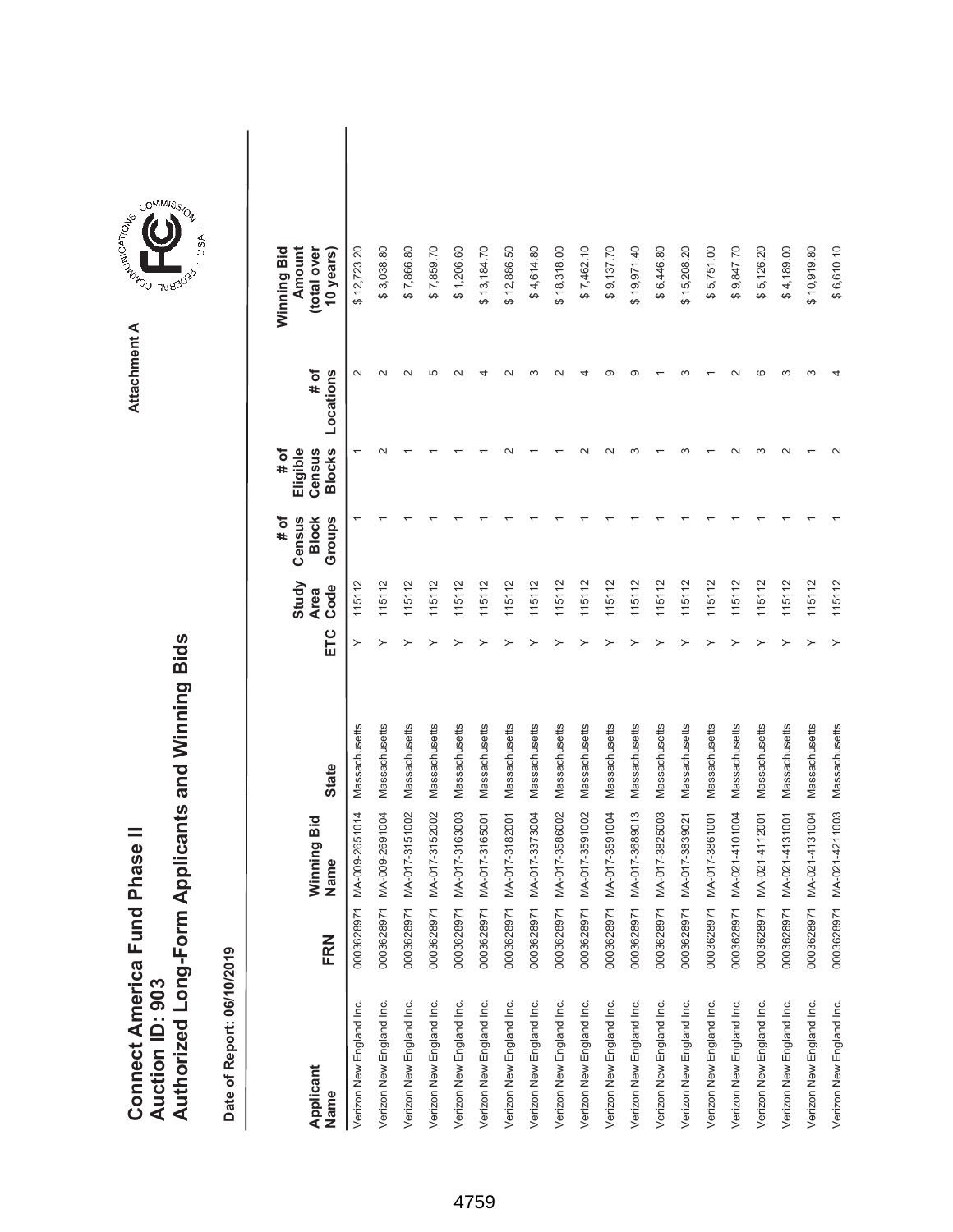|                               |                        | Authorized Long-Form Applicants and Winning Bids |
|-------------------------------|------------------------|--------------------------------------------------|
| Connect America Fund Phase II | <b>Auction ID: 903</b> |                                                  |
|                               |                        |                                                  |



| Applicant<br>Name        | FRN        | Winning Bid<br>Name | <b>State</b>  | ETC | Study<br>Code<br><b>Area</b> | Census<br>Groups<br>$\frac{4}{10}$<br><b>Block</b> | <b>Blocks</b><br>Eligible<br>Census<br># of | # of<br>Locations | Amount<br>Winning Bid<br>(total over<br>10 years) |  |
|--------------------------|------------|---------------------|---------------|-----|------------------------------|----------------------------------------------------|---------------------------------------------|-------------------|---------------------------------------------------|--|
| Verizon New England Inc. | 0003628971 | MA-009-2651014      | Massachusetts | ≻   | 115112                       |                                                    |                                             |                   | \$12,723.20                                       |  |
| Verizon New England Inc. | 0003628971 | MA-009-2691004      | Massachusetts | ≻   | 115112                       |                                                    |                                             |                   | \$3,038.80                                        |  |
| Verizon New England Inc. | 0003628971 | MA-017-3151002      | Massachusetts |     | 115112                       |                                                    |                                             |                   | \$7,866.80                                        |  |
| Verizon New England Inc. | 0003628971 | MA-017-3152002      | Massachusetts |     | 115112                       |                                                    |                                             | ഥ                 | \$7,859.70                                        |  |
| Verizon New England Inc. | 0003628971 | MA-017-3163003      | Massachusetts |     | 115112                       |                                                    |                                             |                   | \$1,206.60                                        |  |
| Verizon New England Inc. | 0003628971 | MA-017-3165001      | Massachusetts |     | 115112                       |                                                    |                                             |                   | \$13,184.70                                       |  |
| Verizon New England Inc. | 0003628971 | MA-017-3182001      | Massachusetts |     | 115112                       |                                                    |                                             |                   | \$12,886.50                                       |  |
| Verizon New England Inc. | 0003628971 | MA-017-3373004      | Massachusetts |     | 115112                       |                                                    |                                             |                   | \$4,614.80                                        |  |
| Verizon New England Inc. | 0003628971 | MA-017-3586002      | Massachusetts |     | 115112                       |                                                    |                                             |                   | \$18,318.00                                       |  |
| Verizon New England Inc. | 0003628971 | MA-017-3591002      | Massachusetts |     | 115112                       |                                                    |                                             |                   | \$7,462.10                                        |  |
| Verizon New England Inc. | 0003628971 | MA-017-3591004      | Massachusetts |     | 115112                       |                                                    |                                             |                   | \$9,137.70                                        |  |
| Verizon New England Inc. | 0003628971 | MA-017-3689013      | Massachusetts |     | 115112                       |                                                    |                                             |                   | \$19,971.40                                       |  |
| Verizon New England Inc. | 0003628971 | MA-017-3825003      | Massachusetts |     | 115112                       |                                                    |                                             |                   | \$6,446.80                                        |  |
| Verizon New England Inc. | 0003628971 | MA-017-3839021      | Massachusetts |     | 115112                       |                                                    |                                             |                   | \$15,208.20                                       |  |
| Verizon New England Inc. | 0003628971 | MA-017-3861001      | Massachusetts |     | 115112                       |                                                    |                                             |                   | \$5,751.00                                        |  |
| Verizon New England Inc. | 0003628971 | MA-021-4101004      | Massachusetts |     | 115112                       |                                                    |                                             |                   | \$9,847.70                                        |  |
| Verizon New England Inc. | 0003628971 | MA-021-4112001      | Massachusetts |     | 115112                       |                                                    | ო                                           |                   | \$5,126.20                                        |  |
| Verizon New England Inc. | 0003628971 | MA-021-4131001      | Massachusetts |     | 115112                       |                                                    |                                             |                   | \$4,189.00                                        |  |
| Verizon New England Inc. | 0003628971 | MA-021-4131004      | Massachusetts |     | 115112                       |                                                    |                                             |                   | \$10,919.80                                       |  |
| Verizon New England Inc. | 0003628971 | MA-021-4211003      | Massachusetts |     | 115112                       |                                                    |                                             |                   | \$6,610.10                                        |  |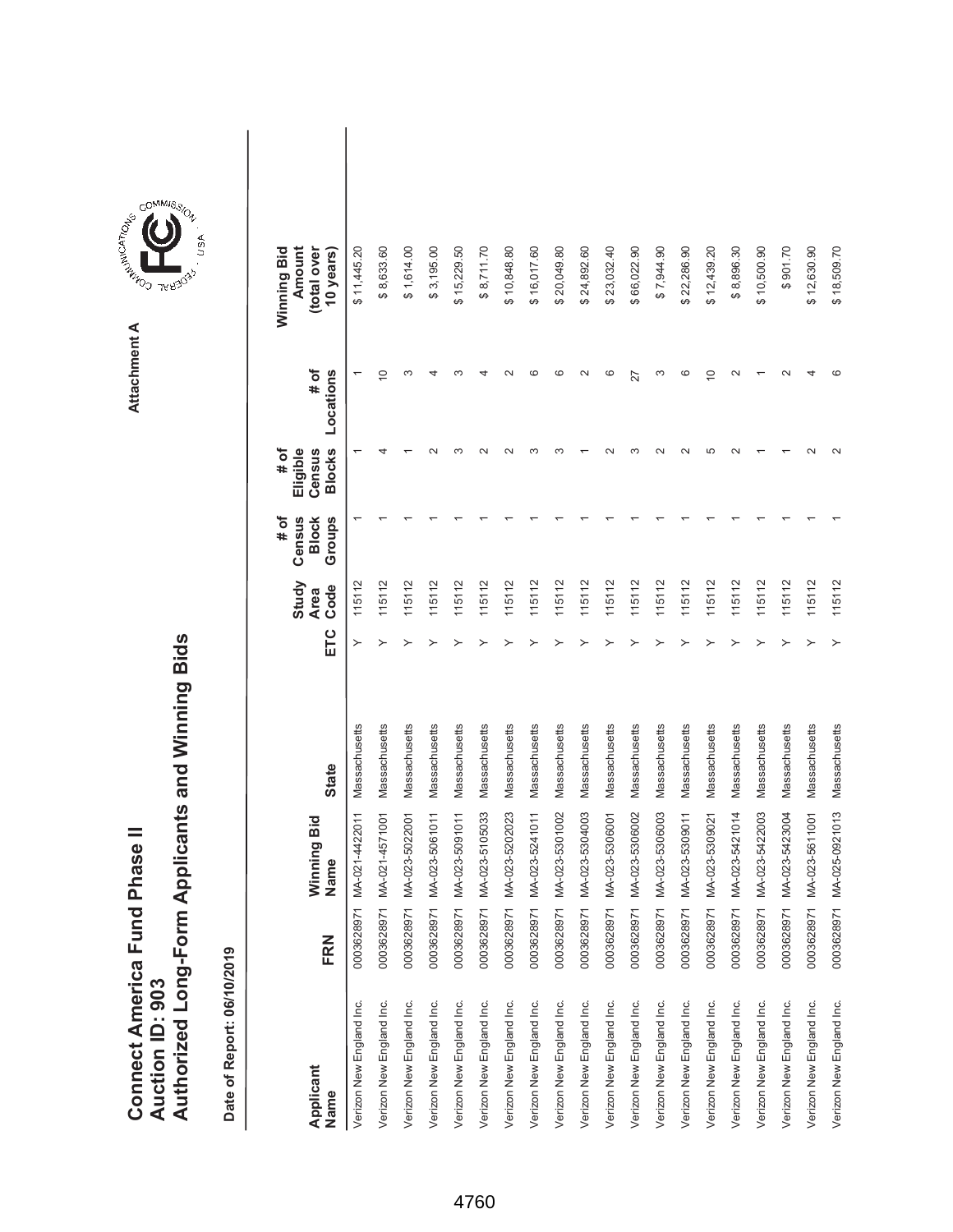|                               |                        | Authorized Long-Form Applicants and Winning Bids |
|-------------------------------|------------------------|--------------------------------------------------|
| Connect America Fund Phase II | <b>Auction ID: 903</b> |                                                  |
|                               |                        |                                                  |



| Applicant<br>Name        | FRN        | Winning Bid<br>Name | <b>State</b>  | ETC | Study<br>Code<br><b>Area</b> | # of<br>Census<br>Groups<br><b>Block</b> | <b>Blocks</b><br>Eligible<br># of<br>Census | # of<br>Locations | Winning Bid<br>Amount<br>(total over<br>10 years) |  |
|--------------------------|------------|---------------------|---------------|-----|------------------------------|------------------------------------------|---------------------------------------------|-------------------|---------------------------------------------------|--|
| Verizon New England Inc. | 0003628971 | MA-021-4422011      | Massachusetts | ≻   | 115112                       |                                          |                                             |                   | \$11,445.20                                       |  |
| Verizon New England Inc. | 0003628971 | MA-021-4571001      | Massachusetts | ≻   | 115112                       |                                          |                                             | $\circ$           | \$8,633.60                                        |  |
| Verizon New England Inc. | 0003628971 | MA-023-5022001      | Massachusetts |     | 115112                       |                                          |                                             | ო                 | \$1,614.00                                        |  |
| Verizon New England Inc. | 0003628971 | MA-023-5061011      | Massachusetts |     | 115112                       |                                          |                                             |                   | \$3,195.00                                        |  |
| Verizon New England Inc. | 0003628971 | MA-023-5091011      | Massachusetts |     | 115112                       |                                          | ∞                                           | ∞                 | \$15,229.50                                       |  |
| Verizon New England Inc. | 0003628971 | MA-023-5105033      | Massachusetts |     | 115112                       |                                          |                                             |                   | \$8,711.70                                        |  |
| Verizon New England Inc. | 0003628971 | MA-023-5202023      | Massachusetts |     | 115112                       |                                          |                                             |                   | \$10,848.80                                       |  |
| Verizon New England Inc. | 0003628971 | MA-023-5241011      | Massachusetts |     | 115112                       |                                          | ო                                           | ဖ                 | \$16,017.60                                       |  |
| Verizon New England Inc. | 0003628971 | MA-023-5301002      | Massachusetts |     | 115112                       |                                          |                                             | ဖ                 | \$20,049.80                                       |  |
| Verizon New England Inc. | 0003628971 | MA-023-5304003      | Massachusetts |     | 115112                       |                                          |                                             | $\sim$            | \$24,892.60                                       |  |
| Verizon New England Inc. | 0003628971 | MA-023-5306001      | Massachusetts |     | 115112                       |                                          |                                             | ဖ                 | \$23,032.40                                       |  |
| Verizon New England Inc. | 0003628971 | MA-023-5306002      | Massachusetts |     | 115112                       |                                          |                                             | 27                | \$66,022.90                                       |  |
| Verizon New England Inc. | 0003628971 | MA-023-5306003      | Massachusetts |     | 115112                       |                                          |                                             | ∞                 | \$7,944.90                                        |  |
| Verizon New England Inc. | 0003628971 | MA-023-5309011      | Massachusetts |     | 115112                       |                                          |                                             | $\circ$           | \$22,286.90                                       |  |
| Verizon New England Inc. | 0003628971 | MA-023-5309021      | Massachusetts |     | 115112                       |                                          | Ю                                           | $\widetilde{C}$   | \$12,439.20                                       |  |
| Verizon New England Inc. | 0003628971 | MA-023-5421014      | Massachusetts |     | 115112                       |                                          | $\sim$                                      | $\sim$            | \$8,896.30                                        |  |
| Verizon New England Inc. | 0003628971 | MA-023-5422003      | Massachusetts |     | 115112                       |                                          |                                             |                   | \$10,500.90                                       |  |
| Verizon New England Inc. | 0003628971 | MA-023-5423004      | Massachusetts |     | 115112                       |                                          |                                             |                   | \$901.70                                          |  |
| Verizon New England Inc. | 0003628971 | MA-023-5611001      | Massachusetts |     | 115112                       |                                          |                                             |                   | \$12,630.90                                       |  |
| Verizon New England Inc. | 0003628971 | MA-025-0921013      | Massachusetts | ≻   | 115112                       |                                          |                                             |                   | \$18,509.70                                       |  |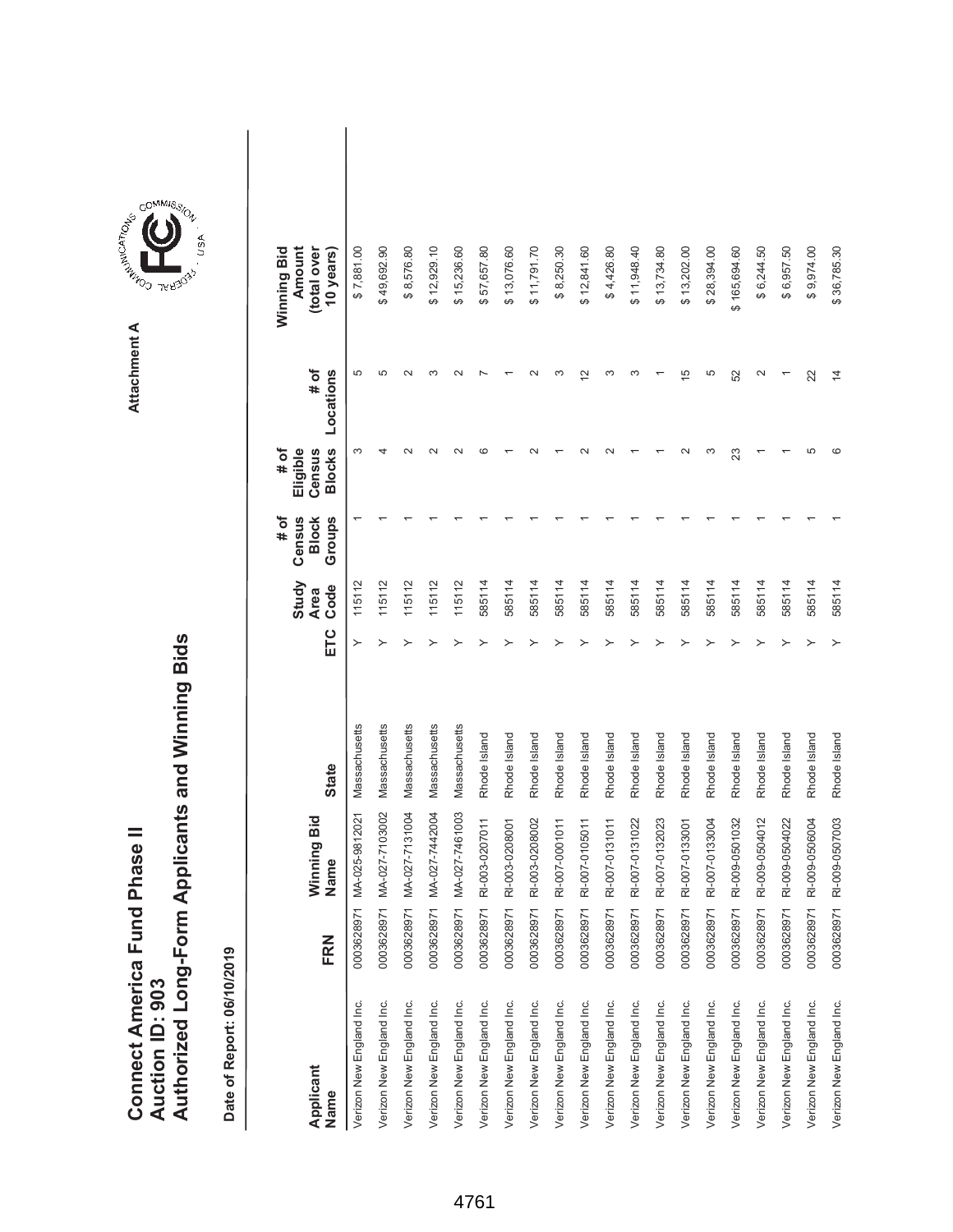|                               |                 | Authorized Long-Form Applicants and Winning Bids |
|-------------------------------|-----------------|--------------------------------------------------|
| Connect America Fund Phase II |                 |                                                  |
|                               |                 |                                                  |
|                               |                 |                                                  |
|                               |                 |                                                  |
|                               | Auction ID: 903 |                                                  |



| Applicant<br>Name        | FRN        | Winning Bid<br>Name | <b>State</b>  | ETC | Study<br>Code<br><b>Area</b> | # of<br>Census<br>Groups<br><b>Block</b> | <b>Blocks</b><br># of<br>Eligible<br>Census | # of<br>Locations | Winning Bid<br>Amount<br>(total over<br>10 years) |  |
|--------------------------|------------|---------------------|---------------|-----|------------------------------|------------------------------------------|---------------------------------------------|-------------------|---------------------------------------------------|--|
| Verizon New England Inc. | 0003628971 | MA-025-9812021      | Massachusetts | ≻   | 115112                       |                                          | ო                                           | 5                 | \$7,881.00                                        |  |
| Verizon New England Inc. | 0003628971 | MA-027-7103002      | Massachusetts | ≻   | 115112                       |                                          | 4                                           | Ю                 | \$49,692.90                                       |  |
| Verizon New England Inc. | 0003628971 | MA-027-7131004      | Massachusetts |     | 115112                       |                                          |                                             | $\sim$            | \$8,576.80                                        |  |
| Verizon New England Inc. | 0003628971 | MA-027-7442004      | Massachusetts |     | 115112                       |                                          |                                             | ↶                 | \$12,929.10                                       |  |
| Verizon New England Inc. | 0003628971 | MA-027-7461003      | Massachusetts |     | 115112                       |                                          | $\sim$                                      | $\sim$            | \$15,236.60                                       |  |
| Verizon New England Inc. | 0003628971 | RI-003-0207011      | Rhode Island  |     | 585114                       |                                          | ശ                                           |                   | 57,657.80<br>↔                                    |  |
| Verizon New England Inc. | 0003628971 | RI-003-0208001      | Rhode Island  |     | 585114                       |                                          |                                             |                   | \$13,076.60                                       |  |
| Verizon New England Inc. | 0003628971 | RI-003-0208002      | Rhode Island  |     | 585114                       |                                          |                                             |                   | \$11,791.70                                       |  |
| Verizon New England Inc. | 0003628971 | RI-007-0001011      | Rhode Island  |     | 585114                       |                                          |                                             |                   | \$8,250.30                                        |  |
| Verizon New England Inc. | 0003628971 | RI-007-0105011      | Rhode Island  |     | 585114                       |                                          |                                             | $\mathbf{\Omega}$ | \$12,841.60                                       |  |
| Verizon New England Inc. | 0003628971 | RI-007-0131011      | Rhode Island  |     | 585114                       |                                          |                                             | S                 | \$4,426.80                                        |  |
| Verizon New England Inc. | 0003628971 | RI-007-0131022      | Rhode Island  |     | 585114                       |                                          |                                             | ო                 | \$11,948.40                                       |  |
| Verizon New England Inc. | 0003628971 | RI-007-0132023      | Rhode Island  |     | 585114                       |                                          |                                             |                   | \$13,734.80                                       |  |
| Verizon New England Inc. | 0003628971 | RI-007-0133001      | Rhode Island  |     | 585114                       |                                          |                                             | Ю                 | \$13,202.00                                       |  |
| Verizon New England Inc. | 0003628971 | RI-007-0133004      | Rhode Island  |     | 585114                       |                                          |                                             | 5                 | \$28,394.00                                       |  |
| Verizon New England Inc. | 0003628971 | RI-009-0501032      | Rhode Island  |     | 585114                       |                                          | 23                                          | 52                | \$165,694.60                                      |  |
| Verizon New England Inc. | 0003628971 | RI-009-0504012      | Rhode Island  |     | 585114                       |                                          |                                             | $\sim$            | \$6,244.50                                        |  |
| Verizon New England Inc. | 0003628971 | RI-009-0504022      | Rhode Island  |     | 585114                       |                                          |                                             |                   | \$6,957.50                                        |  |
| Verizon New England Inc. | 0003628971 | RI-009-0506004      | Rhode Island  |     | 585114                       |                                          | Ю                                           | 22                | \$9,974.00                                        |  |
| Verizon New England Inc. | 0003628971 | RI-009-0507003      | Rhode Island  |     | 585114                       |                                          | ဖ                                           | $\overline{4}$    | \$36,785.30                                       |  |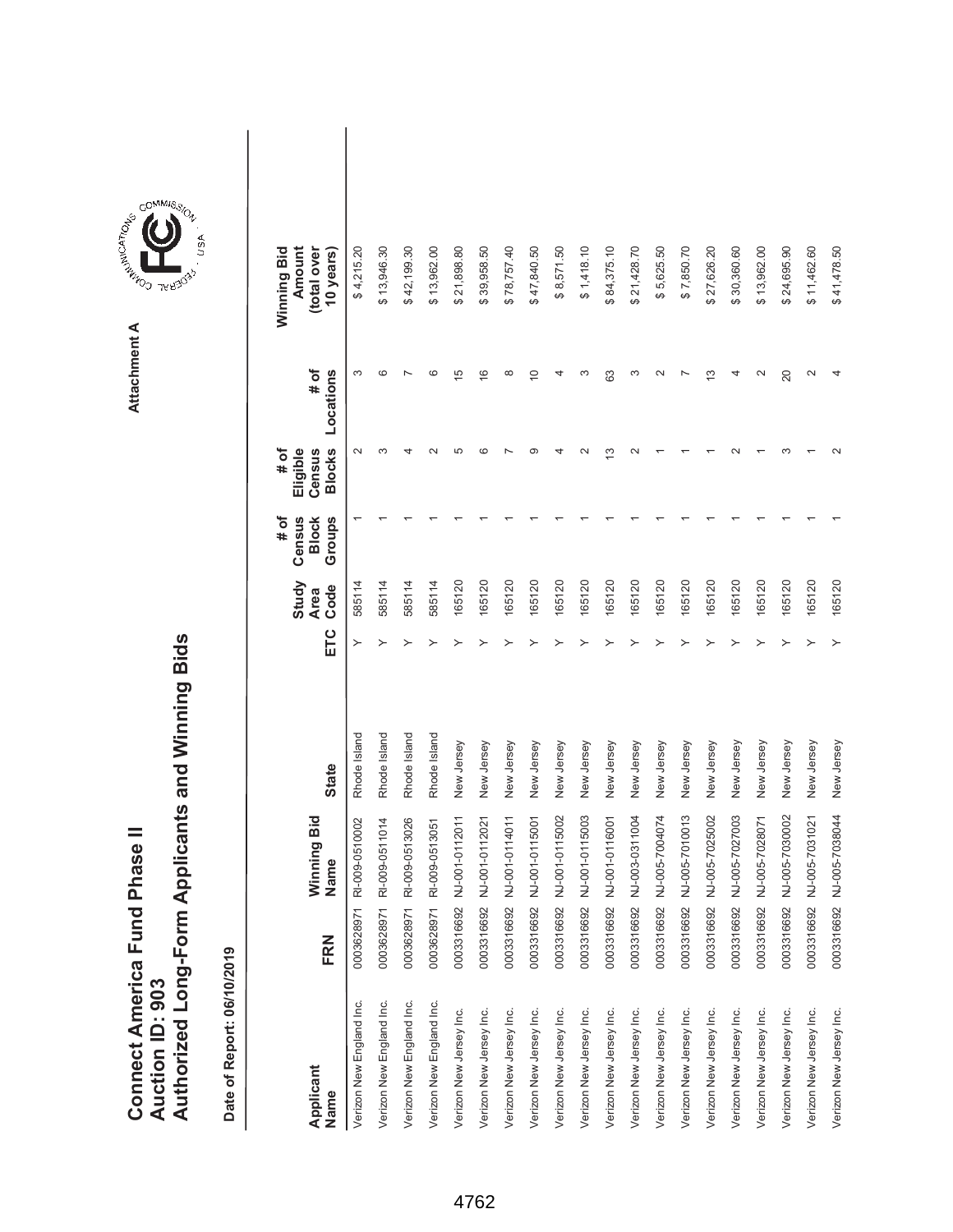|                               |                 | Authorized Long-Form Applicants and Winning Bids |
|-------------------------------|-----------------|--------------------------------------------------|
| Connect America Fund Phase II |                 |                                                  |
|                               |                 |                                                  |
|                               |                 |                                                  |
|                               |                 |                                                  |
|                               | Auction ID: 903 |                                                  |



| Applicant<br>Name        | FRN        | Winning Bid<br>Name | <b>State</b> | ETC | Study<br>Code<br><b>Area</b> | # of<br>Census<br>Groups<br><b>Block</b> | <b>Blocks</b><br>Eligible<br># of<br>Census | # of<br>Locations | Winning Bid<br>Amount<br>(total over<br>10 years) |  |
|--------------------------|------------|---------------------|--------------|-----|------------------------------|------------------------------------------|---------------------------------------------|-------------------|---------------------------------------------------|--|
| Verizon New England Inc. | 0003628971 | RI-009-0510002      | Rhode Island |     | 585114                       |                                          | $\sim$                                      | ო                 | \$4,215.20                                        |  |
| Verizon New England Inc. | 0003628971 | RI-009-0511014      | Rhode Island |     | 585114                       |                                          | ო                                           | ဖ                 | \$13,946.30                                       |  |
| Verizon New England Inc. | 0003628971 | RI-009-0513026      | Rhode Island |     | 585114                       |                                          |                                             |                   | \$42,199.30                                       |  |
| Verizon New England Inc. | 0003628971 | RI-009-0513051      | Rhode Island |     | 585114                       |                                          |                                             | ဖ                 | \$13,962.00                                       |  |
| Verizon New Jersey Inc.  | 0003316692 | NJ-001-0112011      | New Jersey   |     | 165120                       |                                          | Ю                                           | $\frac{5}{1}$     | \$21,898.80                                       |  |
| Verizon New Jersey Inc.  | 0003316692 | NJ-001-0112021      | New Jersey   |     | 165120                       |                                          | ശ                                           | $\frac{6}{1}$     | \$39,958.50                                       |  |
| Verizon New Jersey Inc.  | 0003316692 | NJ-001-0114011      | New Jersey   |     | 165120                       |                                          |                                             | $\infty$          | \$78,757.40                                       |  |
| Verizon New Jersey Inc.  | 0003316692 | NJ-001-0115001      | New Jersey   |     | 165120                       |                                          | ത                                           | $\widetilde{C}$   | \$47,840.50                                       |  |
| Verizon New Jersey Inc.  | 0003316692 | NJ-001-0115002      | New Jersey   |     | 165120                       |                                          |                                             |                   | \$8,571.50                                        |  |
| Verizon New Jersey Inc.  | 0003316692 | NJ-001-0115003      | New Jersey   |     | 165120                       |                                          |                                             | c                 | \$1,418.10                                        |  |
| Verizon New Jersey Inc.  | 0003316692 | NJ-001-0116001      | New Jersey   |     | 165120                       |                                          | ≌                                           | 63                | \$84,375.10                                       |  |
| Verizon New Jersey Inc.  | 0003316692 | NJ-003-0311004      | New Jersey   |     | 165120                       |                                          |                                             | ო                 | \$21,428.70                                       |  |
| Verizon New Jersey Inc.  | 0003316692 | NJ-005-7004074      | New Jersey   |     | 165120                       |                                          |                                             | $\sim$            | \$5,625.50                                        |  |
| Verizon New Jersey Inc.  | 0003316692 | NJ-005-7010013      | New Jersey   |     | 165120                       |                                          |                                             |                   | \$7,850.70                                        |  |
| Verizon New Jersey Inc.  | 0003316692 | NJ-005-7025002      | New Jersey   |     | 165120                       |                                          |                                             | ო                 | \$27,626.20                                       |  |
| Verizon New Jersey Inc.  | 0003316692 | NJ-005-7027003      | New Jersey   |     | 165120                       |                                          |                                             |                   | \$30,360.60                                       |  |
| Verizon New Jersey Inc.  | 0003316692 | NJ-005-7028071      | New Jersey   |     | 165120                       |                                          |                                             |                   | \$13,962.00                                       |  |
| Verizon New Jersey Inc.  | 0003316692 | NJ-005-7030002      | New Jersey   |     | 165120                       |                                          |                                             | 20                | \$24,695.90                                       |  |
| Verizon New Jersey Inc.  | 0003316692 | NJ-005-7031021      | New Jersey   |     | 165120                       |                                          |                                             | $\sim$            | \$11,462.60                                       |  |
| Verizon New Jersey Inc.  | 0003316692 | NJ-005-7038044      | New Jersey   |     | 165120                       |                                          |                                             |                   | \$41,478.50                                       |  |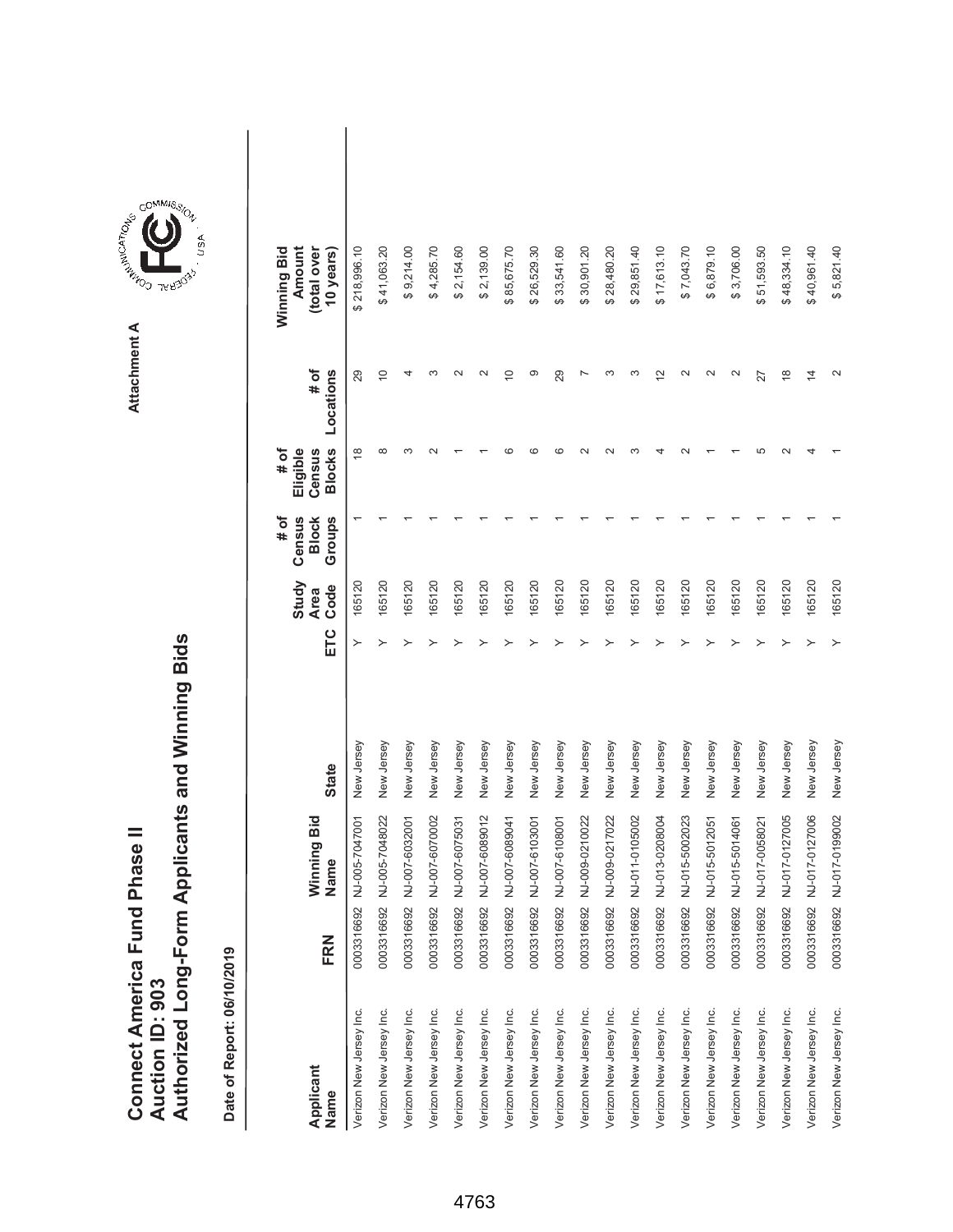|                               |                 | Authorized Long-Form Applicants and Winning Bids |
|-------------------------------|-----------------|--------------------------------------------------|
| Connect America Fund Phase II |                 |                                                  |
|                               |                 |                                                  |
|                               |                 |                                                  |
|                               |                 |                                                  |
|                               | Auction ID: 903 |                                                  |
|                               |                 |                                                  |
|                               |                 |                                                  |
|                               |                 |                                                  |



| Applicant<br>Name       | FRN        | Winning Bid<br>Name | <b>State</b> | ETC | Study<br>Code<br><b>Area</b> | Census<br>Groups<br># of<br><b>Block</b> | <b>Blocks</b><br># of<br>Eligible<br>Census | # of<br>Locations | Winning Bid<br>Amount<br>(total over<br>10 years) |  |
|-------------------------|------------|---------------------|--------------|-----|------------------------------|------------------------------------------|---------------------------------------------|-------------------|---------------------------------------------------|--|
| Verizon New Jersey Inc. | 0003316692 | NJ-005-7047001      | New Jersey   |     | 165120                       |                                          | $\frac{8}{1}$                               | 29                | \$218,996.10                                      |  |
| Verizon New Jersey Inc. | 0003316692 | NJ-005-7048022      | New Jersey   |     | 165120                       |                                          | ∞                                           | $\overline{0}$    | \$41,063.20                                       |  |
| Verizon New Jersey Inc. | 0003316692 | NJ-007-6032001      | New Jersey   |     | 165120                       |                                          |                                             |                   | \$9,214.00                                        |  |
| Verizon New Jersey Inc. | 0003316692 | NJ-007-6070002      | New Jersey   |     | 165120                       |                                          |                                             |                   | \$4,285.70                                        |  |
| Verizon New Jersey Inc. | 0003316692 | NJ-007-6075031      | New Jersey   |     | 165120                       |                                          |                                             |                   | \$2,154.60                                        |  |
| Verizon New Jersey Inc. | 0003316692 | NJ-007-6089012      | New Jersey   |     | 165120                       |                                          |                                             |                   | \$2,139.00                                        |  |
| Verizon New Jersey Inc. | 0003316692 | NJ-007-6089041      | New Jersey   |     | 165120                       |                                          |                                             | $\subseteq$       | \$85,675.70                                       |  |
| Verizon New Jersey Inc. | 0003316692 | NJ-007-6103001      | New Jersey   |     | 165120                       |                                          |                                             | ග                 | \$26,529.30                                       |  |
| Verizon New Jersey Inc. | 0003316692 | NJ-007-6108001      | New Jersey   |     | 165120                       |                                          |                                             | 29                | \$33,541.60                                       |  |
| Verizon New Jersey Inc. | 0003316692 | NJ-009-0210022      | New Jersey   |     | 165120                       |                                          |                                             |                   | \$30,901.20                                       |  |
| Verizon New Jersey Inc. | 0003316692 | NJ-009-0217022      | New Jersey   |     | 165120                       |                                          |                                             |                   | \$28,480.20                                       |  |
| Verizon New Jersey Inc. | 0003316692 | NJ-011-0105002      | New Jersey   |     | 165120                       |                                          |                                             |                   | \$29,851.40                                       |  |
| Verizon New Jersey Inc. | 0003316692 | NJ-013-0208004      | New Jersey   |     | 165120                       |                                          |                                             | $\tilde{c}$       | \$17,613.10                                       |  |
| Verizon New Jersey Inc. | 0003316692 | NJ-015-5002023      | New Jersey   |     | 165120                       |                                          |                                             | $\sim$            | \$7,043.70                                        |  |
| Verizon New Jersey Inc. | 0003316692 | NJ-015-5012051      | New Jersey   |     | 165120                       |                                          |                                             | $\sim$            | \$6,879.10                                        |  |
| Verizon New Jersey Inc. | 0003316692 | NJ-015-5014061      | New Jersey   |     | 165120                       |                                          |                                             | $\sim$            | \$3,706.00                                        |  |
| Verizon New Jersey Inc. | 0003316692 | NJ-017-0058021      | New Jersey   |     | 165120                       |                                          |                                             | 27                | \$51,593.50                                       |  |
| Verizon New Jersey Inc. | 0003316692 | NJ-017-0127005      | New Jersey   |     | 165120                       |                                          |                                             | $\frac{8}{1}$     | \$48,334.10                                       |  |
| Verizon New Jersey Inc. | 0003316692 | NJ-017-0127006      | New Jersey   |     | 165120                       |                                          |                                             | $\overline{4}$    | \$40,961.40                                       |  |
| Verizon New Jersey Inc. | 0003316692 | NJ-017-0199002      | New Jersey   |     | 165120                       |                                          |                                             |                   | \$5,821.40                                        |  |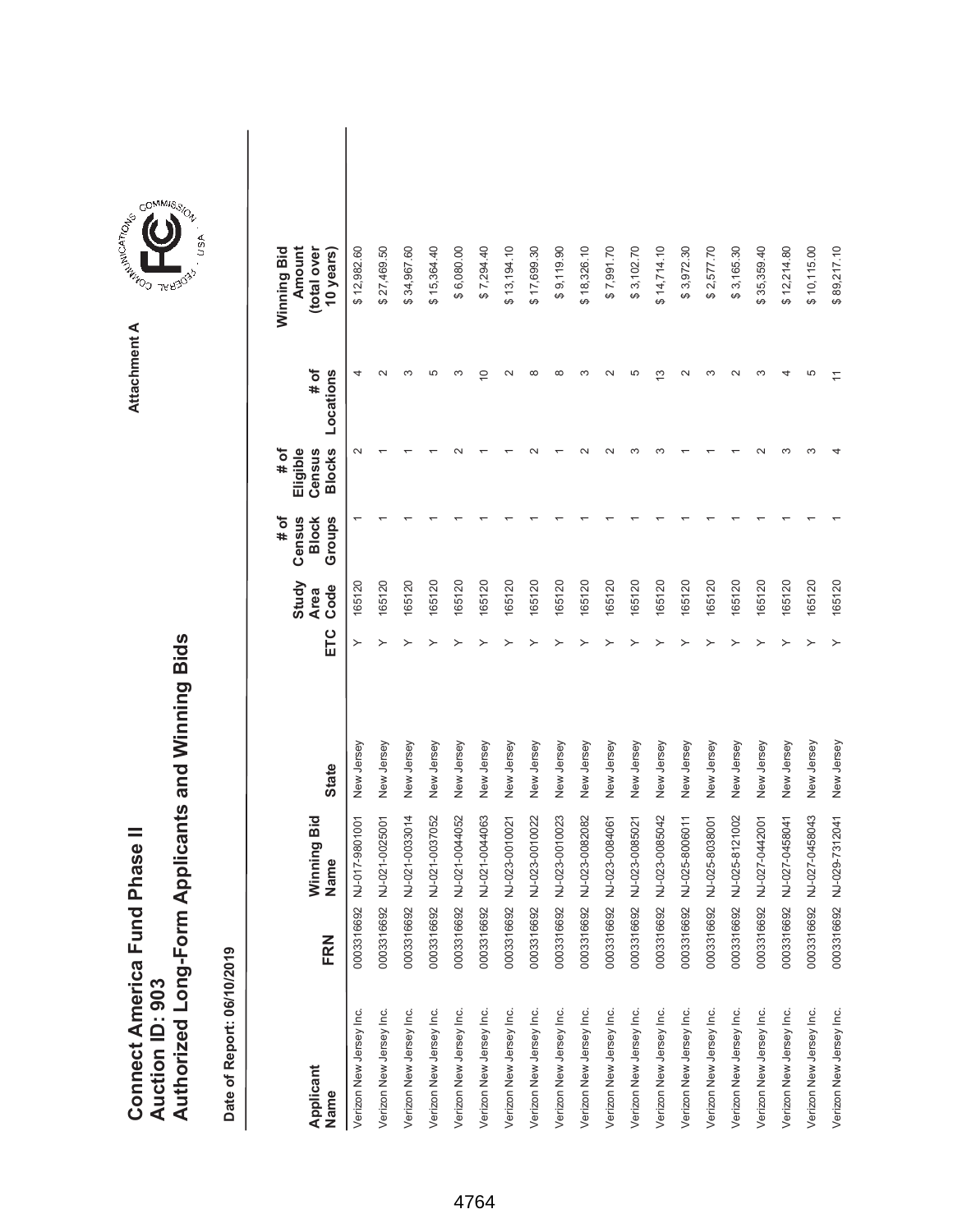|                               |                 | Authorized Long-Form Applicants and Winning Bids |
|-------------------------------|-----------------|--------------------------------------------------|
| Connect America Fund Phase II |                 |                                                  |
|                               |                 |                                                  |
|                               |                 |                                                  |
|                               |                 |                                                  |
|                               | Auction ID: 903 |                                                  |
|                               |                 |                                                  |
|                               |                 |                                                  |
|                               |                 |                                                  |



| Applicant<br>Name       | FRN        | Winning Bid<br>Name | <b>State</b> | ETC | Study<br>Code<br><b>Area</b> | # of<br>Census<br>Groups<br><b>Block</b> | <b>Blocks</b><br>Eligible<br># of<br>Census | # of<br>Locations | Winning Bid<br>Amount<br>(total over<br>10 years) |  |
|-------------------------|------------|---------------------|--------------|-----|------------------------------|------------------------------------------|---------------------------------------------|-------------------|---------------------------------------------------|--|
| Verizon New Jersey Inc. | 0003316692 | NJ-017-9801001      | New Jersey   | ≻   | 165120                       |                                          | $\sim$                                      |                   | \$12,982.60                                       |  |
| Verizon New Jersey Inc. | 0003316692 | NJ-021-0025001      | New Jersey   | ≻   | 165120                       |                                          |                                             |                   | \$27,469.50                                       |  |
| Verizon New Jersey Inc. | 0003316692 | NJ-021-0033014      | New Jersey   |     | 165120                       |                                          |                                             | S                 | \$34,967.60                                       |  |
| Verizon New Jersey Inc. | 0003316692 | NJ-021-0037052      | New Jersey   |     | 165120                       |                                          |                                             | 5                 | \$15,364.40                                       |  |
| Verizon New Jersey Inc. | 0003316692 | NJ-021-0044052      | New Jersey   |     | 165120                       |                                          |                                             | ∞                 | \$6,080.00                                        |  |
| Verizon New Jersey Inc. | 0003316692 | NJ-021-0044063      | New Jersey   |     | 165120                       |                                          |                                             | $\circ$           | \$7,294.40                                        |  |
| Verizon New Jersey Inc. | 0003316692 | NJ-023-0010021      | New Jersey   |     | 165120                       |                                          |                                             | $\sim$            | \$13,194.10                                       |  |
| Verizon New Jersey Inc. | 0003316692 | NJ-023-0010022      | New Jersey   |     | 165120                       |                                          |                                             | ထ                 | \$17,699.30                                       |  |
| Verizon New Jersey Inc. | 0003316692 | NJ-023-0010023      | New Jersey   |     | 165120                       |                                          |                                             | $\infty$          | \$9,119.90                                        |  |
| Verizon New Jersey Inc. | 0003316692 | NJ-023-0082082      | New Jersey   |     | 165120                       |                                          |                                             | ო                 | \$18,326.10                                       |  |
| Verizon New Jersey Inc. | 0003316692 | NJ-023-0084061      | New Jersey   |     | 165120                       |                                          |                                             | $\sim$            | \$7,991.70                                        |  |
| Verizon New Jersey Inc. | 0003316692 | NJ-023-0085021      | New Jersey   |     | 165120                       |                                          |                                             | 5                 | \$3,102.70                                        |  |
| Verizon New Jersey Inc. | 0003316692 | NJ-023-0085042      | New Jersey   |     | 165120                       |                                          |                                             | ო                 | \$14,714.10                                       |  |
| Verizon New Jersey Inc. | 0003316692 | NJ-025-8006011      | New Jersey   |     | 165120                       |                                          |                                             | $\sim$            | \$3,972.30                                        |  |
| Verizon New Jersey Inc. | 0003316692 | NJ-025-8038001      | New Jersey   |     | 165120                       |                                          |                                             | ↶                 | \$2,577.70                                        |  |
| Verizon New Jersey Inc. | 0003316692 | NJ-025-8121002      | New Jersey   |     | 165120                       |                                          |                                             |                   | \$3,165.30                                        |  |
| Verizon New Jersey Inc. | 0003316692 | NJ-027-0442001      | New Jersey   |     | 165120                       |                                          |                                             | r                 | \$35,359.40                                       |  |
| Verizon New Jersey Inc. | 0003316692 | NJ-027-0458041      | New Jersey   |     | 165120                       |                                          |                                             |                   | \$12,214.80                                       |  |
| Verizon New Jersey Inc. | 0003316692 | NJ-027-0458043      | New Jersey   |     | 165120                       |                                          | ∞                                           | ما                | \$10,115.00                                       |  |
| Verizon New Jersey Inc. | 0003316692 | NJ-029-7312041      | New Jersey   |     | 165120                       |                                          |                                             |                   | \$89,217.10                                       |  |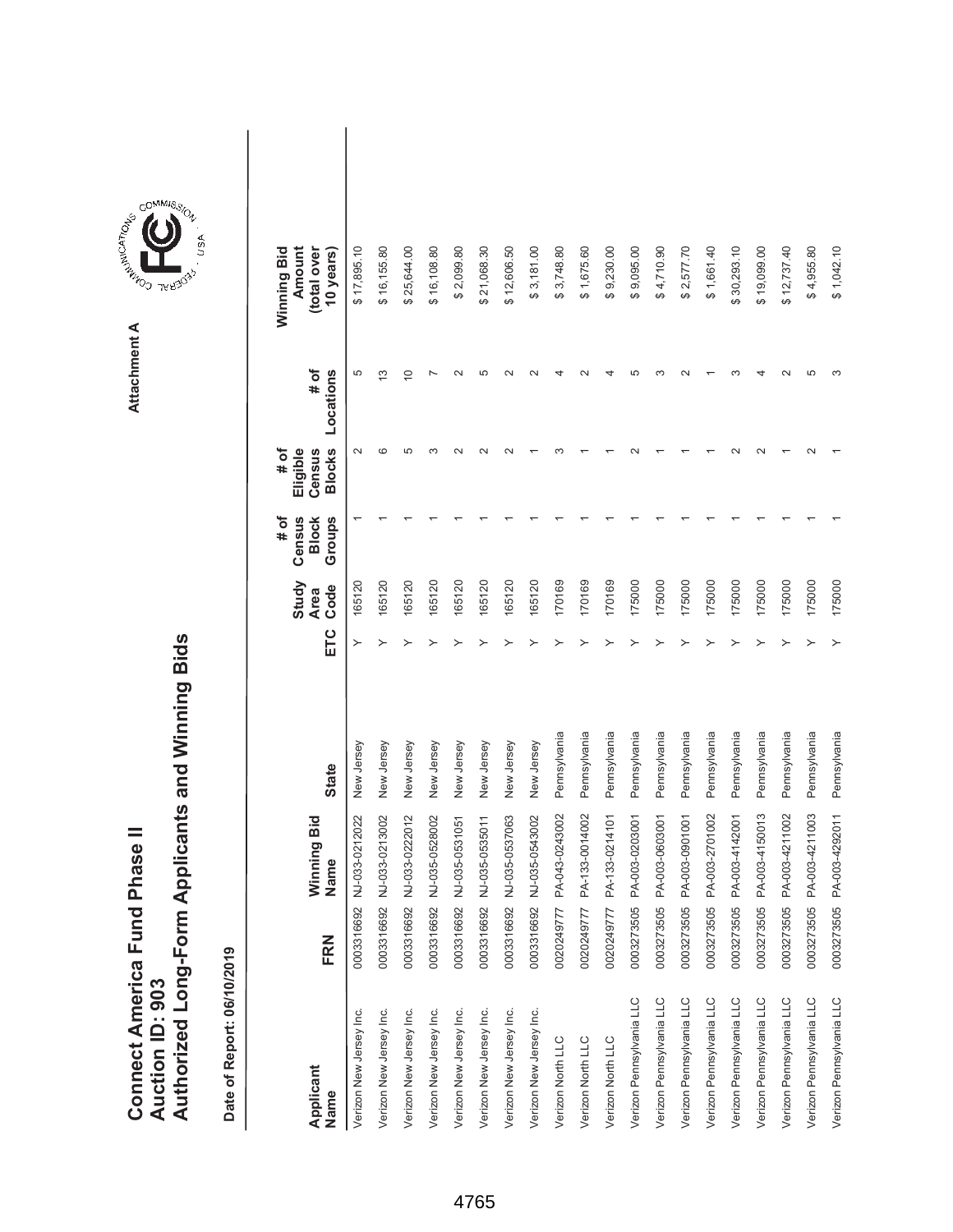|                               |                 | Authorized Long-Form Applicants and Winning Bids |
|-------------------------------|-----------------|--------------------------------------------------|
| Connect America Fund Phase II |                 |                                                  |
|                               |                 |                                                  |
|                               |                 |                                                  |
|                               |                 |                                                  |
|                               | Auction ID: 903 |                                                  |



| Applicant<br>Name        | FRN        | Winning Bid<br>Name | <b>State</b> | ETC | Study<br>Code<br><b>Area</b> | # of<br>Census<br>Groups<br><b>Block</b> | <b>Blocks</b><br># of<br>Eligible<br>Census | # of<br>Locations | Winning Bid<br>Amount<br>(total over<br>10 years) |  |
|--------------------------|------------|---------------------|--------------|-----|------------------------------|------------------------------------------|---------------------------------------------|-------------------|---------------------------------------------------|--|
| Verizon New Jersey Inc.  | 0003316692 | NJ-033-0212022      | New Jersey   | ≻   | 165120                       |                                          | $\sim$                                      | 5                 | \$17,895.10                                       |  |
| Verizon New Jersey Inc.  | 0003316692 | NJ-033-0213002      | New Jersey   |     | 165120                       |                                          | ca                                          | S                 | \$16,155.80                                       |  |
| Verizon New Jersey Inc.  | 0003316692 | NJ-033-0222012      | New Jersey   |     | 165120                       |                                          | ω                                           | $\overline{0}$    | \$25,644.00                                       |  |
| Verizon New Jersey Inc.  | 0003316692 | NJ-035-0528002      | New Jersey   |     | 165120                       |                                          |                                             |                   | \$16,108.80                                       |  |
| Verizon New Jersey Inc.  | 0003316692 | NJ-035-0531051      | New Jersey   |     | 165120                       |                                          |                                             |                   | \$2,099.80                                        |  |
| Verizon New Jersey Inc.  | 0003316692 | NJ-035-0535011      | New Jersey   |     | 165120                       |                                          |                                             | LΩ                | \$21,068.30                                       |  |
| Verizon New Jersey Inc.  | 0003316692 | NJ-035-0537063      | New Jersey   |     | 165120                       |                                          |                                             |                   | \$12,606.50                                       |  |
| Verizon New Jersey Inc.  | 0003316692 | NJ-035-0543002      | New Jersey   |     | 165120                       |                                          |                                             |                   | \$3,181.00                                        |  |
| Verizon North LLC        | 0020249777 | PA-043-0243002      | Pennsylvania |     | 170169                       |                                          |                                             |                   | \$3,748.80                                        |  |
| Verizon North LLC        | 0020249777 | PA-133-0014002      | Pennsylvania |     | 170169                       |                                          |                                             |                   | \$1,675.60                                        |  |
| Verizon North LLC        | 0020249777 | PA-133-0214101      | Pennsylvania |     | 170169                       |                                          |                                             |                   | \$9,230.00                                        |  |
| Verizon Pennsylvania LLC | 0003273505 | PA-003-0203001      | Pennsylvania |     | 175000                       |                                          |                                             |                   | \$9,095.00                                        |  |
| Verizon Pennsylvania LLC | 0003273505 | PA-003-0603001      | Pennsylvania |     | 175000                       |                                          |                                             |                   | \$4,710.90                                        |  |
| Verizon Pennsylvania LLC | 0003273505 | PA-003-0901001      | Pennsylvania |     | 175000                       |                                          |                                             |                   | \$2,577.70                                        |  |
| Verizon Pennsylvania LLC | 0003273505 | PA-003-2701002      | Pennsylvania |     | 175000                       |                                          |                                             |                   | \$1,661.40                                        |  |
| Verizon Pennsylvania LLC | 0003273505 | PA-003-4142001      | Pennsylvania |     | 175000                       |                                          |                                             |                   | \$30,293.10                                       |  |
| Verizon Pennsylvania LLC | 0003273505 | PA-003-4150013      | Pennsylvania |     | 175000                       |                                          |                                             |                   | \$19,099.00                                       |  |
| Verizon Pennsylvania LLC | 0003273505 | PA-003-4211002      | Pennsylvania |     | 175000                       |                                          |                                             |                   | \$12,737.40                                       |  |
| Verizon Pennsylvania LLC | 0003273505 | PA-003-4211003      | Pennsylvania |     | 175000                       |                                          |                                             | Ю                 | \$4,955.80                                        |  |
| Verizon Pennsylvania LLC | 0003273505 | PA-003-4292011      | Pennsylvania |     | 175000                       |                                          |                                             |                   | \$1,042.10                                        |  |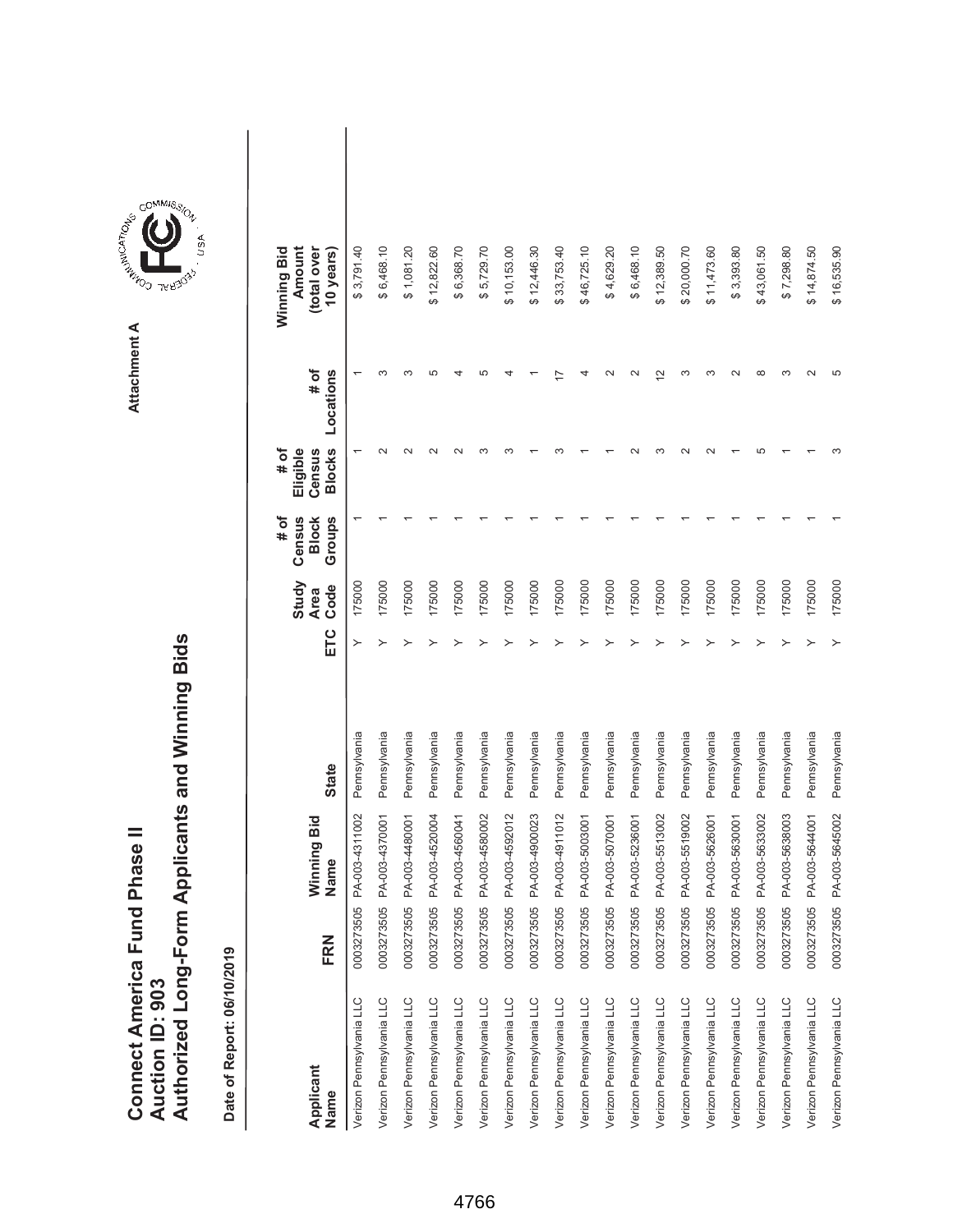|                               |                 | Authorized Long-Form Applicants and Winning Bids |
|-------------------------------|-----------------|--------------------------------------------------|
| Connect America Fund Phase II |                 |                                                  |
|                               |                 |                                                  |
|                               |                 |                                                  |
|                               |                 |                                                  |
|                               | Auction ID: 903 |                                                  |
|                               |                 |                                                  |
|                               |                 |                                                  |
|                               |                 |                                                  |



COMMIS<sub>SION</sub>

| Applicant<br>Name        | FRN        | Winning Bid<br>Name | <b>State</b> | ETC | Study<br>Code<br><b>Area</b> | # of<br>Census<br><b>Block</b><br>Groups | <b>Blocks</b><br>Eligible<br>Census<br># of | # of<br>Locations | Winning Bid<br>Amount<br>(total over<br>10 years) |  |
|--------------------------|------------|---------------------|--------------|-----|------------------------------|------------------------------------------|---------------------------------------------|-------------------|---------------------------------------------------|--|
| Verizon Pennsylvania LLC | 0003273505 | PA-003-4311002      | Pennsylvania |     | 175000                       |                                          |                                             |                   | \$3,791.40                                        |  |
| Verizon Pennsylvania LLC | 0003273505 | PA-003-4370001      | Pennsylvania |     | 175000                       |                                          |                                             | ო                 | \$6,468.10                                        |  |
| Verizon Pennsylvania LLC | 0003273505 | PA-003-4480001      | Pennsylvania |     | 175000                       |                                          |                                             | ო                 | \$1,081.20                                        |  |
| Verizon Pennsylvania LLC | 0003273505 | PA-003-4520004      | Pennsylvania |     | 175000                       |                                          |                                             | Ю                 | \$12,822.60                                       |  |
| Verizon Pennsylvania LLC | 0003273505 | PA-003-4560041      | Pennsylvania |     | 175000                       |                                          |                                             |                   | \$6,368.70                                        |  |
| Verizon Pennsylvania LLC | 0003273505 | PA-003-4580002      | Pennsylvania |     | 175000                       |                                          |                                             |                   | \$5,729.70                                        |  |
| Verizon Pennsylvania LLC | 0003273505 | PA-003-4592012      | Pennsylvania |     | 175000                       |                                          |                                             |                   | \$10,153.00                                       |  |
| Verizon Pennsylvania LLC | 0003273505 | PA-003-4900023      | Pennsylvania |     | 175000                       |                                          |                                             |                   | \$12,446.30                                       |  |
| Verizon Pennsylvania LLC | 0003273505 | PA-003-4911012      | Pennsylvania |     | 175000                       |                                          |                                             |                   | \$33,753.40                                       |  |
| Verizon Pennsylvania LLC | 0003273505 | PA-003-5003001      | Pennsylvania |     | 175000                       |                                          |                                             |                   | \$46,725.10                                       |  |
| Verizon Pennsylvania LLC | 0003273505 | PA-003-5070001      | Pennsylvania |     | 175000                       |                                          |                                             |                   | \$4,629.20                                        |  |
| Verizon Pennsylvania LLC | 0003273505 | PA-003-5236001      | Pennsylvania |     | 175000                       |                                          |                                             |                   | \$6,468.10                                        |  |
| Verizon Pennsylvania LLC | 0003273505 | PA-003-5513002      | Pennsylvania |     | 175000                       |                                          |                                             | $\mathbf{\sim}$   | \$12,389.50                                       |  |
| Verizon Pennsylvania LLC | 0003273505 | PA-003-5519002      | Pennsylvania |     | 175000                       |                                          |                                             |                   | \$20,000.70                                       |  |
| Verizon Pennsylvania LLC | 0003273505 | PA-003-5626001      | Pennsylvania |     | 175000                       |                                          |                                             |                   | \$11,473.60                                       |  |
| Verizon Pennsylvania LLC | 0003273505 | PA-003-5630001      | Pennsylvania |     | 175000                       |                                          |                                             |                   | \$3,393.80                                        |  |
| Verizon Pennsylvania LLC | 0003273505 | PA-003-5633002      | Pennsylvania |     | 175000                       |                                          | ما                                          | ∞                 | \$43,061.50                                       |  |
| Verizon Pennsylvania LLC | 0003273505 | PA-003-5638003      | Pennsylvania |     | 175000                       |                                          |                                             |                   | \$7,298.80                                        |  |
| Verizon Pennsylvania LLC | 0003273505 | PA-003-5644001      | Pennsylvania |     | 175000                       |                                          |                                             |                   | \$14,874.50                                       |  |
| Verizon Pennsylvania LLC | 0003273505 | PA-003-5645002      | Pennsylvania |     | 175000                       |                                          |                                             | 5                 | \$16,535.90                                       |  |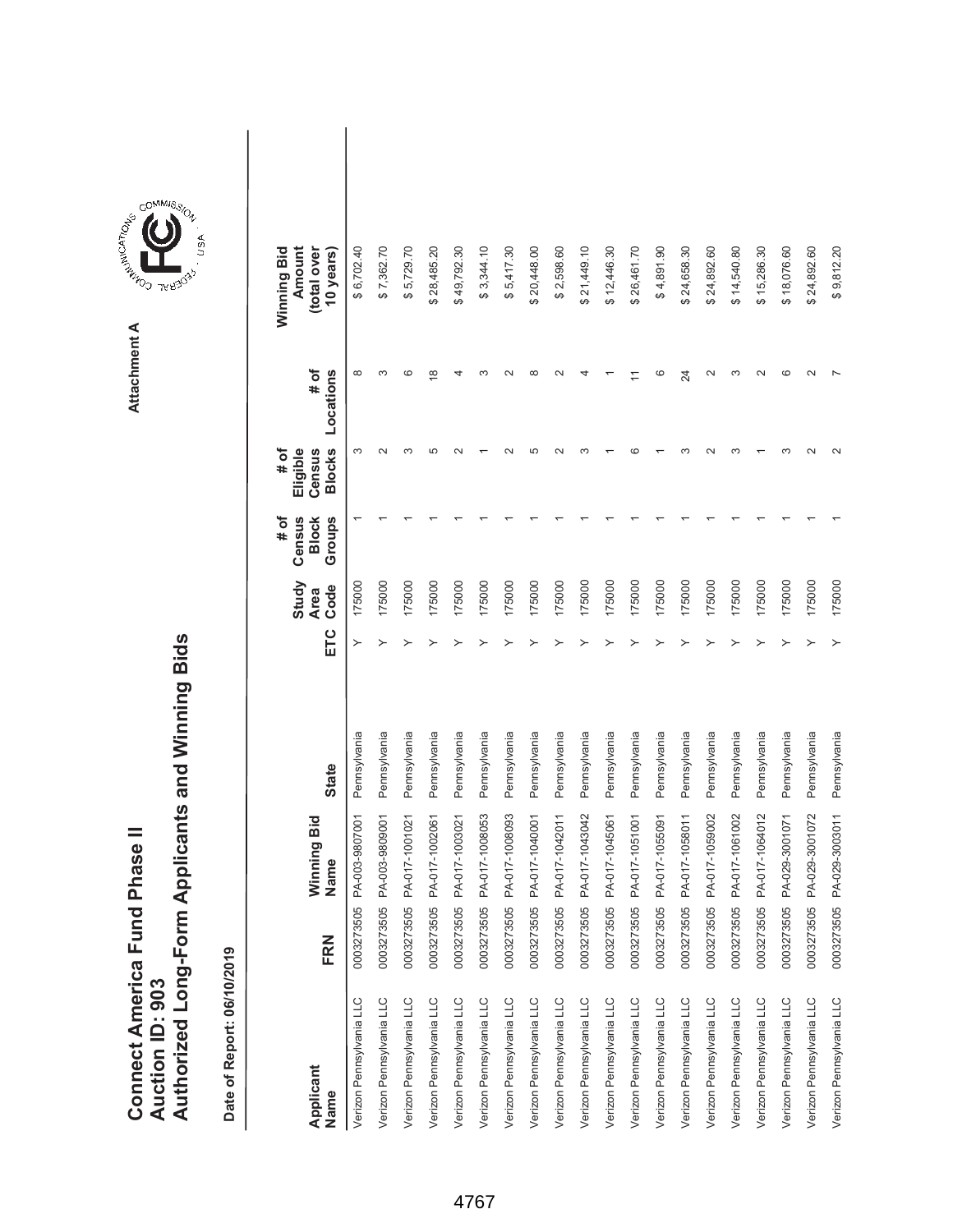|                               |                 | Authorized Long-Form Applicants and Winning Bids |
|-------------------------------|-----------------|--------------------------------------------------|
| Connect America Fund Phase II |                 |                                                  |
|                               |                 |                                                  |
|                               |                 |                                                  |
|                               |                 |                                                  |
|                               | Auction ID: 903 |                                                  |



| Applicant<br>Name        | FRN        | Winning Bid<br>Name | <b>State</b> | ETC | Study<br>Code<br><b>Area</b> | # of<br>Census<br>Groups<br><b>Block</b> | <b>Blocks</b><br># of<br>Eligible<br>Census | # of<br>Locations | Winning Bid<br>Amount<br>(total over<br>10 years) |  |
|--------------------------|------------|---------------------|--------------|-----|------------------------------|------------------------------------------|---------------------------------------------|-------------------|---------------------------------------------------|--|
| Verizon Pennsylvania LLC | 0003273505 | PA-003-9807001      | Pennsylvania |     | 175000                       |                                          | S                                           | $\infty$          | \$6,702.40                                        |  |
| Verizon Pennsylvania LLC | 0003273505 | PA-003-9809001      | Pennsylvania |     | 175000                       |                                          |                                             | ო                 | \$7,362.70                                        |  |
| Verizon Pennsylvania LLC | 0003273505 | PA-017-1001021      | Pennsylvania |     | 175000                       |                                          |                                             | ဖ                 | \$5,729.70                                        |  |
| Verizon Pennsylvania LLC | 0003273505 | PA-017-1002061      | Pennsylvania |     | 175000                       |                                          | ما                                          | $\frac{8}{1}$     | \$28,485.20                                       |  |
| Verizon Pennsylvania LLC | 0003273505 | PA-017-1003021      | Pennsylvania |     | 175000                       |                                          |                                             |                   | \$49,792.30                                       |  |
| Verizon Pennsylvania LLC | 0003273505 | PA-017-1008053      | Pennsylvania |     | 175000                       |                                          |                                             |                   | \$3,344.10                                        |  |
| Verizon Pennsylvania LLC | 0003273505 | PA-017-1008093      | Pennsylvania |     | 175000                       |                                          |                                             |                   | \$5,417.30                                        |  |
| Verizon Pennsylvania LLC | 0003273505 | PA-017-1040001      | Pennsylvania |     | 175000                       |                                          |                                             | ∞                 | \$20,448.00                                       |  |
| Verizon Pennsylvania LLC | 0003273505 | PA-017-1042011      | Pennsylvania |     | 175000                       |                                          |                                             | $\sim$            | \$2,598.60                                        |  |
| Verizon Pennsylvania LLC | 0003273505 | PA-017-1043042      | Pennsylvania |     | 175000                       |                                          |                                             |                   | \$21,449.10                                       |  |
| Verizon Pennsylvania LLC | 0003273505 | PA-017-1045061      | Pennsylvania |     | 175000                       |                                          |                                             |                   | \$12,446.30                                       |  |
| Verizon Pennsylvania LLC | 0003273505 | PA-017-1051001      | Pennsylvania |     | 175000                       |                                          |                                             |                   | \$26,461.70                                       |  |
| Verizon Pennsylvania LLC | 0003273505 | PA-017-1055091      | Pennsylvania |     | 175000                       |                                          |                                             | ဖ                 | \$4,891.90                                        |  |
| Verizon Pennsylvania LLC | 0003273505 | PA-017-1058011      | Pennsylvania |     | 175000                       |                                          |                                             | 24                | \$24,658.30                                       |  |
| Verizon Pennsylvania LLC | 0003273505 | PA-017-1059002      | Pennsylvania |     | 175000                       |                                          |                                             | $\mathbf{\Omega}$ | \$24,892.60                                       |  |
| Verizon Pennsylvania LLC | 0003273505 | PA-017-1061002      | Pennsylvania |     | 175000                       |                                          |                                             | $\infty$          | \$14,540.80                                       |  |
| Verizon Pennsylvania LLC | 0003273505 | PA-017-1064012      | Pennsylvania |     | 175000                       |                                          |                                             |                   | \$15,286.30                                       |  |
| Verizon Pennsylvania LLC | 0003273505 | PA-029-3001071      | Pennsylvania |     | 175000                       |                                          |                                             | C                 | \$18,076.60                                       |  |
| Verizon Pennsylvania LLC | 0003273505 | PA-029-3001072      | Pennsylvania |     | 175000                       |                                          |                                             |                   | \$24,892.60                                       |  |
| Verizon Pennsylvania LLC | 0003273505 | PA-029-3003011      | Pennsylvania |     | 175000                       |                                          |                                             |                   | \$9,812.20                                        |  |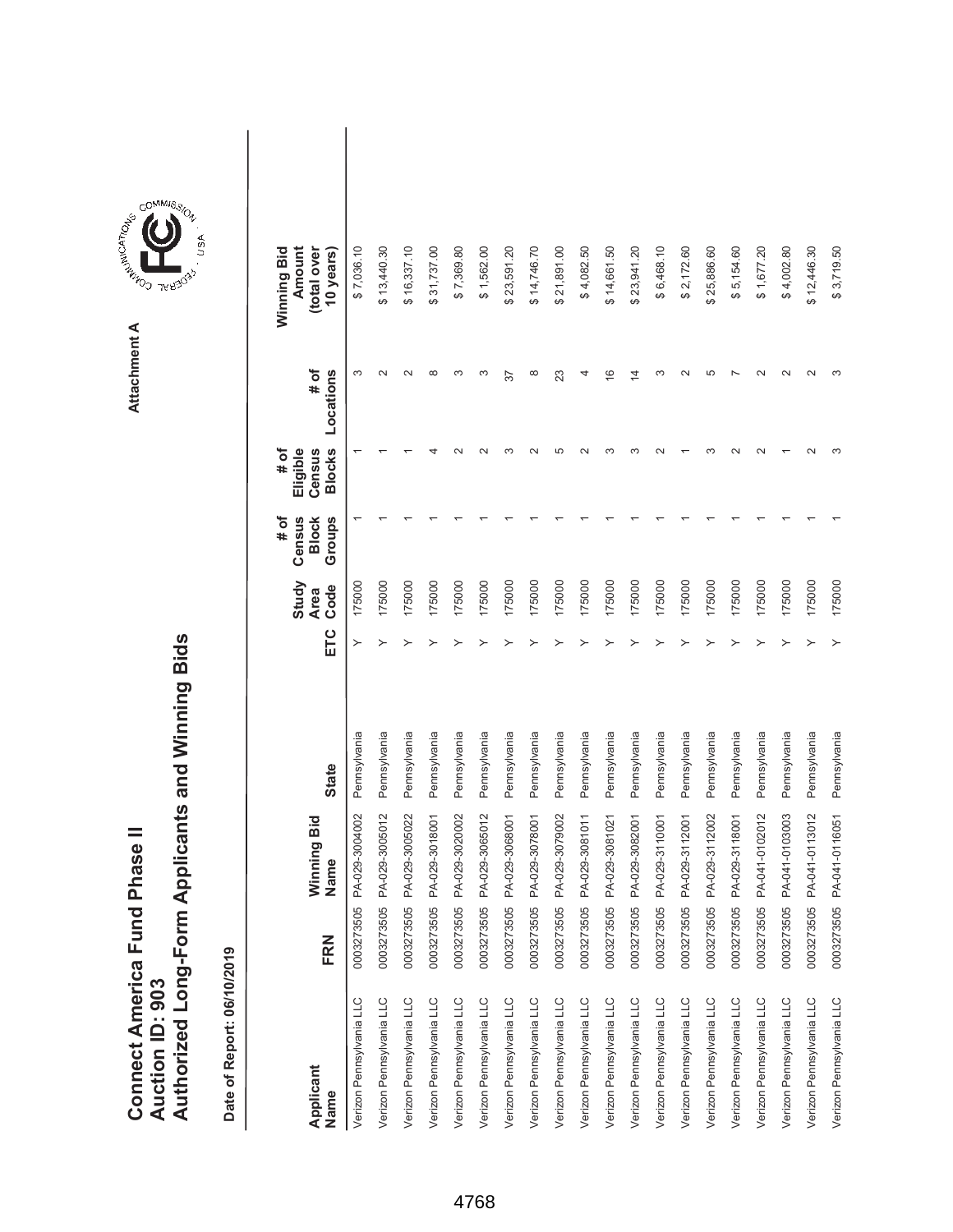|                               |                 | Authorized Long-Form Applicants and Winning Bids |
|-------------------------------|-----------------|--------------------------------------------------|
| Connect America Fund Phase II |                 |                                                  |
|                               |                 |                                                  |
|                               |                 |                                                  |
|                               |                 |                                                  |
|                               | Auction ID: 903 |                                                  |



| Applicant<br>Name        | FRN        | Winning Bid<br>Name | <b>State</b> | ETC | Study<br>Code<br><b>Area</b> | Census<br>Groups<br># of<br><b>Block</b> | <b>Blocks</b><br># of<br>Eligible<br>Census | # of<br>Locations | Winning Bid<br>Amount<br>(total over<br>10 years) |  |
|--------------------------|------------|---------------------|--------------|-----|------------------------------|------------------------------------------|---------------------------------------------|-------------------|---------------------------------------------------|--|
| Verizon Pennsylvania LLC | 0003273505 | PA-029-3004002      | Pennsylvania | ≻   | 175000                       |                                          |                                             | $\infty$          | \$7,036.10                                        |  |
| Verizon Pennsylvania LLC | 0003273505 | PA-029-3005012      | Pennsylvania | ≻   | 175000                       |                                          |                                             |                   | \$13,440.30                                       |  |
| Verizon Pennsylvania LLC | 0003273505 | PA-029-3005022      | Pennsylvania |     | 175000                       |                                          |                                             |                   | \$16,337.10                                       |  |
| Verizon Pennsylvania LLC | 0003273505 | PA-029-3018001      | Pennsylvania |     | 175000                       |                                          |                                             | $\infty$          | \$31,737.00                                       |  |
| Verizon Pennsylvania LLC | 0003273505 | PA-029-3020002      | Pennsylvania |     | 175000                       |                                          |                                             |                   | \$7,369.80                                        |  |
| Verizon Pennsylvania LLC | 0003273505 | PA-029-3065012      | Pennsylvania |     | 175000                       |                                          |                                             | ∞                 | \$1,562.00                                        |  |
| Verizon Pennsylvania LLC | 0003273505 | PA-029-3068001      | Pennsylvania |     | 175000                       |                                          |                                             | 57                | \$23,591.20                                       |  |
| Verizon Pennsylvania LLC | 0003273505 | PA-029-3078001      | Pennsylvania |     | 175000                       |                                          |                                             | $^{\circ}$        | \$14,746.70                                       |  |
| Verizon Pennsylvania LLC | 0003273505 | PA-029-3079002      | Pennsylvania |     | 175000                       |                                          | ما                                          | 23                | \$21,891.00                                       |  |
| Verizon Pennsylvania LLC | 0003273505 | PA-029-3081011      | Pennsylvania |     | 175000                       |                                          |                                             | 4                 | \$4,082.50                                        |  |
| Verizon Pennsylvania LLC | 0003273505 | PA-029-3081021      | Pennsylvania |     | 175000                       |                                          |                                             | $\frac{6}{1}$     | \$14,661.50                                       |  |
| Verizon Pennsylvania LLC | 0003273505 | PA-029-3082001      | Pennsylvania |     | 175000                       |                                          |                                             | $\overline{4}$    | \$23,941.20                                       |  |
| Verizon Pennsylvania LLC | 0003273505 | PA-029-3110001      | Pennsylvania |     | 175000                       |                                          |                                             | ო                 | \$6,468.10                                        |  |
| Verizon Pennsylvania LLC | 0003273505 | PA-029-3112001      | Pennsylvania |     | 175000                       |                                          |                                             |                   | \$2,172.60                                        |  |
| Verizon Pennsylvania LLC | 0003273505 | PA-029-3112002      | Pennsylvania |     | 175000                       |                                          |                                             | ما                | \$25,886.60                                       |  |
| Verizon Pennsylvania LLC | 0003273505 | PA-029-3118001      | Pennsylvania |     | 175000                       |                                          |                                             |                   | \$5,154.60                                        |  |
| Verizon Pennsylvania LLC | 0003273505 | PA-041-0102012      | Pennsylvania |     | 175000                       |                                          |                                             |                   | \$1,677.20                                        |  |
| Verizon Pennsylvania LLC | 0003273505 | PA-041-0103003      | Pennsylvania |     | 175000                       |                                          |                                             |                   | \$4,002.80                                        |  |
| Verizon Pennsylvania LLC | 0003273505 | PA-041-0113012      | Pennsylvania |     | 175000                       |                                          |                                             |                   | \$12,446.30                                       |  |
| Verizon Pennsylvania LLC | 0003273505 | PA-041-0116051      | Pennsylvania | ≻   | 175000                       |                                          |                                             |                   | \$3,719.50                                        |  |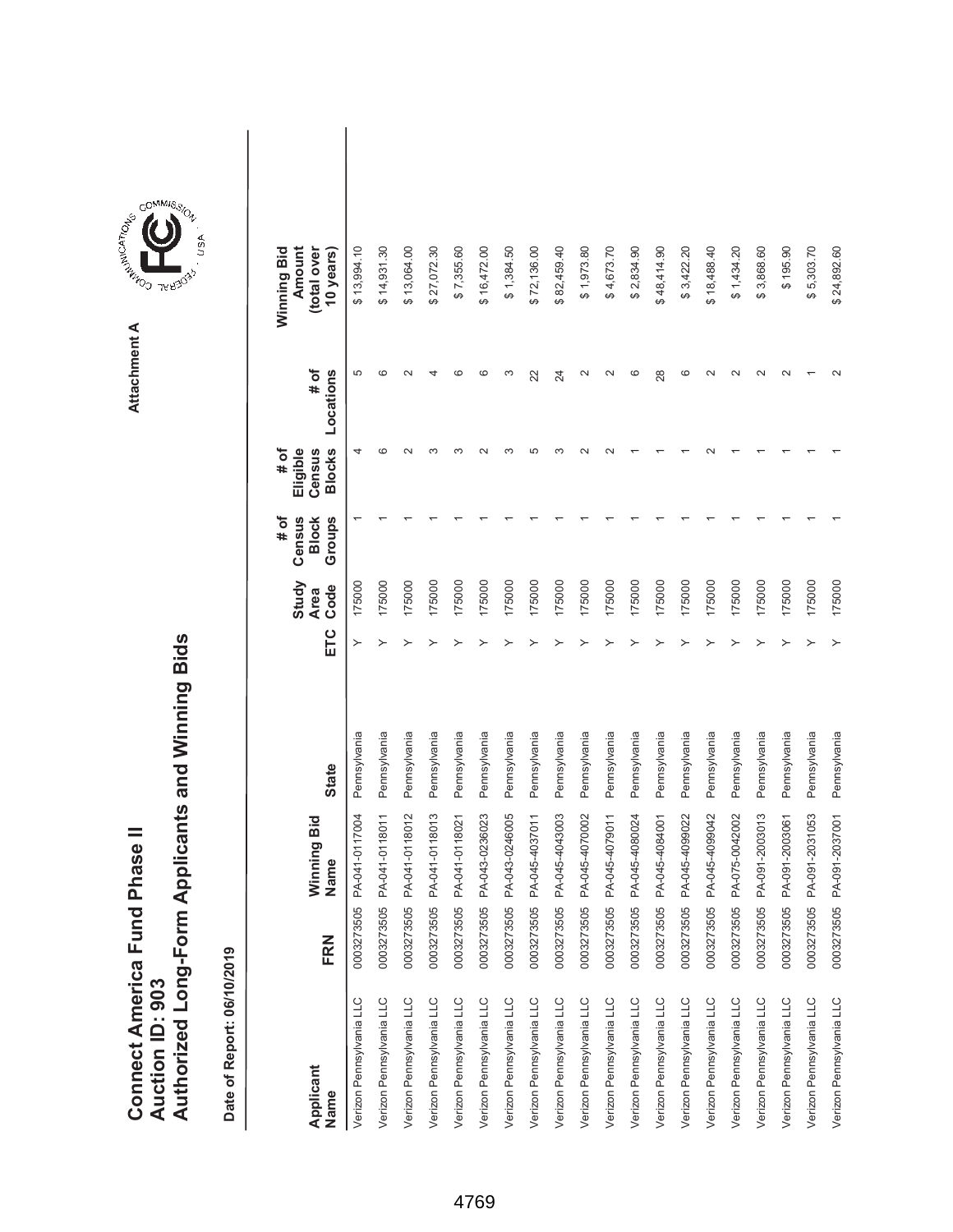|                               |                 | Authorized Long-Form Applicants and Winning Bids |
|-------------------------------|-----------------|--------------------------------------------------|
| Connect America Fund Phase II |                 |                                                  |
|                               |                 |                                                  |
|                               |                 |                                                  |
|                               |                 |                                                  |
|                               | Auction ID: 903 |                                                  |



| Applicant<br>Name        | FRN        | Winning Bid<br>Name | <b>State</b> | ETC | Study<br>Code<br><b>Area</b> | # of<br>Census<br>Groups<br><b>Block</b> | <b>Blocks</b><br>Eligible<br># of<br>Census | Locations<br># of | Winning Bid<br>Amount<br>(total over<br>10 years) |  |
|--------------------------|------------|---------------------|--------------|-----|------------------------------|------------------------------------------|---------------------------------------------|-------------------|---------------------------------------------------|--|
| Verizon Pennsylvania LLC | 0003273505 | PA-041-0117004      | Pennsylvania | ≻   | 175000                       |                                          |                                             | 5                 | \$13,994.10                                       |  |
| Verizon Pennsylvania LLC | 0003273505 | PA-041-0118011      | Pennsylvania | ≻   | 175000                       |                                          | ശ                                           | ဖ                 | \$14,931.30                                       |  |
| Verizon Pennsylvania LLC | 0003273505 | PA-041-0118012      | Pennsylvania |     | 175000                       |                                          |                                             |                   | \$13,064.00                                       |  |
| Verizon Pennsylvania LLC | 0003273505 | PA-041-0118013      | Pennsylvania |     | 175000                       |                                          |                                             |                   | \$27,072.30                                       |  |
| Verizon Pennsylvania LLC | 0003273505 | PA-041-0118021      | Pennsylvania |     | 175000                       |                                          | ო                                           | ဖ                 | \$7,355.60                                        |  |
| Verizon Pennsylvania LLC | 0003273505 | PA-043-0236023      | Pennsylvania |     | 175000                       |                                          |                                             | ဖ                 | \$16,472.00                                       |  |
| Verizon Pennsylvania LLC | 0003273505 | PA-043-0246005      | Pennsylvania |     | 175000                       |                                          | ∞                                           | S                 | \$1,384.50                                        |  |
| Verizon Pennsylvania LLC | 0003273505 | PA-045-4037011      | Pennsylvania |     | 175000                       |                                          | LO                                          | 22                | \$72,136.00                                       |  |
| Verizon Pennsylvania LLC | 0003273505 | PA-045-4043003      | Pennsylvania |     | 175000                       |                                          |                                             | 24                | \$82,459.40                                       |  |
| Verizon Pennsylvania LLC | 0003273505 | PA-045-4070002      | Pennsylvania |     | 175000                       |                                          |                                             | $\sim$            | \$1,973.80                                        |  |
| Verizon Pennsylvania LLC | 0003273505 | PA-045-4079011      | Pennsylvania |     | 175000                       |                                          |                                             |                   | \$4,673.70                                        |  |
| Verizon Pennsylvania LLC | 0003273505 | PA-045-4080024      | Pennsylvania |     | 175000                       |                                          |                                             | c                 | \$2,834.90                                        |  |
| Verizon Pennsylvania LLC | 0003273505 | PA-045-4084001      | Pennsylvania |     | 175000                       |                                          |                                             | 28                | \$48,414.90                                       |  |
| Verizon Pennsylvania LLC | 0003273505 | PA-045-4099022      | Pennsylvania |     | 175000                       |                                          |                                             | ဖ                 | \$3,422.20                                        |  |
| Verizon Pennsylvania LLC | 0003273505 | PA-045-4099042      | Pennsylvania |     | 175000                       |                                          |                                             |                   | \$18,488.40                                       |  |
| Verizon Pennsylvania LLC | 0003273505 | PA-075-0042002      | Pennsylvania |     | 175000                       |                                          |                                             |                   | \$1,434.20                                        |  |
| Verizon Pennsylvania LLC | 0003273505 | PA-091-2003013      | Pennsylvania |     | 175000                       |                                          |                                             |                   | \$3,868.60                                        |  |
| Verizon Pennsylvania LLC | 0003273505 | PA-091-2003061      | Pennsylvania |     | 175000                       |                                          |                                             |                   | \$195.90                                          |  |
| Verizon Pennsylvania LLC | 0003273505 | PA-091-2031053      | Pennsylvania |     | 175000                       |                                          |                                             |                   | \$5,303.70                                        |  |
| Verizon Pennsylvania LLC | 0003273505 | PA-091-2037001      | Pennsylvania |     | 175000                       |                                          |                                             |                   | \$24,892.60                                       |  |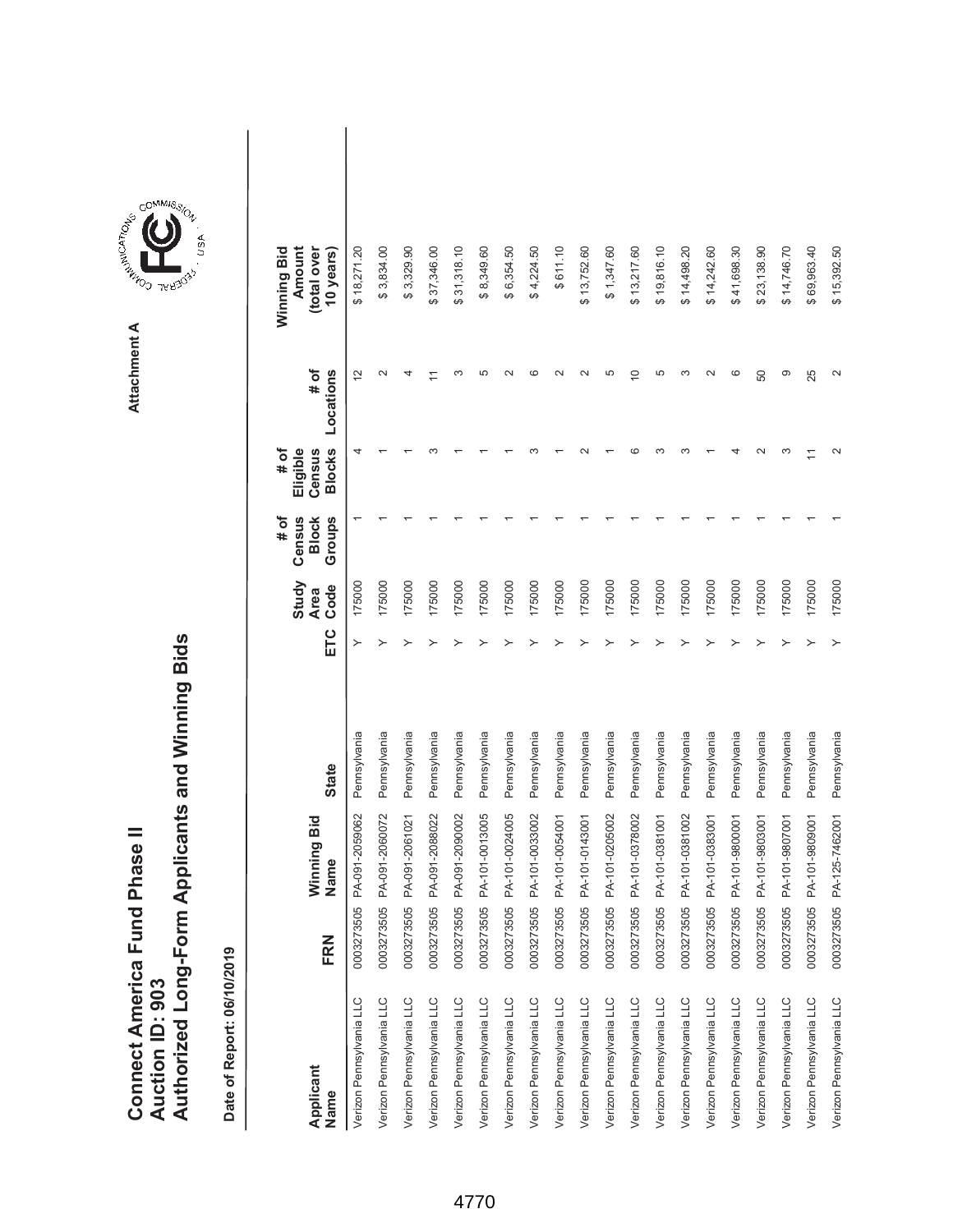|                               |                 | Authorized Long-Form Applicants and Winning Bids |
|-------------------------------|-----------------|--------------------------------------------------|
| Connect America Fund Phase II |                 |                                                  |
|                               |                 |                                                  |
|                               |                 |                                                  |
|                               |                 |                                                  |
|                               | Auction ID: 903 |                                                  |
|                               |                 |                                                  |
|                               |                 |                                                  |
|                               |                 |                                                  |



| Applicant<br>Name        | FRN        | Winning Bid<br>Name | <b>State</b> | ETC | Study<br>Code<br><b>Area</b> | Groups<br># of<br>Census<br><b>Block</b> | <b>Blocks</b><br># of<br>Eligible<br>Census | # of<br>Locations | Amount<br>Winning Bid<br>(total over<br>10 years) |  |
|--------------------------|------------|---------------------|--------------|-----|------------------------------|------------------------------------------|---------------------------------------------|-------------------|---------------------------------------------------|--|
| Verizon Pennsylvania LLC | 0003273505 | PA-091-2059062      | Pennsylvania | ≻   | 175000                       |                                          | 4                                           | $\tilde{c}$       | \$18,271.20                                       |  |
| Verizon Pennsylvania LLC | 0003273505 | PA-091-2060072      | Pennsylvania | ≻   | 175000                       |                                          |                                             | $\mathbf{\Omega}$ | \$3,834.00                                        |  |
| Verizon Pennsylvania LLC | 0003273505 | PA-091-2061021      | Pennsylvania |     | 175000                       |                                          |                                             |                   | \$3,329.90                                        |  |
| Verizon Pennsylvania LLC | 0003273505 | PA-091-2088022      | Pennsylvania |     | 175000                       |                                          |                                             |                   | \$37,346.00                                       |  |
| Verizon Pennsylvania LLC | 0003273505 | PA-091-2090002      | Pennsylvania |     | 175000                       |                                          |                                             |                   | 31,318.10<br>↮                                    |  |
| Verizon Pennsylvania LLC | 0003273505 | PA-101-0013005      | Pennsylvania |     | 175000                       |                                          |                                             | 5                 | \$8,349.60                                        |  |
| Verizon Pennsylvania LLC | 0003273505 | PA-101-0024005      | Pennsylvania |     | 175000                       |                                          |                                             |                   | \$6,354.50                                        |  |
| Verizon Pennsylvania LLC | 0003273505 | PA-101-0033002      | Pennsylvania |     | 175000                       |                                          |                                             | ဖ                 | \$4,224.50                                        |  |
| Verizon Pennsylvania LLC | 0003273505 | PA-101-0054001      | Pennsylvania |     | 175000                       |                                          |                                             |                   | \$611.10                                          |  |
| Verizon Pennsylvania LLC | 0003273505 | PA-101-0143001      | Pennsylvania |     | 175000                       |                                          |                                             |                   | \$13,752.60                                       |  |
| Verizon Pennsylvania LLC | 0003273505 | PA-101-0205002      | Pennsylvania |     | 175000                       |                                          |                                             | 5                 | \$1,347.60                                        |  |
| Verizon Pennsylvania LLC | 0003273505 | PA-101-0378002      | Pennsylvania |     | 175000                       |                                          |                                             | $\overline{C}$    | \$13,217.60                                       |  |
| Verizon Pennsylvania LLC | 0003273505 | PA-101-0381001      | Pennsylvania |     | 175000                       |                                          | ო                                           | 5                 | \$19,816.10                                       |  |
| Verizon Pennsylvania LLC | 0003273505 | PA-101-0381002      | Pennsylvania |     | 175000                       |                                          |                                             | ∞                 | \$14,498.20                                       |  |
| Verizon Pennsylvania LLC | 0003273505 | PA-101-0383001      | Pennsylvania |     | 175000                       |                                          |                                             |                   | \$14,242.60                                       |  |
| Verizon Pennsylvania LLC | 0003273505 | PA-101-9800001      | Pennsylvania |     | 175000                       |                                          |                                             | ဖ                 | \$41,698.30                                       |  |
| Verizon Pennsylvania LLC | 0003273505 | PA-101-9803001      | Pennsylvania |     | 175000                       |                                          |                                             | 50                | \$23,138.90                                       |  |
| Verizon Pennsylvania LLC | 0003273505 | PA-101-9807001      | Pennsylvania |     | 175000                       |                                          | ო                                           | တ                 | \$14,746.70                                       |  |
| Verizon Pennsylvania LLC | 0003273505 | PA-101-9809001      | Pennsylvania |     | 175000                       |                                          |                                             | 25                | \$69,963.40                                       |  |
| Verizon Pennsylvania LLC | 0003273505 | PA-125-7462001      | Pennsylvania | ≻   | 175000                       |                                          |                                             |                   | \$15,392.50                                       |  |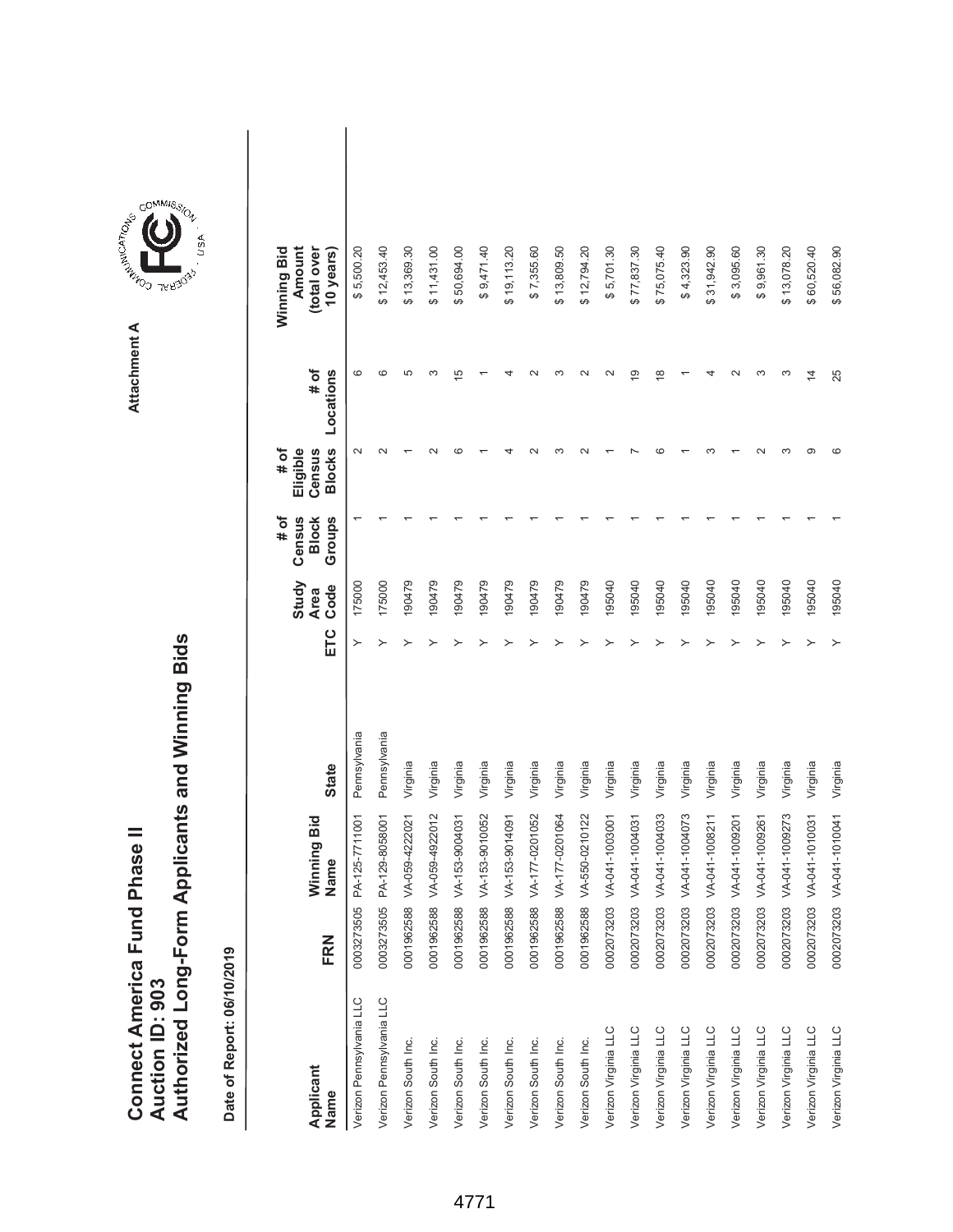|                               |                 | Authorized Long-Form Applicants and Winning Bids |
|-------------------------------|-----------------|--------------------------------------------------|
| Connect America Fund Phase II |                 |                                                  |
|                               |                 |                                                  |
|                               |                 |                                                  |
|                               |                 |                                                  |
|                               | Auction ID: 903 |                                                  |



| Applicant<br>Name        | FRN        | Winning Bid<br>Name | <b>State</b> | ETC | Study<br>Code<br><b>Area</b> | # of<br>Census<br>Groups<br><b>Block</b> | <b>Blocks</b><br>Eligible<br># of<br>Census | # of<br>Locations | Winning Bid<br>(total over<br>Amount<br>10 years) |  |
|--------------------------|------------|---------------------|--------------|-----|------------------------------|------------------------------------------|---------------------------------------------|-------------------|---------------------------------------------------|--|
| Verizon Pennsylvania LLC | 0003273505 | PA-125-7711001      | Pennsylvania | ≻   | 175000                       |                                          | $\sim$                                      | $\circ$           | \$5,500.20                                        |  |
| Verizon Pennsylvania LLC | 0003273505 | PA-129-8058001      | Pennsylvania | ≻   | 175000                       |                                          |                                             | C                 | \$12,453.40                                       |  |
| Verizon South Inc.       | 0001962588 | VA-059-4222021      | Virginia     |     | 190479                       |                                          |                                             | 5                 | \$13,369.30                                       |  |
| Verizon South Inc.       | 0001962588 | VA-059-4922012      | Virginia     |     | 190479                       |                                          |                                             | ო                 | \$11,431.00                                       |  |
| Verizon South Inc.       | 0001962588 | VA-153-9004031      | Virginia     |     | 190479                       |                                          | cc                                          | 15                | \$50,694.00                                       |  |
| Verizon South Inc.       | 0001962588 | VA-153-9010052      | Virginia     |     | 190479                       |                                          |                                             |                   | \$9,471.40                                        |  |
| Verizon South Inc.       | 0001962588 | VA-153-9014091      | Virginia     |     | 190479                       |                                          |                                             |                   | \$19,113.20                                       |  |
| Verizon South Inc.       | 0001962588 | VA-177-0201052      | Virginia     |     | 190479                       |                                          |                                             |                   | \$7,355.60                                        |  |
| Verizon South Inc.       | 0001962588 | VA-177-0201064      | Virginia     |     | 190479                       |                                          |                                             |                   | \$13,809.50                                       |  |
| Verizon South Inc.       | 0001962588 | VA-550-0210122      | Virginia     |     | 190479                       |                                          |                                             |                   | \$12,794.20                                       |  |
| Verizon Virginia LLC     | 0002073203 | VA-041-1003001      | Virginia     |     | 195040                       |                                          |                                             |                   | \$5,701.30                                        |  |
| Verizon Virginia LLC     | 0002073203 | VA-041-1004031      | Virginia     |     | 195040                       |                                          |                                             | თ                 | \$77,837.30                                       |  |
| Verizon Virginia LLC     | 0002073203 | VA-041-1004033      | Virginia     |     | 195040                       |                                          |                                             | $\frac{8}{1}$     | \$75,075.40                                       |  |
| Verizon Virginia LLC     | 0002073203 | VA-041-1004073      | Virginia     |     | 195040                       |                                          |                                             |                   | \$4,323.90                                        |  |
| Verizon Virginia LLC     | 0002073203 | VA-041-1008211      | Virginia     |     | 195040                       |                                          |                                             |                   | \$31,942.90                                       |  |
| Verizon Virginia LLC     | 0002073203 | VA-041-1009201      | Virginia     |     | 195040                       |                                          |                                             |                   | \$3,095.60                                        |  |
| Verizon Virginia LLC     | 0002073203 | VA-041-1009261      | Virginia     |     | 195040                       |                                          |                                             | ო                 | \$9,961.30                                        |  |
| Verizon Virginia LLC     | 0002073203 | VA-041-1009273      | Virginia     |     | 195040                       |                                          |                                             | ო                 | \$13,078.20                                       |  |
| Verizon Virginia LLC     | 0002073203 | VA-041-1010031      | Virginia     |     | 195040                       |                                          | $\sigma$                                    | 4                 | \$60,520.40                                       |  |
| Verizon Virginia LLC     | 0002073203 | VA-041-1010041      | Virginia     |     | 195040                       |                                          | ဖ                                           | 25                | \$56,082.90                                       |  |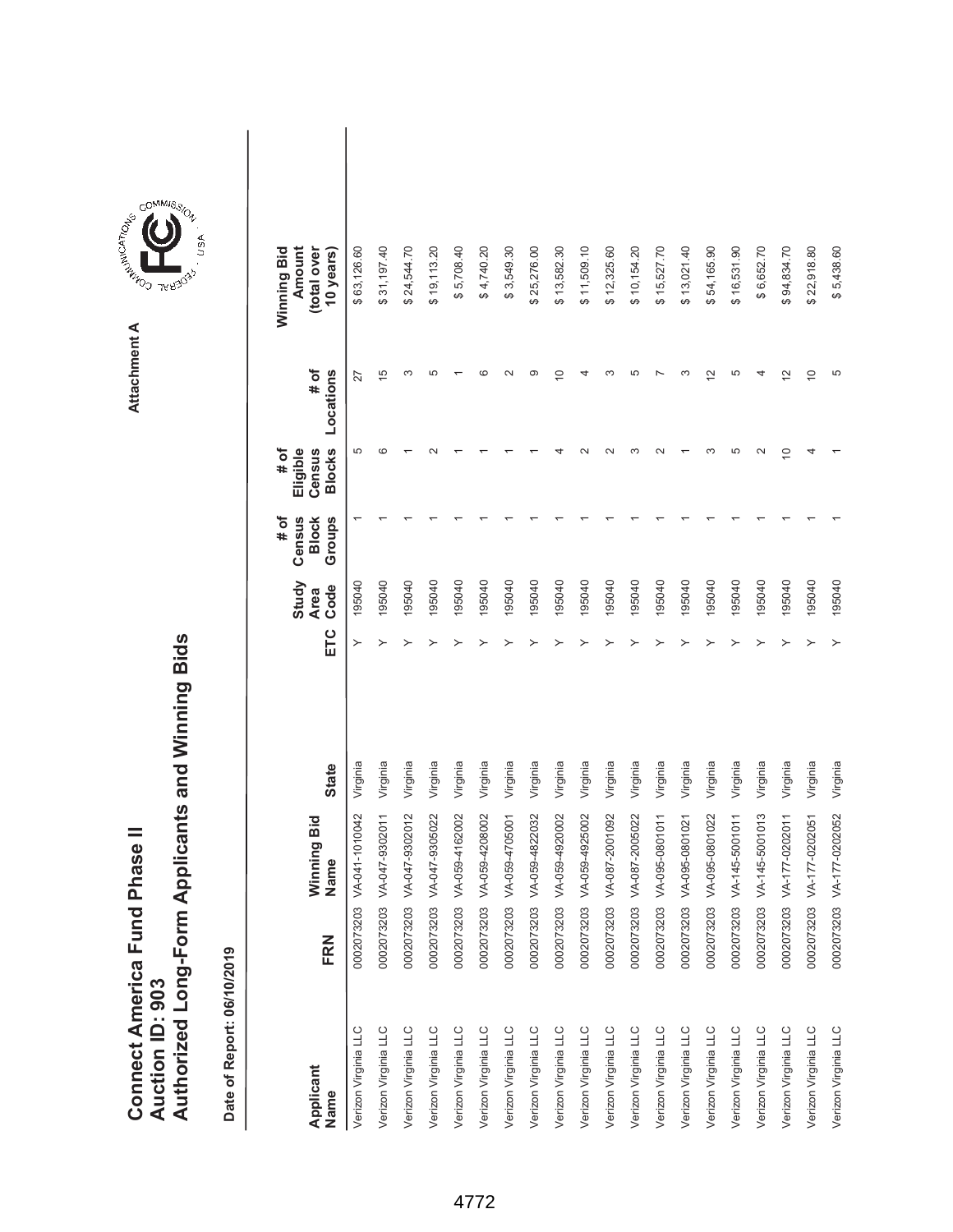|                               |                 | Authorized Long-Form Applicants and Winning Bids |
|-------------------------------|-----------------|--------------------------------------------------|
| Connect America Fund Phase II |                 |                                                  |
|                               |                 |                                                  |
|                               |                 |                                                  |
|                               |                 |                                                  |
|                               | Auction ID: 903 |                                                  |



**Attachment A**

| Applicant<br>Name    | <b>FRN</b> | Winning Bid<br>Name | <b>State</b> | ETC | Study<br>Code<br><b>Area</b> | Census<br>Groups<br># of<br><b>Block</b> | <b>Blocks</b><br># of<br>Eligible<br>Census | # of<br>Locations     | Winning Bid<br>Amount<br>(total over<br>10 years) |  |
|----------------------|------------|---------------------|--------------|-----|------------------------------|------------------------------------------|---------------------------------------------|-----------------------|---------------------------------------------------|--|
| Verizon Virginia LLC | 0002073203 | VA-041-1010042      | Virginia     | ≻   | 195040                       |                                          | 5                                           | 27                    | \$63,126.60                                       |  |
| Verizon Virginia LLC | 0002073203 | VA-047-9302011      | Virginia     | ≻   | 195040                       |                                          | ca                                          | 15                    | 31,197.40                                         |  |
| Verizon Virginia LLC | 0002073203 | VA-047-9302012      | Virginia     |     | 195040                       |                                          |                                             | ᠬ                     | \$24,544.70                                       |  |
| Verizon Virginia LLC | 0002073203 | VA-047-9305022      | Virginia     |     | 195040                       |                                          |                                             | 5                     | \$19,113.20                                       |  |
| Verizon Virginia LLC | 0002073203 | VA-059-4162002      | Virginia     |     | 195040                       |                                          |                                             |                       | \$5,708.40                                        |  |
| Verizon Virginia LLC | 0002073203 | VA-059-4208002      | Virginia     |     | 195040                       |                                          |                                             |                       | \$4,740.20                                        |  |
| Verizon Virginia LLC | 0002073203 | VA-059-4705001      | Virginia     |     | 195040                       |                                          |                                             |                       | \$3,549.30                                        |  |
| Verizon Virginia LLC | 0002073203 | VA-059-4822032      | Virginia     |     | 195040                       |                                          |                                             | တ                     | \$25,276.00                                       |  |
| Verizon Virginia LLC | 0002073203 | VA-059-4920002      | Virginia     |     | 195040                       |                                          |                                             | $\tilde{=}$           | \$13,582.30                                       |  |
| Verizon Virginia LLC | 0002073203 | VA-059-4925002      | Virginia     |     | 195040                       |                                          |                                             |                       | \$11,509.10                                       |  |
| Verizon Virginia LLC | 0002073203 | VA-087-2001092      | Virginia     |     | 195040                       |                                          |                                             |                       | \$12,325.60                                       |  |
| Verizon Virginia LLC | 0002073203 | VA-087-2005022      | Virginia     |     | 195040                       |                                          |                                             |                       | \$10,154.20                                       |  |
| Verizon Virginia LLC | 0002073203 | VA-095-0801011      | Virginia     |     | 195040                       |                                          |                                             |                       | \$15,527.70                                       |  |
| Verizon Virginia LLC | 0002073203 | VA-095-0801021      | Virginia     |     | 195040                       |                                          |                                             |                       | \$13,021.40                                       |  |
| Verizon Virginia LLC | 0002073203 | VA-095-0801022      | Virginia     |     | 195040                       |                                          |                                             | $\tilde{\phantom{a}}$ | 54,165.90<br>↮                                    |  |
| Verizon Virginia LLC | 0002073203 | VA-145-5001011      | Virginia     |     | 195040                       |                                          | LO                                          | 5                     | \$16,531.90                                       |  |
| Verizon Virginia LLC | 0002073203 | VA-145-5001013      | Virginia     |     | 195040                       |                                          |                                             |                       | \$6,652.70                                        |  |
| Verizon Virginia LLC | 0002073203 | VA-177-0202011      | Virginia     |     | 195040                       |                                          | $\overline{C}$                              | $\frac{2}{3}$         | \$94,834.70                                       |  |
| Verizon Virginia LLC | 0002073203 | VA-177-0202051      | Virginia     |     | 195040                       |                                          |                                             | $\overline{C}$        | \$22,918.80                                       |  |
| Verizon Virginia LLC | 0002073203 | VA-177-0202052      | Virginia     | ≻   | 195040                       |                                          |                                             | 5                     | \$5,438.60                                        |  |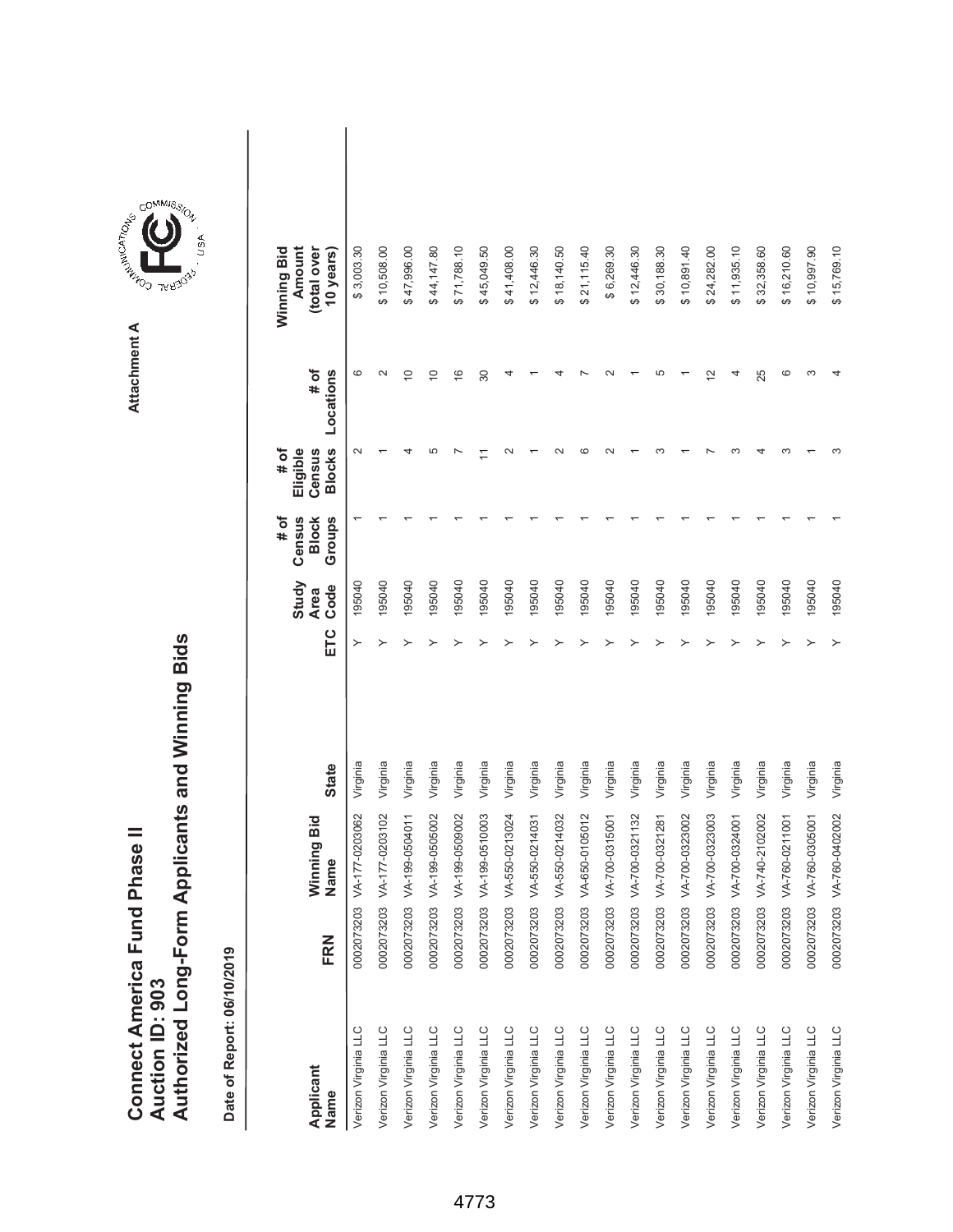|                               |                 | Authorized Long-Form Applicants and Winning Bids |
|-------------------------------|-----------------|--------------------------------------------------|
| Connect America Fund Phase II |                 |                                                  |
|                               |                 |                                                  |
|                               |                 |                                                  |
|                               |                 |                                                  |
|                               | Auction ID: 903 |                                                  |



| Applicant<br>Name    | <b>FRN</b> | Winning Bid<br>Name | <b>State</b> | ETC | Study<br>Code<br><b>Area</b> | # of<br>Census<br>Groups<br><b>Block</b> | <b>Blocks</b><br>Eligible<br># of<br>Census | # of<br>Locations | Winning Bid<br>Amount<br>(total over<br>10 years) |  |
|----------------------|------------|---------------------|--------------|-----|------------------------------|------------------------------------------|---------------------------------------------|-------------------|---------------------------------------------------|--|
| Verizon Virginia LLC | 0002073203 | VA-177-0203062      | Virginia     | ≻   | 195040                       |                                          | $\sim$                                      | ဖ                 | \$3,003.30                                        |  |
| Verizon Virginia LLC | 0002073203 | VA-177-0203102      | Virginia     | ≻   | 195040                       |                                          |                                             | $\sim$            | \$10,508.00                                       |  |
| Verizon Virginia LLC | 0002073203 | VA-199-0504011      | Virginia     |     | 195040                       |                                          |                                             | $\overline{C}$    | \$47,996.00                                       |  |
| Verizon Virginia LLC | 0002073203 | VA-199-0505002      | Virginia     |     | 195040                       |                                          | Ю                                           | $\overline{C}$    | \$44,147.80                                       |  |
| Verizon Virginia LLC | 0002073203 | VA-199-0509002      | Virginia     |     | 195040                       |                                          |                                             | $\frac{6}{1}$     | \$71,788.10                                       |  |
| Verizon Virginia LLC | 0002073203 | VA-199-0510003      | Virginia     |     | 195040                       |                                          |                                             | 30                | \$45,049.50                                       |  |
| Verizon Virginia LLC | 0002073203 | VA-550-0213024      | Virginia     |     | 195040                       |                                          |                                             |                   | \$41,408.00                                       |  |
| Verizon Virginia LLC | 0002073203 | VA-550-0214031      | Virginia     |     | 195040                       |                                          |                                             |                   | \$12,446.30                                       |  |
| Verizon Virginia LLC | 0002073203 | VA-550-0214032      | Virginia     |     | 195040                       |                                          |                                             |                   | \$18,140.50                                       |  |
| Verizon Virginia LLC | 0002073203 | VA-650-0105012      | Virginia     |     | 195040                       |                                          |                                             |                   | \$21,115.40                                       |  |
| Verizon Virginia LLC | 0002073203 | VA-700-0315001      | Virginia     |     | 195040                       |                                          |                                             |                   | \$6,269.30                                        |  |
| Verizon Virginia LLC | 0002073203 | VA-700-0321132      | Virginia     |     | 195040                       |                                          |                                             |                   | \$12,446.30                                       |  |
| Verizon Virginia LLC | 0002073203 | VA-700-0321281      | Virginia     |     | 195040                       |                                          |                                             |                   | \$30,188.30                                       |  |
| Verizon Virginia LLC | 0002073203 | VA-700-0323002      | Virginia     |     | 195040                       |                                          |                                             |                   | \$10,891.40                                       |  |
| Verizon Virginia LLC | 0002073203 | VA-700-0323003      | Virginia     |     | 195040                       |                                          |                                             | $\mathbf{\Omega}$ | 24,282.00<br>↮                                    |  |
| Verizon Virginia LLC | 0002073203 | VA-700-0324001      | Virginia     |     | 195040                       |                                          |                                             |                   | \$11,935.10                                       |  |
| Verizon Virginia LLC | 0002073203 | VA-740-2102002      | Virginia     |     | 195040                       |                                          |                                             | 25                | \$32,358.60                                       |  |
| Verizon Virginia LLC | 0002073203 | VA-760-0211001      | Virginia     |     | 195040                       |                                          |                                             | ဖ                 | \$16,210.60                                       |  |
| Verizon Virginia LLC | 0002073203 | VA-760-0305001      | Virginia     |     | 195040                       |                                          |                                             |                   | \$10,997.90                                       |  |
| Verizon Virginia LLC | 0002073203 | VA-760-0402002      | Virginia     |     | 195040                       |                                          |                                             |                   | \$15,769.10                                       |  |